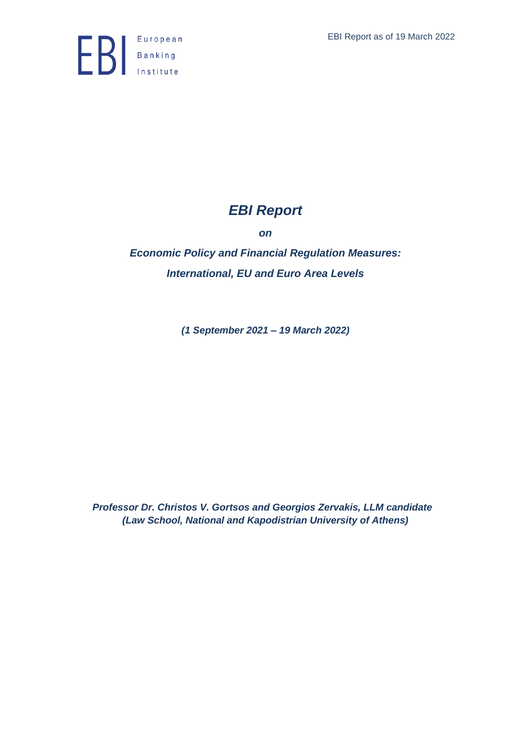

# *EBI Report*

*on*

*Economic Policy and Financial Regulation Measures: International, EU and Euro Area Levels*

*(1 September 2021 – 19 March 2022)*

*Professor Dr. Christos V. Gortsos and Georgios Zervakis, LLM candidate (Law School, National and Kapodistrian University of Athens)*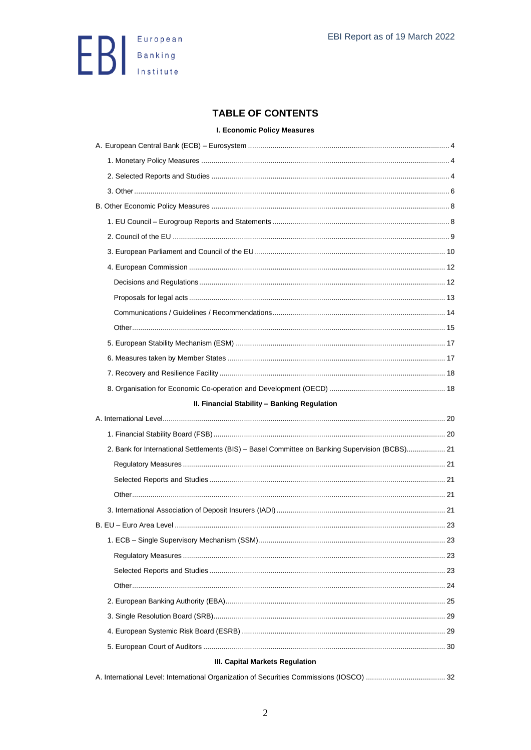

## **TABLE OF CONTENTS**

**I. Economic Policy Measures** 

| II. Financial Stability - Banking Regulation                                                   |    |
|------------------------------------------------------------------------------------------------|----|
|                                                                                                |    |
|                                                                                                |    |
| 2. Bank for International Settlements (BIS) - Basel Committee on Banking Supervision (BCBS) 21 |    |
|                                                                                                |    |
|                                                                                                |    |
|                                                                                                |    |
|                                                                                                |    |
|                                                                                                |    |
|                                                                                                |    |
|                                                                                                | 23 |
|                                                                                                |    |
|                                                                                                |    |
|                                                                                                |    |
|                                                                                                |    |
|                                                                                                |    |
|                                                                                                |    |
|                                                                                                |    |
| III. Capital Markets Regulation                                                                |    |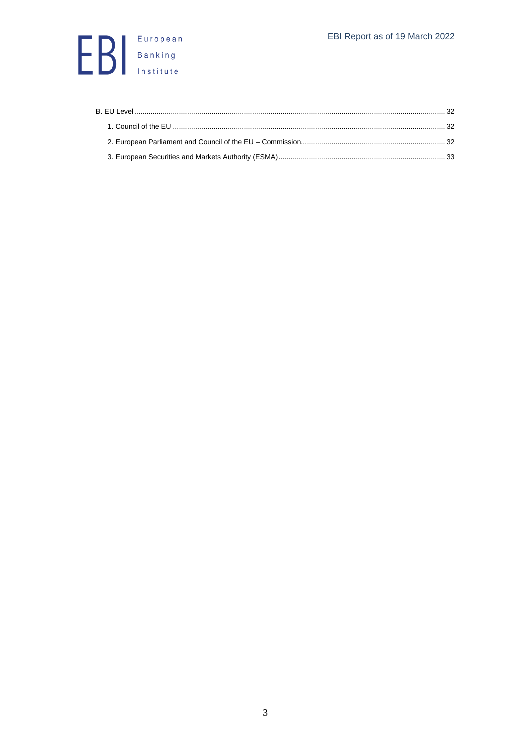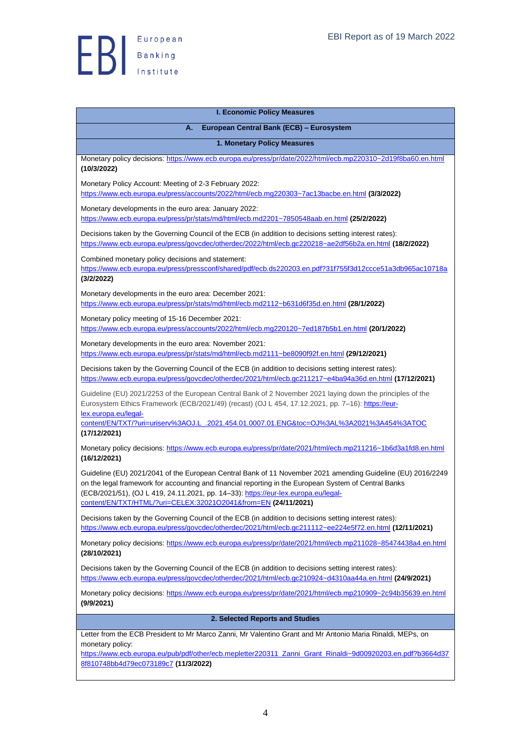

<span id="page-3-3"></span><span id="page-3-2"></span><span id="page-3-1"></span><span id="page-3-0"></span>

| <b>I. Economic Policy Measures</b>                                                                                                                                                                                                                                                                                                                                           |  |
|------------------------------------------------------------------------------------------------------------------------------------------------------------------------------------------------------------------------------------------------------------------------------------------------------------------------------------------------------------------------------|--|
| European Central Bank (ECB) - Eurosystem<br>А.                                                                                                                                                                                                                                                                                                                               |  |
| 1. Monetary Policy Measures                                                                                                                                                                                                                                                                                                                                                  |  |
|                                                                                                                                                                                                                                                                                                                                                                              |  |
| Monetary policy decisions: https://www.ecb.europa.eu/press/pr/date/2022/html/ecb.mp220310~2d19f8ba60.en.html<br>(10/3/2022)                                                                                                                                                                                                                                                  |  |
| Monetary Policy Account: Meeting of 2-3 February 2022:<br>https://www.ecb.europa.eu/press/accounts/2022/html/ecb.mg220303~7ac13bacbe.en.html (3/3/2022)                                                                                                                                                                                                                      |  |
| Monetary developments in the euro area: January 2022:<br>https://www.ecb.europa.eu/press/pr/stats/md/html/ecb.md2201~7850548aab.en.html (25/2/2022)                                                                                                                                                                                                                          |  |
| Decisions taken by the Governing Council of the ECB (in addition to decisions setting interest rates):<br>https://www.ecb.europa.eu/press/govcdec/otherdec/2022/html/ecb.gc220218~ae2df56b2a.en.html (18/2/2022)                                                                                                                                                             |  |
| Combined monetary policy decisions and statement:<br>https://www.ecb.europa.eu/press/pressconf/shared/pdf/ecb.ds220203.en.pdf?31f755f3d12ccce51a3db965ac10718a<br>(3/2/2022)                                                                                                                                                                                                 |  |
| Monetary developments in the euro area: December 2021:<br>https://www.ecb.europa.eu/press/pr/stats/md/html/ecb.md2112~b631d6f35d.en.html (28/1/2022)                                                                                                                                                                                                                         |  |
| Monetary policy meeting of 15-16 December 2021:<br>https://www.ecb.europa.eu/press/accounts/2022/html/ecb.mg220120~7ed187b5b1.en.html (20/1/2022)                                                                                                                                                                                                                            |  |
| Monetary developments in the euro area: November 2021:<br>https://www.ecb.europa.eu/press/pr/stats/md/html/ecb.md2111~be8090f92f.en.html (29/12/2021)                                                                                                                                                                                                                        |  |
| Decisions taken by the Governing Council of the ECB (in addition to decisions setting interest rates):<br>https://www.ecb.europa.eu/press/govcdec/otherdec/2021/html/ecb.gc211217~e4ba94a36d.en.html (17/12/2021)                                                                                                                                                            |  |
| Guideline (EU) 2021/2253 of the European Central Bank of 2 November 2021 laying down the principles of the<br>Eurosystem Ethics Framework (ECB/2021/49) (recast) (OJ L 454, 17.12.2021, pp. 7-16): https://eur-<br>lex.europa.eu/legal-<br>content/EN/TXT/?uri=uriserv%3AOJ.L_.2021.454.01.0007.01.ENG&toc=OJ%3AL%3A2021%3A454%3ATOC<br>(17/12/2021)                         |  |
| Monetary policy decisions: https://www.ecb.europa.eu/press/pr/date/2021/html/ecb.mp211216~1b6d3a1fd8.en.html<br>(16/12/2021)                                                                                                                                                                                                                                                 |  |
| Guideline (EU) 2021/2041 of the European Central Bank of 11 November 2021 amending Guideline (EU) 2016/2249<br>on the legal framework for accounting and financial reporting in the European System of Central Banks<br>(ECB/2021/51), (OJ L 419, 24.11.2021, pp. 14-33): https://eur-lex.europa.eu/legal-<br>content/EN/TXT/HTML/?uri=CELEX:32021O2041&from=EN (24/11/2021) |  |
| Decisions taken by the Governing Council of the ECB (in addition to decisions setting interest rates):<br>https://www.ecb.europa.eu/press/govcdec/otherdec/2021/html/ecb.gc211112~ee224e5f72.en.html (12/11/2021)                                                                                                                                                            |  |
| Monetary policy decisions: https://www.ecb.europa.eu/press/pr/date/2021/html/ecb.mp211028~85474438a4.en.html<br>(28/10/2021)                                                                                                                                                                                                                                                 |  |
| Decisions taken by the Governing Council of the ECB (in addition to decisions setting interest rates):<br>https://www.ecb.europa.eu/press/govcdec/otherdec/2021/html/ecb.gc210924~d4310aa44a.en.html (24/9/2021)                                                                                                                                                             |  |
| Monetary policy decisions: https://www.ecb.europa.eu/press/pr/date/2021/html/ecb.mp210909~2c94b35639.en.html<br>(9/9/2021)                                                                                                                                                                                                                                                   |  |
| 2. Selected Reports and Studies                                                                                                                                                                                                                                                                                                                                              |  |
| Letter from the ECB President to Mr Marco Zanni, Mr Valentino Grant and Mr Antonio Maria Rinaldi, MEPs, on<br>monetary policy:<br>https://www.ecb.europa.eu/pub/pdf/other/ecb.mepletter220311_Zanni_Grant_Rinaldi~9d00920203.en.pdf?b3664d37<br>8f810748bb4d79ec073189c7 (11/3/2022)                                                                                         |  |
|                                                                                                                                                                                                                                                                                                                                                                              |  |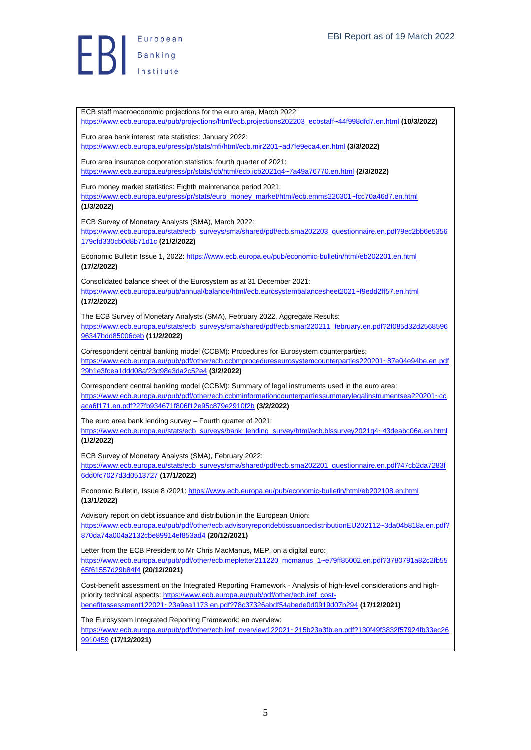**ED** Banking

ECB staff macroeconomic projections for the euro area, March 2022: [https://www.ecb.europa.eu/pub/projections/html/ecb.projections202203\\_ecbstaff~44f998dfd7.en.html](https://www.ecb.europa.eu/pub/projections/html/ecb.projections202203_ecbstaff~44f998dfd7.en.html) **(10/3/2022)** Euro area bank interest rate statistics: January 2022: <https://www.ecb.europa.eu/press/pr/stats/mfi/html/ecb.mir2201~ad7fe9eca4.en.html> **(3/3/2022)** Euro area insurance corporation statistics: fourth quarter of 2021: <https://www.ecb.europa.eu/press/pr/stats/icb/html/ecb.icb2021q4~7a49a76770.en.html> **(2/3/2022)** Euro money market statistics: Eighth maintenance period 2021: [https://www.ecb.europa.eu/press/pr/stats/euro\\_money\\_market/html/ecb.emms220301~fcc70a46d7.en.html](https://www.ecb.europa.eu/press/pr/stats/euro_money_market/html/ecb.emms220301~fcc70a46d7.en.html) **(1/3/2022)** ECB Survey of Monetary Analysts (SMA), March 2022: [https://www.ecb.europa.eu/stats/ecb\\_surveys/sma/shared/pdf/ecb.sma202203\\_questionnaire.en.pdf?9ec2bb6e5356](https://www.ecb.europa.eu/stats/ecb_surveys/sma/shared/pdf/ecb.sma202203_questionnaire.en.pdf?9ec2bb6e5356179cfd330cb0d8b71d1c) [179cfd330cb0d8b71d1c](https://www.ecb.europa.eu/stats/ecb_surveys/sma/shared/pdf/ecb.sma202203_questionnaire.en.pdf?9ec2bb6e5356179cfd330cb0d8b71d1c) **(21/2/2022)** Economic Bulletin Issue 1, 2022:<https://www.ecb.europa.eu/pub/economic-bulletin/html/eb202201.en.html> **(17/2/2022)** Consolidated balance sheet of the Eurosystem as at 31 December 2021: <https://www.ecb.europa.eu/pub/annual/balance/html/ecb.eurosystembalancesheet2021~f9edd2ff57.en.html> **(17/2/2022)** The ECB Survey of Monetary Analysts (SMA), February 2022, Aggregate Results: [https://www.ecb.europa.eu/stats/ecb\\_surveys/sma/shared/pdf/ecb.smar220211\\_february.en.pdf?2f085d32d2568596](https://www.ecb.europa.eu/stats/ecb_surveys/sma/shared/pdf/ecb.smar220211_february.en.pdf?2f085d32d256859696347bdd85006ceb) [96347bdd85006ceb](https://www.ecb.europa.eu/stats/ecb_surveys/sma/shared/pdf/ecb.smar220211_february.en.pdf?2f085d32d256859696347bdd85006ceb) **(11/2/2022)** Correspondent central banking model (CCBM): Procedures for Eurosystem counterparties: [https://www.ecb.europa.eu/pub/pdf/other/ecb.ccbmprocedureseurosystemcounterparties220201~87e04e94be.en.pdf](https://www.ecb.europa.eu/pub/pdf/other/ecb.ccbmprocedureseurosystemcounterparties220201~87e04e94be.en.pdf?9b1e3fcea1ddd08af23d98e3da2c52e4) [?9b1e3fcea1ddd08af23d98e3da2c52e4](https://www.ecb.europa.eu/pub/pdf/other/ecb.ccbmprocedureseurosystemcounterparties220201~87e04e94be.en.pdf?9b1e3fcea1ddd08af23d98e3da2c52e4) **(3/2/2022)** Correspondent central banking model (CCBM): Summary of legal instruments used in the euro area: [https://www.ecb.europa.eu/pub/pdf/other/ecb.ccbminformationcounterpartiessummarylegalinstrumentsea220201~cc](https://www.ecb.europa.eu/pub/pdf/other/ecb.ccbminformationcounterpartiessummarylegalinstrumentsea220201~ccaca6f171.en.pdf?27fb934671f806f12e95c879e2910f2b) [aca6f171.en.pdf?27fb934671f806f12e95c879e2910f2b](https://www.ecb.europa.eu/pub/pdf/other/ecb.ccbminformationcounterpartiessummarylegalinstrumentsea220201~ccaca6f171.en.pdf?27fb934671f806f12e95c879e2910f2b) **(3/2/2022)** The euro area bank lending survey – Fourth quarter of 2021: [https://www.ecb.europa.eu/stats/ecb\\_surveys/bank\\_lending\\_survey/html/ecb.blssurvey2021q4~43deabc06e.en.html](https://www.ecb.europa.eu/stats/ecb_surveys/bank_lending_survey/html/ecb.blssurvey2021q4~43deabc06e.en.html) **(1/2/2022)** ECB Survey of Monetary Analysts (SMA), February 2022: [https://www.ecb.europa.eu/stats/ecb\\_surveys/sma/shared/pdf/ecb.sma202201\\_questionnaire.en.pdf?47cb2da7283f](https://www.ecb.europa.eu/stats/ecb_surveys/sma/shared/pdf/ecb.sma202201_questionnaire.en.pdf?47cb2da7283f6dd0fc7027d3d0513727) [6dd0fc7027d3d0513727](https://www.ecb.europa.eu/stats/ecb_surveys/sma/shared/pdf/ecb.sma202201_questionnaire.en.pdf?47cb2da7283f6dd0fc7027d3d0513727) **(17/1/2022)** Economic Bulletin, Issue 8 /2021[: https://www.ecb.europa.eu/pub/economic-bulletin/html/eb202108.en.html](https://www.ecb.europa.eu/pub/economic-bulletin/html/eb202108.en.html) **(13/1/2022)** Advisory report on debt issuance and distribution in the European Union: [https://www.ecb.europa.eu/pub/pdf/other/ecb.advisoryreportdebtissuancedistributionEU202112~3da04b818a.en.pdf?](https://www.ecb.europa.eu/pub/pdf/other/ecb.advisoryreportdebtissuancedistributionEU202112~3da04b818a.en.pdf?870da74a004a2132cbe89914ef853ad4) [870da74a004a2132cbe89914ef853ad4](https://www.ecb.europa.eu/pub/pdf/other/ecb.advisoryreportdebtissuancedistributionEU202112~3da04b818a.en.pdf?870da74a004a2132cbe89914ef853ad4) **(20/12/2021)** Letter from the ECB President to Mr Chris MacManus, MEP, on a digital euro: [https://www.ecb.europa.eu/pub/pdf/other/ecb.mepletter211220\\_mcmanus\\_1~e79ff85002.en.pdf?3780791a82c2fb55](https://www.ecb.europa.eu/pub/pdf/other/ecb.mepletter211220_mcmanus_1~e79ff85002.en.pdf?3780791a82c2fb5565f61557d29b84f4) [65f61557d29b84f4](https://www.ecb.europa.eu/pub/pdf/other/ecb.mepletter211220_mcmanus_1~e79ff85002.en.pdf?3780791a82c2fb5565f61557d29b84f4) **(20/12/2021)** Cost-benefit assessment on the Integrated Reporting Framework - Analysis of high-level considerations and high-priority technical aspects[: https://www.ecb.europa.eu/pub/pdf/other/ecb.iref\\_cost](https://www.ecb.europa.eu/pub/pdf/other/ecb.iref_cost-benefitassessment122021~23a9ea1173.en.pdf?78c37326abdf54abede0d0919d07b294)[benefitassessment122021~23a9ea1173.en.pdf?78c37326abdf54abede0d0919d07b294](https://www.ecb.europa.eu/pub/pdf/other/ecb.iref_cost-benefitassessment122021~23a9ea1173.en.pdf?78c37326abdf54abede0d0919d07b294) **(17/12/2021)** The Eurosystem Integrated Reporting Framework: an overview: [https://www.ecb.europa.eu/pub/pdf/other/ecb.iref\\_overview122021~215b23a3fb.en.pdf?130f49f3832f57924fb33ec26](https://www.ecb.europa.eu/pub/pdf/other/ecb.iref_overview122021~215b23a3fb.en.pdf?130f49f3832f57924fb33ec269910459) [9910459](https://www.ecb.europa.eu/pub/pdf/other/ecb.iref_overview122021~215b23a3fb.en.pdf?130f49f3832f57924fb33ec269910459) **(17/12/2021)**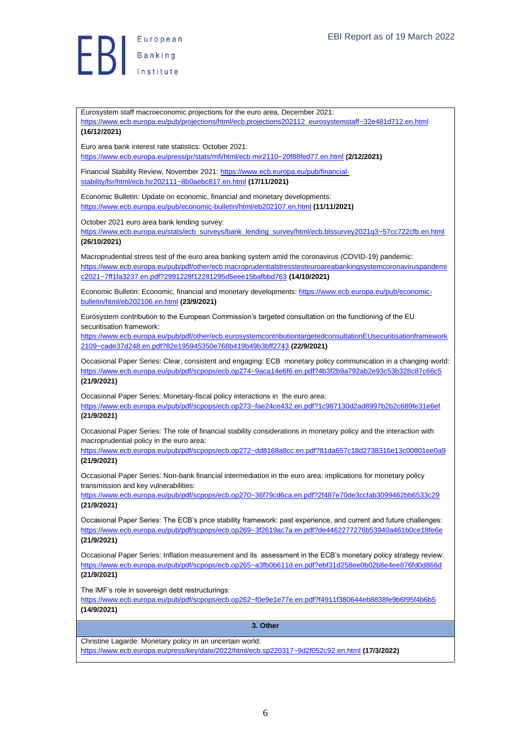

<span id="page-5-0"></span>Eurosystem staff macroeconomic projections for the euro area, December 2021: [https://www.ecb.europa.eu/pub/projections/html/ecb.projections202112\\_eurosystemstaff~32e481d712.en.html](https://www.ecb.europa.eu/pub/projections/html/ecb.projections202112_eurosystemstaff~32e481d712.en.html) **(16/12/2021)** Euro area bank interest rate statistics: October 2021: <https://www.ecb.europa.eu/press/pr/stats/mfi/html/ecb.mir2110~20f88fed77.en.html> **(2/12/2021)** Financial Stability Review, November 2021: [https://www.ecb.europa.eu/pub/financial](https://www.ecb.europa.eu/pub/financial-stability/fsr/html/ecb.fsr202111~8b0aebc817.en.html)[stability/fsr/html/ecb.fsr202111~8b0aebc817.en.html](https://www.ecb.europa.eu/pub/financial-stability/fsr/html/ecb.fsr202111~8b0aebc817.en.html) **(17/11/2021)** Economic Bulletin: Update on economic, financial and monetary developments: <https://www.ecb.europa.eu/pub/economic-bulletin/html/eb202107.en.html> **(11/11/2021)** October 2021 euro area bank lending survey: [https://www.ecb.europa.eu/stats/ecb\\_surveys/bank\\_lending\\_survey/html/ecb.blssurvey2021q3~57cc722cfb.en.html](https://www.ecb.europa.eu/stats/ecb_surveys/bank_lending_survey/html/ecb.blssurvey2021q3~57cc722cfb.en.html) **(26/10/2021)** Macroprudential stress test of the euro area banking system amid the coronavirus (COVID-19) pandemic: [https://www.ecb.europa.eu/pub/pdf/other/ecb.macroprudentialstresstesteuroareabankingsystemcoronaviruspandemi](https://www.ecb.europa.eu/pub/pdf/other/ecb.macroprudentialstresstesteuroareabankingsystemcoronaviruspandemic2021~7ff1fa3237.en.pdf?2991228f12281295d5eee15bafbbd763) [c2021~7ff1fa3237.en.pdf?2991228f12281295d5eee15bafbbd763](https://www.ecb.europa.eu/pub/pdf/other/ecb.macroprudentialstresstesteuroareabankingsystemcoronaviruspandemic2021~7ff1fa3237.en.pdf?2991228f12281295d5eee15bafbbd763) **(14/10/2021)** Economic Bulletin: Economic, financial and monetary developments[: https://www.ecb.europa.eu/pub/economic](https://www.ecb.europa.eu/pub/economic-bulletin/html/eb202106.en.html)[bulletin/html/eb202106.en.html](https://www.ecb.europa.eu/pub/economic-bulletin/html/eb202106.en.html) **(23/9/2021)** Eurosystem contribution to the European Commission's targeted consultation on the functioning of the EU securitisation framework: [https://www.ecb.europa.eu/pub/pdf/other/ecb.eurosystemcontributiontargetedconsultationEUsecuritisationframework](https://www.ecb.europa.eu/pub/pdf/other/ecb.eurosystemcontributiontargetedconsultationEUsecuritisationframework2109~cade37d248.en.pdf?82e195945350e768b419b49b3bff2743) [2109~cade37d248.en.pdf?82e195945350e768b419b49b3bff2743](https://www.ecb.europa.eu/pub/pdf/other/ecb.eurosystemcontributiontargetedconsultationEUsecuritisationframework2109~cade37d248.en.pdf?82e195945350e768b419b49b3bff2743) **(22/9/2021)** Occasional Paper Series: Clear, consistent and engaging: ECB monetary policy communication in a changing world: <https://www.ecb.europa.eu/pub/pdf/scpops/ecb.op274~9aca14e6f6.en.pdf?4b3f2b9a792ab2e93c53b328c87c66c5> **(21/9/2021)** Occasional Paper Series: Monetary-fiscal policy interactions in the euro area: <https://www.ecb.europa.eu/pub/pdf/scpops/ecb.op273~fae24ce432.en.pdf?1c987130d2ad8997b2b2c689fe31e6ef> **(21/9/2021)** Occasional Paper Series: The role of financial stability considerations in monetary policy and the interaction with macroprudential policy in the euro area: <https://www.ecb.europa.eu/pub/pdf/scpops/ecb.op272~dd8168a8cc.en.pdf?81da657c18d2738316e13c00801ee0a9> **(21/9/2021)** Occasional Paper Series: Non-bank financial intermediation in the euro area: implications for monetary policy transmission and key vulnerabilities: <https://www.ecb.europa.eu/pub/pdf/scpops/ecb.op270~36f79cd6ca.en.pdf?2f487e70de3ccfab3099462bb6533c29> **(21/9/2021)** Occasional Paper Series: The ECB's price stability framework: past experience, and current and future challenges: <https://www.ecb.europa.eu/pub/pdf/scpops/ecb.op269~3f2619ac7a.en.pdf?de4462277276b53940a461b0ce18fe6e> **(21/9/2021)** Occasional Paper Series: Inflation measurement and its assessment in the ECB's monetary policy strategy review: <https://www.ecb.europa.eu/pub/pdf/scpops/ecb.op265~a3fb0b611d.en.pdf?ebf31d258ee0b02b8e4ee876fd0d866d> **(21/9/2021)** The IMF's role in sovereign debt restructurings: <https://www.ecb.europa.eu/pub/pdf/scpops/ecb.op262~f0e9e1e77e.en.pdf?f4911f380644eb8838fe9b6f95f4b6b5> **(14/9/2021) 3. Other** Christine Lagarde: Monetary policy in an uncertain world: <https://www.ecb.europa.eu/press/key/date/2022/html/ecb.sp220317~9d2f052c92.en.html> **(17/3/2022)**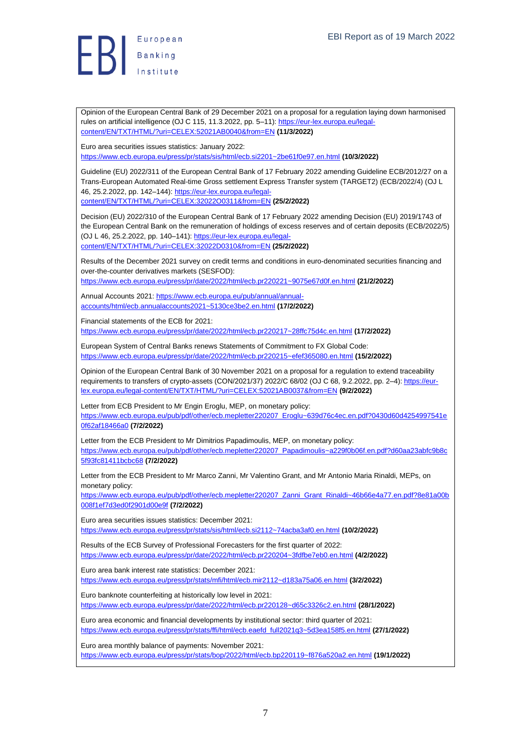

Opinion of the European Central Bank of 29 December 2021 on a proposal for a regulation laying down harmonised rules on artificial intelligence (OJ C 115, 11.3.2022, pp. 5–11)[: https://eur-lex.europa.eu/legal](https://eur-lex.europa.eu/legal-content/EN/TXT/HTML/?uri=CELEX:52021AB0040&from=EN)[content/EN/TXT/HTML/?uri=CELEX:52021AB0040&from=EN](https://eur-lex.europa.eu/legal-content/EN/TXT/HTML/?uri=CELEX:52021AB0040&from=EN) **(11/3/2022)**

Euro area securities issues statistics: January 2022: <https://www.ecb.europa.eu/press/pr/stats/sis/html/ecb.si2201~2be61f0e97.en.html> **(10/3/2022)**

Guideline (EU) 2022/311 of the European Central Bank of 17 February 2022 amending Guideline ECB/2012/27 on a Trans-European Automated Real-time Gross settlement Express Transfer system (TARGET2) (ECB/2022/4) (OJ L 46, 25.2.2022, pp. 142–144)[: https://eur-lex.europa.eu/legal](https://eur-lex.europa.eu/legal-content/EN/TXT/HTML/?uri=CELEX:32022O0311&from=EN)[content/EN/TXT/HTML/?uri=CELEX:32022O0311&from=EN](https://eur-lex.europa.eu/legal-content/EN/TXT/HTML/?uri=CELEX:32022O0311&from=EN) **(25/2/2022)**

Decision (EU) 2022/310 of the European Central Bank of 17 February 2022 amending Decision (EU) 2019/1743 of the European Central Bank on the remuneration of holdings of excess reserves and of certain deposits (ECB/2022/5) (OJ L 46, 25.2.2022, pp. 140–141): [https://eur-lex.europa.eu/legal](https://eur-lex.europa.eu/legal-content/EN/TXT/HTML/?uri=CELEX:32022D0310&from=EN)[content/EN/TXT/HTML/?uri=CELEX:32022D0310&from=EN](https://eur-lex.europa.eu/legal-content/EN/TXT/HTML/?uri=CELEX:32022D0310&from=EN) **(25/2/2022)**

Results of the December 2021 survey on credit terms and conditions in euro-denominated securities financing and over-the-counter derivatives markets (SESFOD):

<https://www.ecb.europa.eu/press/pr/date/2022/html/ecb.pr220221~9075e67d0f.en.html> **(21/2/2022)**

Annual Accounts 2021[: https://www.ecb.europa.eu/pub/annual/annual](https://www.ecb.europa.eu/pub/annual/annual-accounts/html/ecb.annualaccounts2021~5130ce3be2.en.html)[accounts/html/ecb.annualaccounts2021~5130ce3be2.en.html](https://www.ecb.europa.eu/pub/annual/annual-accounts/html/ecb.annualaccounts2021~5130ce3be2.en.html) **(17/2/2022)**

Financial statements of the ECB for 2021: <https://www.ecb.europa.eu/press/pr/date/2022/html/ecb.pr220217~28ffc75d4c.en.html> **(17/2/2022)**

European System of Central Banks renews Statements of Commitment to FX Global Code: <https://www.ecb.europa.eu/press/pr/date/2022/html/ecb.pr220215~efef365080.en.html> **(15/2/2022)**

Opinion of the European Central Bank of 30 November 2021 on a proposal for a regulation to extend traceability requirements to transfers of crypto-assets (CON/2021/37) 2022/C 68/02 (OJ C 68, 9.2.2022, pp. 2-4)[: https://eur](https://eur-lex.europa.eu/legal-content/EN/TXT/HTML/?uri=CELEX:52021AB0037&from=EN)[lex.europa.eu/legal-content/EN/TXT/HTML/?uri=CELEX:52021AB0037&from=EN](https://eur-lex.europa.eu/legal-content/EN/TXT/HTML/?uri=CELEX:52021AB0037&from=EN) **(9/2/2022)**

Letter from ECB President to Mr Engin Eroglu, MEP, on monetary policy: [https://www.ecb.europa.eu/pub/pdf/other/ecb.mepletter220207\\_Eroglu~639d76c4ec.en.pdf?0430d60d4254997541e](https://www.ecb.europa.eu/pub/pdf/other/ecb.mepletter220207_Eroglu~639d76c4ec.en.pdf?0430d60d4254997541e0f62af18466a0) [0f62af18466a0](https://www.ecb.europa.eu/pub/pdf/other/ecb.mepletter220207_Eroglu~639d76c4ec.en.pdf?0430d60d4254997541e0f62af18466a0) **(7/2/2022)**

Letter from the ECB President to Mr Dimitrios Papadimoulis, MEP, on monetary policy: [https://www.ecb.europa.eu/pub/pdf/other/ecb.mepletter220207\\_Papadimoulis~a229f0b06f.en.pdf?d60aa23abfc9b8c](https://www.ecb.europa.eu/pub/pdf/other/ecb.mepletter220207_Papadimoulis~a229f0b06f.en.pdf?d60aa23abfc9b8c5f93fc81411bcbc68) [5f93fc81411bcbc68](https://www.ecb.europa.eu/pub/pdf/other/ecb.mepletter220207_Papadimoulis~a229f0b06f.en.pdf?d60aa23abfc9b8c5f93fc81411bcbc68) **(7/2/2022)**

Letter from the ECB President to Mr Marco Zanni, Mr Valentino Grant, and Mr Antonio Maria Rinaldi, MEPs, on monetary policy:

[https://www.ecb.europa.eu/pub/pdf/other/ecb.mepletter220207\\_Zanni\\_Grant\\_Rinaldi~46b66e4a77.en.pdf?8e81a00b](https://www.ecb.europa.eu/pub/pdf/other/ecb.mepletter220207_Zanni_Grant_Rinaldi~46b66e4a77.en.pdf?8e81a00b008f1ef7d3ed0f2901d00e9f) [008f1ef7d3ed0f2901d00e9f](https://www.ecb.europa.eu/pub/pdf/other/ecb.mepletter220207_Zanni_Grant_Rinaldi~46b66e4a77.en.pdf?8e81a00b008f1ef7d3ed0f2901d00e9f) **(7/2/2022)**

Euro area securities issues statistics: December 2021: <https://www.ecb.europa.eu/press/pr/stats/sis/html/ecb.si2112~74acba3af0.en.html> **(10/2/2022)**

Results of the ECB Survey of Professional Forecasters for the first quarter of 2022: <https://www.ecb.europa.eu/press/pr/date/2022/html/ecb.pr220204~3fdfbe7eb0.en.html> **(4/2/2022)**

Euro area bank interest rate statistics: December 2021: <https://www.ecb.europa.eu/press/pr/stats/mfi/html/ecb.mir2112~d183a75a06.en.html> **(3/2/2022)**

Euro banknote counterfeiting at historically low level in 2021: <https://www.ecb.europa.eu/press/pr/date/2022/html/ecb.pr220128~d65c3326c2.en.html> **(28/1/2022)**

Euro area economic and financial developments by institutional sector: third quarter of 2021: [https://www.ecb.europa.eu/press/pr/stats/ffi/html/ecb.eaefd\\_full2021q3~5d3ea158f5.en.html](https://www.ecb.europa.eu/press/pr/stats/ffi/html/ecb.eaefd_full2021q3~5d3ea158f5.en.html) **(27/1/2022)**

Euro area monthly balance of payments: November 2021: <https://www.ecb.europa.eu/press/pr/stats/bop/2022/html/ecb.bp220119~f876a520a2.en.html> **(19/1/2022)**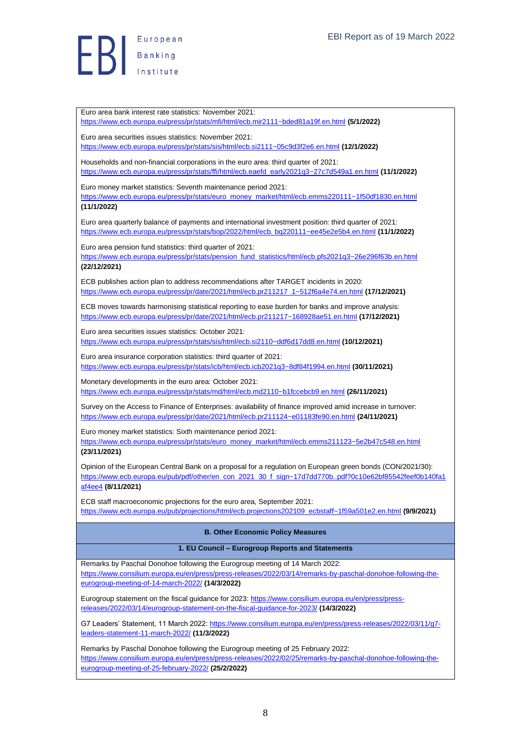$\begin{array}{c} \begin{array}{|c} \hline \end{array} \\ \hline \end{array}$ 

Euro area bank interest rate statistics: November 2021:

Euro area securities issues statistics: November 2021:

<https://www.ecb.europa.eu/press/pr/stats/mfi/html/ecb.mir2111~bded81a19f.en.html> **(5/1/2022)**

<https://www.ecb.europa.eu/press/pr/stats/sis/html/ecb.si2111~05c9d3f2e6.en.html> **(12/1/2022)**

[https://www.ecb.europa.eu/press/pr/stats/ffi/html/ecb.eaefd\\_early2021q3~27c7d549a1.en.html](https://www.ecb.europa.eu/press/pr/stats/ffi/html/ecb.eaefd_early2021q3~27c7d549a1.en.html) **(11/1/2022)**

Households and non-financial corporations in the euro area: third quarter of 2021:

<span id="page-7-1"></span><span id="page-7-0"></span>8 Euro money market statistics: Seventh maintenance period 2021: [https://www.ecb.europa.eu/press/pr/stats/euro\\_money\\_market/html/ecb.emms220111~1f50df1830.en.html](https://www.ecb.europa.eu/press/pr/stats/euro_money_market/html/ecb.emms220111~1f50df1830.en.html) **(11/1/2022)** Euro area quarterly balance of payments and international investment position: third quarter of 2021: [https://www.ecb.europa.eu/press/pr/stats/bop/2022/html/ecb. bq220111~ee45e2e5b4.en.html](https://www.ecb.europa.eu/press/pr/stats/bop/2022/html/ecb.%20bq220111~ee45e2e5b4.en.html) **(11/1/2022)** Euro area pension fund statistics: third quarter of 2021: [https://www.ecb.europa.eu/press/pr/stats/pension\\_fund\\_statistics/html/ecb.pfs2021q3~26e296f63b.en.html](https://www.ecb.europa.eu/press/pr/stats/pension_fund_statistics/html/ecb.pfs2021q3~26e296f63b.en.html) **(22/12/2021)** ECB publishes action plan to address recommendations after TARGET incidents in 2020: [https://www.ecb.europa.eu/press/pr/date/2021/html/ecb.pr211217\\_1~512f6a4e74.en.html](https://www.ecb.europa.eu/press/pr/date/2021/html/ecb.pr211217_1~512f6a4e74.en.html) **(17/12/2021)** ECB moves towards harmonising statistical reporting to ease burden for banks and improve analysis: <https://www.ecb.europa.eu/press/pr/date/2021/html/ecb.pr211217~168928ae51.en.html> **(17/12/2021)** Euro area securities issues statistics: October 2021: <https://www.ecb.europa.eu/press/pr/stats/sis/html/ecb.si2110~ddf6d17dd8.en.html> **(10/12/2021)** Euro area insurance corporation statistics: third quarter of 2021: <https://www.ecb.europa.eu/press/pr/stats/icb/html/ecb.icb2021q3~8df84f1994.en.html> **(30/11/2021)** Monetary developments in the euro area: October 2021: <https://www.ecb.europa.eu/press/pr/stats/md/html/ecb.md2110~b1fccebcb9.en.html> **(26/11/2021)** Survey on the Access to Finance of Enterprises: availability of finance improved amid increase in turnover: <https://www.ecb.europa.eu/press/pr/date/2021/html/ecb.pr211124~e01183fe90.en.html> **(24/11/2021)** Euro money market statistics: Sixth maintenance period 2021: [https://www.ecb.europa.eu/press/pr/stats/euro\\_money\\_market/html/ecb.emms211123~5e2b47c548.en.html](https://www.ecb.europa.eu/press/pr/stats/euro_money_market/html/ecb.emms211123~5e2b47c548.en.html) **(23/11/2021)** Opinion of the European Central Bank on a proposal for a regulation on European green bonds (CON/2021/30): [https://www.ecb.europa.eu/pub/pdf/other/en\\_con\\_2021\\_30\\_f\\_sign~17d7dd770b..pdf?0c10e62bf85542feef0b140fa1](https://www.ecb.europa.eu/pub/pdf/other/en_con_2021_30_f_sign~17d7dd770b..pdf?0c10e62bf85542feef0b140fa1af4ee4) [af4ee4](https://www.ecb.europa.eu/pub/pdf/other/en_con_2021_30_f_sign~17d7dd770b..pdf?0c10e62bf85542feef0b140fa1af4ee4) **(8/11/2021)** ECB staff macroeconomic projections for the euro area, September 2021: [https://www.ecb.europa.eu/pub/projections/html/ecb.projections202109\\_ecbstaff~1f59a501e2.en.html](https://www.ecb.europa.eu/pub/projections/html/ecb.projections202109_ecbstaff~1f59a501e2.en.html) **(9/9/2021) B. Other Economic Policy Measures 1. EU Council – Eurogroup Reports and Statements** Remarks by Paschal Donohoe following the Eurogroup meeting of 14 March 2022: [https://www.consilium.europa.eu/en/press/press-releases/2022/03/14/remarks-by-paschal-donohoe-following-the](https://www.consilium.europa.eu/en/press/press-releases/2022/03/14/remarks-by-paschal-donohoe-following-the-eurogroup-meeting-of-14-march-2022/)[eurogroup-meeting-of-14-march-2022/](https://www.consilium.europa.eu/en/press/press-releases/2022/03/14/remarks-by-paschal-donohoe-following-the-eurogroup-meeting-of-14-march-2022/) **(14/3/2022)** Eurogroup statement on the fiscal guidance for 2023: [https://www.consilium.europa.eu/en/press/press](https://www.consilium.europa.eu/en/press/press-releases/2022/03/14/eurogroup-statement-on-the-fiscal-guidance-for-2023/)[releases/2022/03/14/eurogroup-statement-on-the-fiscal-guidance-for-2023/](https://www.consilium.europa.eu/en/press/press-releases/2022/03/14/eurogroup-statement-on-the-fiscal-guidance-for-2023/) **(14/3/2022)** G7 Leaders' Statement, 11 March 2022: [https://www.consilium.europa.eu/en/press/press-releases/2022/03/11/g7](https://www.consilium.europa.eu/en/press/press-releases/2022/03/11/g7-leaders-statement-11-march-2022/) [leaders-statement-11-march-2022/](https://www.consilium.europa.eu/en/press/press-releases/2022/03/11/g7-leaders-statement-11-march-2022/) **(11/3/2022)** Remarks by Paschal Donohoe following the Eurogroup meeting of 25 February 2022: [https://www.consilium.europa.eu/en/press/press-releases/2022/02/25/remarks-by-paschal-donohoe-following-the](https://www.consilium.europa.eu/en/press/press-releases/2022/02/25/remarks-by-paschal-donohoe-following-the-eurogroup-meeting-of-25-february-2022/)[eurogroup-meeting-of-25-february-2022/](https://www.consilium.europa.eu/en/press/press-releases/2022/02/25/remarks-by-paschal-donohoe-following-the-eurogroup-meeting-of-25-february-2022/) **(25/2/2022)**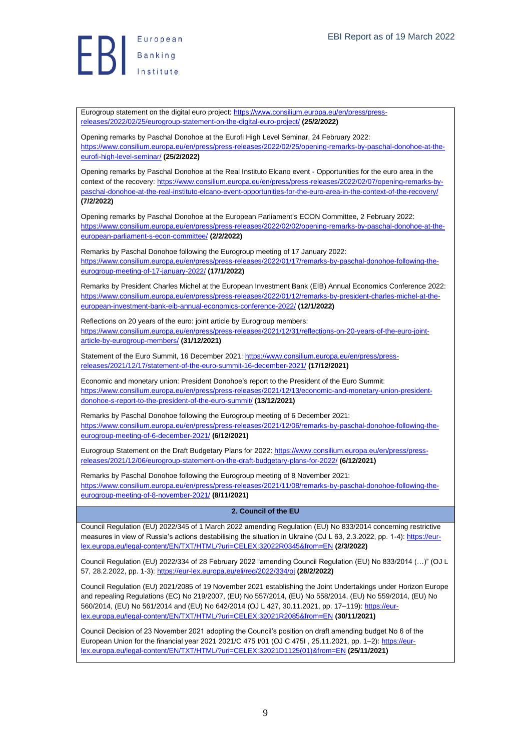**Exerche Suropean** 

Eurogroup statement on the digital euro project: [https://www.consilium.europa.eu/en/press/press](https://www.consilium.europa.eu/en/press/press-releases/2022/02/25/eurogroup-statement-on-the-digital-euro-project/)[releases/2022/02/25/eurogroup-statement-on-the-digital-euro-project/](https://www.consilium.europa.eu/en/press/press-releases/2022/02/25/eurogroup-statement-on-the-digital-euro-project/) **(25/2/2022)**

Opening remarks by Paschal Donohoe at the Eurofi High Level Seminar, 24 February 2022: [https://www.consilium.europa.eu/en/press/press-releases/2022/02/25/opening-remarks-by-paschal-donohoe-at-the](https://www.consilium.europa.eu/en/press/press-releases/2022/02/25/opening-remarks-by-paschal-donohoe-at-the-eurofi-high-level-seminar/)[eurofi-high-level-seminar/](https://www.consilium.europa.eu/en/press/press-releases/2022/02/25/opening-remarks-by-paschal-donohoe-at-the-eurofi-high-level-seminar/) **(25/2/2022)**

Opening remarks by Paschal Donohoe at the Real Instituto Elcano event - Opportunities for the euro area in the context of the recovery: [https://www.consilium.europa.eu/en/press/press-releases/2022/02/07/opening-remarks-by](https://www.consilium.europa.eu/en/press/press-releases/2022/02/07/opening-remarks-by-paschal-donohoe-at-the-real-instituto-elcano-event-opportunities-for-the-euro-area-in-the-context-of-the-recovery/)[paschal-donohoe-at-the-real-instituto-elcano-event-opportunities-for-the-euro-area-in-the-context-of-the-recovery/](https://www.consilium.europa.eu/en/press/press-releases/2022/02/07/opening-remarks-by-paschal-donohoe-at-the-real-instituto-elcano-event-opportunities-for-the-euro-area-in-the-context-of-the-recovery/) **(7/2/2022)**

Opening remarks by Paschal Donohoe at the European Parliament's ECON Committee, 2 February 2022: [https://www.consilium.europa.eu/en/press/press-releases/2022/02/02/opening-remarks-by-paschal-donohoe-at-the](https://www.consilium.europa.eu/en/press/press-releases/2022/02/02/opening-remarks-by-paschal-donohoe-at-the-european-parliament-s-econ-committee/)[european-parliament-s-econ-committee/](https://www.consilium.europa.eu/en/press/press-releases/2022/02/02/opening-remarks-by-paschal-donohoe-at-the-european-parliament-s-econ-committee/) **(2/2/2022)**

Remarks by Paschal Donohoe following the Eurogroup meeting of 17 January 2022: [https://www.consilium.europa.eu/en/press/press-releases/2022/01/17/remarks-by-paschal-donohoe-following-the](https://www.consilium.europa.eu/en/press/press-releases/2022/01/17/remarks-by-paschal-donohoe-following-the-eurogroup-meeting-of-17-january-2022/)[eurogroup-meeting-of-17-january-2022/](https://www.consilium.europa.eu/en/press/press-releases/2022/01/17/remarks-by-paschal-donohoe-following-the-eurogroup-meeting-of-17-january-2022/) **(17/1/2022)**

Remarks by President Charles Michel at the European Investment Bank (EIB) Annual Economics Conference 2022: [https://www.consilium.europa.eu/en/press/press-releases/2022/01/12/remarks-by-president-charles-michel-at-the](https://www.consilium.europa.eu/en/press/press-releases/2022/01/12/remarks-by-president-charles-michel-at-the-european-investment-bank-eib-annual-economics-conference-2022/)[european-investment-bank-eib-annual-economics-conference-2022/](https://www.consilium.europa.eu/en/press/press-releases/2022/01/12/remarks-by-president-charles-michel-at-the-european-investment-bank-eib-annual-economics-conference-2022/) **(12/1/2022)**

Reflections on 20 years of the euro: joint article by Eurogroup members: [https://www.consilium.europa.eu/en/press/press-releases/2021/12/31/reflections-on-20-years-of-the-euro-joint](https://www.consilium.europa.eu/en/press/press-releases/2021/12/31/reflections-on-20-years-of-the-euro-joint-article-by-eurogroup-members/)[article-by-eurogroup-members/](https://www.consilium.europa.eu/en/press/press-releases/2021/12/31/reflections-on-20-years-of-the-euro-joint-article-by-eurogroup-members/) **(31/12/2021)**

Statement of the Euro Summit, 16 December 2021: [https://www.consilium.europa.eu/en/press/press](https://www.consilium.europa.eu/en/press/press-releases/2021/12/17/statement-of-the-euro-summit-16-december-2021/)[releases/2021/12/17/statement-of-the-euro-summit-16-december-2021/](https://www.consilium.europa.eu/en/press/press-releases/2021/12/17/statement-of-the-euro-summit-16-december-2021/) **(17/12/2021)**

Economic and monetary union: President Donohoe's report to the President of the Euro Summit: [https://www.consilium.europa.eu/en/press/press-releases/2021/12/13/economic-and-monetary-union-president](https://www.consilium.europa.eu/en/press/press-releases/2021/12/13/economic-and-monetary-union-president-donohoe-s-report-to-the-president-of-the-euro-summit/)[donohoe-s-report-to-the-president-of-the-euro-summit/](https://www.consilium.europa.eu/en/press/press-releases/2021/12/13/economic-and-monetary-union-president-donohoe-s-report-to-the-president-of-the-euro-summit/) **(13/12/2021)**

Remarks by Paschal Donohoe following the Eurogroup meeting of 6 December 2021: [https://www.consilium.europa.eu/en/press/press-releases/2021/12/06/remarks-by-paschal-donohoe-following-the](https://www.consilium.europa.eu/en/press/press-releases/2021/12/06/remarks-by-paschal-donohoe-following-the-eurogroup-meeting-of-6-december-2021/)[eurogroup-meeting-of-6-december-2021/](https://www.consilium.europa.eu/en/press/press-releases/2021/12/06/remarks-by-paschal-donohoe-following-the-eurogroup-meeting-of-6-december-2021/) **(6/12/2021)**

Eurogroup Statement on the Draft Budgetary Plans for 2022[: https://www.consilium.europa.eu/en/press/press](https://www.consilium.europa.eu/en/press/press-releases/2021/12/06/eurogroup-statement-on-the-draft-budgetary-plans-for-2022/)[releases/2021/12/06/eurogroup-statement-on-the-draft-budgetary-plans-for-2022/](https://www.consilium.europa.eu/en/press/press-releases/2021/12/06/eurogroup-statement-on-the-draft-budgetary-plans-for-2022/) **(6/12/2021)**

Remarks by Paschal Donohoe following the Eurogroup meeting of 8 November 2021: [https://www.consilium.europa.eu/en/press/press-releases/2021/11/08/remarks-by-paschal-donohoe-following-the](https://www.consilium.europa.eu/en/press/press-releases/2021/11/08/remarks-by-paschal-donohoe-following-the-eurogroup-meeting-of-8-november-2021/)[eurogroup-meeting-of-8-november-2021/](https://www.consilium.europa.eu/en/press/press-releases/2021/11/08/remarks-by-paschal-donohoe-following-the-eurogroup-meeting-of-8-november-2021/) **(8/11/2021)**

## <span id="page-8-0"></span>**2. Council of the EU**

Council Regulation (EU) 2022/345 of 1 March 2022 amending Regulation (EU) No 833/2014 concerning restrictive measures in view of Russia's actions destabilising the situation in Ukraine (OJ L 63, 2.3.2022, pp. 1-4)[: https://eur](https://eur-lex.europa.eu/legal-content/EN/TXT/HTML/?uri=CELEX:32022R0345&from=EN)[lex.europa.eu/legal-content/EN/TXT/HTML/?uri=CELEX:32022R0345&from=EN](https://eur-lex.europa.eu/legal-content/EN/TXT/HTML/?uri=CELEX:32022R0345&from=EN) **(2/3/2022)**

Council Regulation (EU) 2022/334 of 28 February 2022 "amending Council Regulation (EU) No 833/2014 (…)" (OJ L 57, 28.2.2022, pp. 1-3):<https://eur-lex.europa.eu/eli/reg/2022/334/oj> **(28/2/2022)**

Council Regulation (EU) 2021/2085 of 19 November 2021 establishing the Joint Undertakings under Horizon Europe and repealing Regulations (EC) No 219/2007, (EU) No 557/2014, (EU) No 558/2014, (EU) No 559/2014, (EU) No 560/2014, (EU) No 561/2014 and (EU) No 642/2014 (OJ L 427, 30.11.2021, pp. 17–119)[: https://eur](https://eur-lex.europa.eu/legal-content/EN/TXT/HTML/?uri=CELEX:32021R2085&from=EN)[lex.europa.eu/legal-content/EN/TXT/HTML/?uri=CELEX:32021R2085&from=EN](https://eur-lex.europa.eu/legal-content/EN/TXT/HTML/?uri=CELEX:32021R2085&from=EN) **(30/11/2021)**

Council Decision of 23 November 2021 adopting the Council's position on draft amending budget No 6 of the European Union for the financial year 2021 2021/C 475 I/01 (OJ C 475I , 25.11.2021, pp. 1–2): [https://eur](https://eur-lex.europa.eu/legal-content/EN/TXT/HTML/?uri=CELEX:32021D1125(01)&from=EN)[lex.europa.eu/legal-content/EN/TXT/HTML/?uri=CELEX:32021D1125\(01\)&from=EN](https://eur-lex.europa.eu/legal-content/EN/TXT/HTML/?uri=CELEX:32021D1125(01)&from=EN) **(25/11/2021)**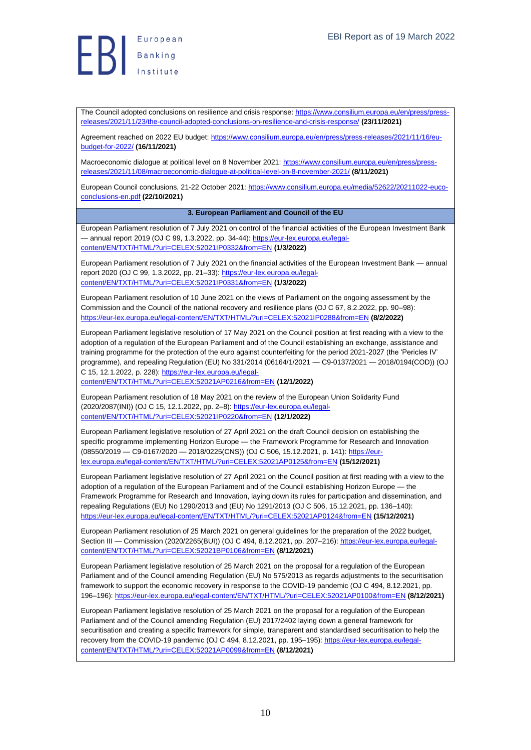

The Council adopted conclusions on resilience and crisis response[: https://www.consilium.europa.eu/en/press/press](https://www.consilium.europa.eu/en/press/press-releases/2021/11/23/the-council-adopted-conclusions-on-resilience-and-crisis-response/)[releases/2021/11/23/the-council-adopted-conclusions-on-resilience-and-crisis-response/](https://www.consilium.europa.eu/en/press/press-releases/2021/11/23/the-council-adopted-conclusions-on-resilience-and-crisis-response/) **(23/11/2021)**

Agreement reached on 2022 EU budget: [https://www.consilium.europa.eu/en/press/press-releases/2021/11/16/eu](https://www.consilium.europa.eu/en/press/press-releases/2021/11/16/eu-budget-for-2022/)[budget-for-2022/](https://www.consilium.europa.eu/en/press/press-releases/2021/11/16/eu-budget-for-2022/) **(16/11/2021)**

Macroeconomic dialogue at political level on 8 November 2021[: https://www.consilium.europa.eu/en/press/press](https://www.consilium.europa.eu/en/press/press-releases/2021/11/08/macroeconomic-dialogue-at-political-level-on-8-november-2021/)[releases/2021/11/08/macroeconomic-dialogue-at-political-level-on-8-november-2021/](https://www.consilium.europa.eu/en/press/press-releases/2021/11/08/macroeconomic-dialogue-at-political-level-on-8-november-2021/) **(8/11/2021)**

European Council conclusions, 21-22 October 2021[: https://www.consilium.europa.eu/media/52622/20211022-euco](https://www.consilium.europa.eu/media/52622/20211022-euco-conclusions-en.pdf)[conclusions-en.pdf](https://www.consilium.europa.eu/media/52622/20211022-euco-conclusions-en.pdf) **(22/10/2021)**

#### **3. European Parliament and Council of the EU**

<span id="page-9-0"></span>European Parliament resolution of 7 July 2021 on control of the financial activities of the European Investment Bank — annual report 2019 (OJ C 99, 1.3.2022, pp. 34-44)[: https://eur-lex.europa.eu/legal](https://eur-lex.europa.eu/legal-content/EN/TXT/HTML/?uri=CELEX:52021IP0332&from=EN)[content/EN/TXT/HTML/?uri=CELEX:52021IP0332&from=EN](https://eur-lex.europa.eu/legal-content/EN/TXT/HTML/?uri=CELEX:52021IP0332&from=EN) **(1/3/2022)**

European Parliament resolution of 7 July 2021 on the financial activities of the European Investment Bank — annual report 2020 (OJ C 99, 1.3.2022, pp. 21–33): [https://eur-lex.europa.eu/legal](https://eur-lex.europa.eu/legal-content/EN/TXT/HTML/?uri=CELEX:52021IP0331&from=EN)[content/EN/TXT/HTML/?uri=CELEX:52021IP0331&from=EN](https://eur-lex.europa.eu/legal-content/EN/TXT/HTML/?uri=CELEX:52021IP0331&from=EN) **(1/3/2022)**

European Parliament resolution of 10 June 2021 on the views of Parliament on the ongoing assessment by the Commission and the Council of the national recovery and resilience plans (OJ C 67, 8.2.2022, pp. 90–98): <https://eur-lex.europa.eu/legal-content/EN/TXT/HTML/?uri=CELEX:52021IP0288&from=EN> **(8/2/2022)**

European Parliament legislative resolution of 17 May 2021 on the Council position at first reading with a view to the adoption of a regulation of the European Parliament and of the Council establishing an exchange, assistance and training programme for the protection of the euro against counterfeiting for the period 2021-2027 (the 'Pericles IV' programme), and repealing Regulation (EU) No 331/2014 (06164/1/2021 — C9-0137/2021 — 2018/0194(COD)) (OJ C 15, 12.1.2022, p. 228)[: https://eur-lex.europa.eu/legal-](https://eur-lex.europa.eu/legal-content/EN/TXT/HTML/?uri=CELEX:52021AP0216&from=EN)

[content/EN/TXT/HTML/?uri=CELEX:52021AP0216&from=EN](https://eur-lex.europa.eu/legal-content/EN/TXT/HTML/?uri=CELEX:52021AP0216&from=EN) **(12/1/2022)**

European Parliament resolution of 18 May 2021 on the review of the European Union Solidarity Fund (2020/2087(INI)) (OJ C 15, 12.1.2022, pp. 2–8): [https://eur-lex.europa.eu/legal](https://eur-lex.europa.eu/legal-content/EN/TXT/HTML/?uri=CELEX:52021IP0220&from=EN)[content/EN/TXT/HTML/?uri=CELEX:52021IP0220&from=EN](https://eur-lex.europa.eu/legal-content/EN/TXT/HTML/?uri=CELEX:52021IP0220&from=EN) **(12/1/2022)**

European Parliament legislative resolution of 27 April 2021 on the draft Council decision on establishing the specific programme implementing Horizon Europe — the Framework Programme for Research and Innovation (08550/2019 — C9-0167/2020 — 2018/0225(CNS)) (OJ C 506, 15.12.2021, p. 141): [https://eur](https://eur-lex.europa.eu/legal-content/EN/TXT/HTML/?uri=CELEX:52021AP0125&from=EN)[lex.europa.eu/legal-content/EN/TXT/HTML/?uri=CELEX:52021AP0125&from=EN](https://eur-lex.europa.eu/legal-content/EN/TXT/HTML/?uri=CELEX:52021AP0125&from=EN) **(15/12/2021)**

European Parliament legislative resolution of 27 April 2021 on the Council position at first reading with a view to the adoption of a regulation of the European Parliament and of the Council establishing Horizon Europe — the Framework Programme for Research and Innovation, laying down its rules for participation and dissemination, and repealing Regulations (EU) No 1290/2013 and (EU) No 1291/2013 (OJ C 506, 15.12.2021, pp. 136–140): <https://eur-lex.europa.eu/legal-content/EN/TXT/HTML/?uri=CELEX:52021AP0124&from=EN> **(15/12/2021)**

European Parliament resolution of 25 March 2021 on general guidelines for the preparation of the 2022 budget, Section III — Commission (2020/2265(BUI)) (OJ C 494, 8.12.2021, pp. 207–216)[: https://eur-lex.europa.eu/legal](https://eur-lex.europa.eu/legal-content/EN/TXT/HTML/?uri=CELEX:52021BP0106&from=EN)[content/EN/TXT/HTML/?uri=CELEX:52021BP0106&from=EN](https://eur-lex.europa.eu/legal-content/EN/TXT/HTML/?uri=CELEX:52021BP0106&from=EN) **(8/12/2021)**

European Parliament legislative resolution of 25 March 2021 on the proposal for a regulation of the European Parliament and of the Council amending Regulation (EU) No 575/2013 as regards adjustments to the securitisation framework to support the economic recovery in response to the COVID-19 pandemic (OJ C 494, 8.12.2021, pp. 196–196):<https://eur-lex.europa.eu/legal-content/EN/TXT/HTML/?uri=CELEX:52021AP0100&from=EN> **(8/12/2021)**

European Parliament legislative resolution of 25 March 2021 on the proposal for a regulation of the European Parliament and of the Council amending Regulation (EU) 2017/2402 laying down a general framework for securitisation and creating a specific framework for simple, transparent and standardised securitisation to help the recovery from the COVID-19 pandemic (OJ C 494, 8.12.2021, pp. 195–195)[: https://eur-lex.europa.eu/legal](https://eur-lex.europa.eu/legal-content/EN/TXT/HTML/?uri=CELEX:52021AP0099&from=EN)[content/EN/TXT/HTML/?uri=CELEX:52021AP0099&from=EN](https://eur-lex.europa.eu/legal-content/EN/TXT/HTML/?uri=CELEX:52021AP0099&from=EN) **(8/12/2021)**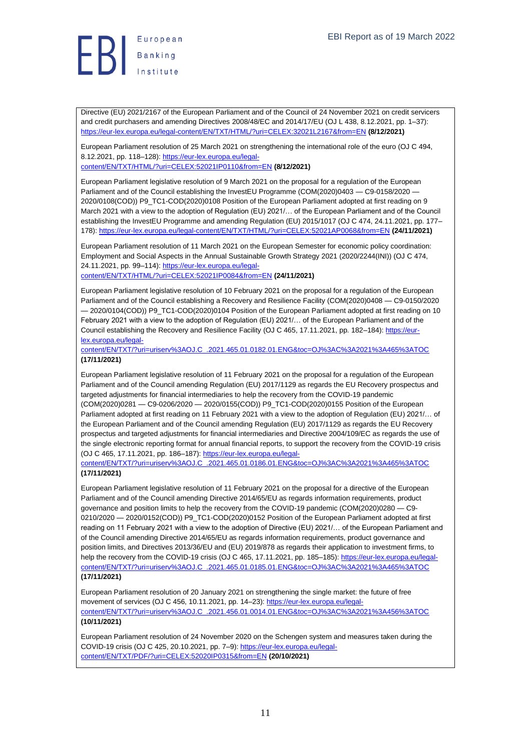

Directive (EU) 2021/2167 of the European Parliament and of the Council of 24 November 2021 on credit servicers and credit purchasers and amending Directives 2008/48/EC and 2014/17/EU (OJ L 438, 8.12.2021, pp. 1–37): <https://eur-lex.europa.eu/legal-content/EN/TXT/HTML/?uri=CELEX:32021L2167&from=EN> **(8/12/2021)**

European Parliament resolution of 25 March 2021 on strengthening the international role of the euro (OJ C 494, 8.12.2021, pp. 118-128): [https://eur-lex.europa.eu/legal](https://eur-lex.europa.eu/legal-content/EN/TXT/HTML/?uri=CELEX:52021IP0110&from=EN)[content/EN/TXT/HTML/?uri=CELEX:52021IP0110&from=EN](https://eur-lex.europa.eu/legal-content/EN/TXT/HTML/?uri=CELEX:52021IP0110&from=EN) **(8/12/2021)**

European Parliament legislative resolution of 9 March 2021 on the proposal for a regulation of the European Parliament and of the Council establishing the InvestEU Programme (COM(2020)0403 - C9-0158/2020 -2020/0108(COD)) P9\_TC1-COD(2020)0108 Position of the European Parliament adopted at first reading on 9 March 2021 with a view to the adoption of Regulation (EU) 2021/… of the European Parliament and of the Council establishing the InvestEU Programme and amending Regulation (EU) 2015/1017 (OJ C 474, 24.11.2021, pp. 177– 178):<https://eur-lex.europa.eu/legal-content/EN/TXT/HTML/?uri=CELEX:52021AP0068&from=EN> **(24/11/2021)**

European Parliament resolution of 11 March 2021 on the European Semester for economic policy coordination: Employment and Social Aspects in the Annual Sustainable Growth Strategy 2021 (2020/2244(INI)) (OJ C 474, 24.11.2021, pp. 99–114)[: https://eur-lex.europa.eu/legal](https://eur-lex.europa.eu/legal-content/EN/TXT/HTML/?uri=CELEX:52021IP0084&from=EN)[content/EN/TXT/HTML/?uri=CELEX:52021IP0084&from=EN](https://eur-lex.europa.eu/legal-content/EN/TXT/HTML/?uri=CELEX:52021IP0084&from=EN) **(24/11/2021)**

European Parliament legislative resolution of 10 February 2021 on the proposal for a regulation of the European Parliament and of the Council establishing a Recovery and Resilience Facility (COM(2020)0408 — C9-0150/2020 — 2020/0104(COD)) P9\_TC1-COD(2020)0104 Position of the European Parliament adopted at first reading on 10 February 2021 with a view to the adoption of Regulation (EU) 2021/… of the European Parliament and of the Council establishing the Recovery and Resilience Facility (OJ C 465, 17.11.2021, pp. 182–184)[: https://eur](https://eur-lex.europa.eu/legal-content/EN/TXT/?uri=uriserv%3AOJ.C_.2021.465.01.0182.01.ENG&toc=OJ%3AC%3A2021%3A465%3ATOC)[lex.europa.eu/legal-](https://eur-lex.europa.eu/legal-content/EN/TXT/?uri=uriserv%3AOJ.C_.2021.465.01.0182.01.ENG&toc=OJ%3AC%3A2021%3A465%3ATOC)

[content/EN/TXT/?uri=uriserv%3AOJ.C\\_.2021.465.01.0182.01.ENG&toc=OJ%3AC%3A2021%3A465%3ATOC](https://eur-lex.europa.eu/legal-content/EN/TXT/?uri=uriserv%3AOJ.C_.2021.465.01.0182.01.ENG&toc=OJ%3AC%3A2021%3A465%3ATOC) **(17/11/2021)**

European Parliament legislative resolution of 11 February 2021 on the proposal for a regulation of the European Parliament and of the Council amending Regulation (EU) 2017/1129 as regards the EU Recovery prospectus and targeted adjustments for financial intermediaries to help the recovery from the COVID-19 pandemic (COM(2020)0281 — C9-0206/2020 — 2020/0155(COD)) P9\_TC1-COD(2020)0155 Position of the European Parliament adopted at first reading on 11 February 2021 with a view to the adoption of Regulation (EU) 2021/… of the European Parliament and of the Council amending Regulation (EU) 2017/1129 as regards the EU Recovery prospectus and targeted adjustments for financial intermediaries and Directive 2004/109/EC as regards the use of the single electronic reporting format for annual financial reports, to support the recovery from the COVID-19 crisis (OJ C 465, 17.11.2021, pp. 186–187)[: https://eur-lex.europa.eu/legal-](https://eur-lex.europa.eu/legal-content/EN/TXT/?uri=uriserv%3AOJ.C_.2021.465.01.0186.01.ENG&toc=OJ%3AC%3A2021%3A465%3ATOC)

[content/EN/TXT/?uri=uriserv%3AOJ.C\\_.2021.465.01.0186.01.ENG&toc=OJ%3AC%3A2021%3A465%3ATOC](https://eur-lex.europa.eu/legal-content/EN/TXT/?uri=uriserv%3AOJ.C_.2021.465.01.0186.01.ENG&toc=OJ%3AC%3A2021%3A465%3ATOC) **(17/11/2021)**

European Parliament legislative resolution of 11 February 2021 on the proposal for a directive of the European Parliament and of the Council amending Directive 2014/65/EU as regards information requirements, product governance and position limits to help the recovery from the COVID-19 pandemic (COM(2020)0280 — C9- 0210/2020 — 2020/0152(COD)) P9\_TC1-COD(2020)0152 Position of the European Parliament adopted at first reading on 11 February 2021 with a view to the adoption of Directive (EU) 2021/… of the European Parliament and of the Council amending Directive 2014/65/EU as regards information requirements, product governance and position limits, and Directives 2013/36/EU and (EU) 2019/878 as regards their application to investment firms, to help the recovery from the COVID-19 crisis (OJ C 465, 17.11.2021, pp. 185–185)[: https://eur-lex.europa.eu/legal](https://eur-lex.europa.eu/legal-content/EN/TXT/?uri=uriserv%3AOJ.C_.2021.465.01.0185.01.ENG&toc=OJ%3AC%3A2021%3A465%3ATOC)[content/EN/TXT/?uri=uriserv%3AOJ.C\\_.2021.465.01.0185.01.ENG&toc=OJ%3AC%3A2021%3A465%3ATOC](https://eur-lex.europa.eu/legal-content/EN/TXT/?uri=uriserv%3AOJ.C_.2021.465.01.0185.01.ENG&toc=OJ%3AC%3A2021%3A465%3ATOC) **(17/11/2021)**

European Parliament resolution of 20 January 2021 on strengthening the single market: the future of free movement of services (OJ C 456, 10.11.2021, pp. 14–23): [https://eur-lex.europa.eu/legal](https://eur-lex.europa.eu/legal-content/EN/TXT/?uri=uriserv%3AOJ.C_.2021.456.01.0014.01.ENG&toc=OJ%3AC%3A2021%3A456%3ATOC)[content/EN/TXT/?uri=uriserv%3AOJ.C\\_.2021.456.01.0014.01.ENG&toc=OJ%3AC%3A2021%3A456%3ATOC](https://eur-lex.europa.eu/legal-content/EN/TXT/?uri=uriserv%3AOJ.C_.2021.456.01.0014.01.ENG&toc=OJ%3AC%3A2021%3A456%3ATOC) **(10/11/2021)**

European Parliament resolution of 24 November 2020 on the Schengen system and measures taken during the COVID-19 crisis (OJ C 425, 20.10.2021, pp. 7–9)[: https://eur-lex.europa.eu/legal](https://eur-lex.europa.eu/legal-content/EN/TXT/PDF/?uri=CELEX:52020IP0315&from=EN)[content/EN/TXT/PDF/?uri=CELEX:52020IP0315&from=EN](https://eur-lex.europa.eu/legal-content/EN/TXT/PDF/?uri=CELEX:52020IP0315&from=EN) **(20/10/2021)**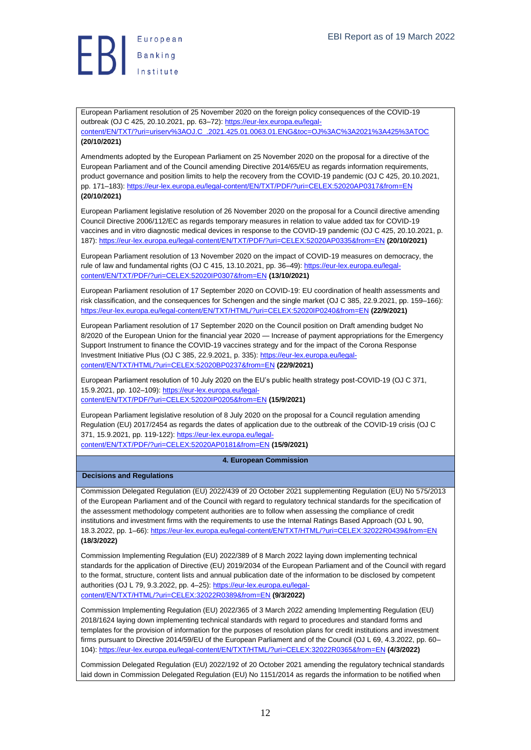

European Parliament resolution of 25 November 2020 on the foreign policy consequences of the COVID-19 outbreak (OJ C 425, 20.10.2021, pp. 63–72)[: https://eur-lex.europa.eu/legal](https://eur-lex.europa.eu/legal-content/EN/TXT/?uri=uriserv%3AOJ.C_.2021.425.01.0063.01.ENG&toc=OJ%3AC%3A2021%3A425%3ATOC)[content/EN/TXT/?uri=uriserv%3AOJ.C\\_.2021.425.01.0063.01.ENG&toc=OJ%3AC%3A2021%3A425%3ATOC](https://eur-lex.europa.eu/legal-content/EN/TXT/?uri=uriserv%3AOJ.C_.2021.425.01.0063.01.ENG&toc=OJ%3AC%3A2021%3A425%3ATOC)

#### **(20/10/2021)**

Amendments adopted by the European Parliament on 25 November 2020 on the proposal for a directive of the European Parliament and of the Council amending Directive 2014/65/EU as regards information requirements, product governance and position limits to help the recovery from the COVID-19 pandemic (OJ C 425, 20.10.2021, pp. 171–183)[: https://eur-lex.europa.eu/legal-content/EN/TXT/PDF/?uri=CELEX:52020AP0317&from=EN](https://eur-lex.europa.eu/legal-content/EN/TXT/PDF/?uri=CELEX:52020AP0317&from=EN) **(20/10/2021)**

European Parliament legislative resolution of 26 November 2020 on the proposal for a Council directive amending Council Directive 2006/112/EC as regards temporary measures in relation to value added tax for COVID-19 vaccines and in vitro diagnostic medical devices in response to the COVID-19 pandemic (OJ C 425, 20.10.2021, p. 187):<https://eur-lex.europa.eu/legal-content/EN/TXT/PDF/?uri=CELEX:52020AP0335&from=EN> **(20/10/2021)**

European Parliament resolution of 13 November 2020 on the impact of COVID-19 measures on democracy, the rule of law and fundamental rights (OJ C 415, 13.10.2021, pp. 36–49): [https://eur-lex.europa.eu/legal](https://eur-lex.europa.eu/legal-content/EN/TXT/PDF/?uri=CELEX:52020IP0307&from=EN)[content/EN/TXT/PDF/?uri=CELEX:52020IP0307&from=EN](https://eur-lex.europa.eu/legal-content/EN/TXT/PDF/?uri=CELEX:52020IP0307&from=EN) **(13/10/2021)**

European Parliament resolution of 17 September 2020 on COVID-19: EU coordination of health assessments and risk classification, and the consequences for Schengen and the single market (OJ C 385, 22.9.2021, pp. 159–166): <https://eur-lex.europa.eu/legal-content/EN/TXT/HTML/?uri=CELEX:52020IP0240&from=EN> **(22/9/2021)**

European Parliament resolution of 17 September 2020 on the Council position on Draft amending budget No 8/2020 of the European Union for the financial year 2020 — Increase of payment appropriations for the Emergency Support Instrument to finance the COVID-19 vaccines strategy and for the impact of the Corona Response Investment Initiative Plus (OJ C 385, 22.9.2021, p. 335)[: https://eur-lex.europa.eu/legal](https://eur-lex.europa.eu/legal-content/EN/TXT/HTML/?uri=CELEX:52020BP0237&from=EN)[content/EN/TXT/HTML/?uri=CELEX:52020BP0237&from=EN](https://eur-lex.europa.eu/legal-content/EN/TXT/HTML/?uri=CELEX:52020BP0237&from=EN) **(22/9/2021)**

European Parliament resolution of 10 July 2020 on the EU's public health strategy post-COVID-19 (OJ C 371, 15.9.2021, pp. 102–109)[: https://eur-lex.europa.eu/legal](https://eur-lex.europa.eu/legal-content/EN/TXT/PDF/?uri=CELEX:52020IP0205&from=EN)[content/EN/TXT/PDF/?uri=CELEX:52020IP0205&from=EN](https://eur-lex.europa.eu/legal-content/EN/TXT/PDF/?uri=CELEX:52020IP0205&from=EN) **(15/9/2021)**

European Parliament legislative resolution of 8 July 2020 on the proposal for a Council regulation amending Regulation (EU) 2017/2454 as regards the dates of application due to the outbreak of the COVID-19 crisis (OJ C 371, 15.9.2021, pp. 119-122)[: https://eur-lex.europa.eu/legal](https://eur-lex.europa.eu/legal-content/EN/TXT/PDF/?uri=CELEX:52020AP0181&from=EN)[content/EN/TXT/PDF/?uri=CELEX:52020AP0181&from=EN](https://eur-lex.europa.eu/legal-content/EN/TXT/PDF/?uri=CELEX:52020AP0181&from=EN) **(15/9/2021)**

#### <span id="page-11-0"></span>**4. European Commission**

#### <span id="page-11-1"></span>**Decisions and Regulations**

Commission Delegated Regulation (EU) 2022/439 of 20 October 2021 supplementing Regulation (EU) No 575/2013 of the European Parliament and of the Council with regard to regulatory technical standards for the specification of the assessment methodology competent authorities are to follow when assessing the compliance of credit institutions and investment firms with the requirements to use the Internal Ratings Based Approach (OJ L 90, 18.3.2022, pp. 1–66):<https://eur-lex.europa.eu/legal-content/EN/TXT/HTML/?uri=CELEX:32022R0439&from=EN> **(18/3/2022)**

Commission Implementing Regulation (EU) 2022/389 of 8 March 2022 laying down implementing technical standards for the application of Directive (EU) 2019/2034 of the European Parliament and of the Council with regard to the format, structure, content lists and annual publication date of the information to be disclosed by competent authorities (OJ L 79, 9.3.2022, pp. 4–25): [https://eur-lex.europa.eu/legal](https://eur-lex.europa.eu/legal-content/EN/TXT/HTML/?uri=CELEX:32022R0389&from=EN)[content/EN/TXT/HTML/?uri=CELEX:32022R0389&from=EN](https://eur-lex.europa.eu/legal-content/EN/TXT/HTML/?uri=CELEX:32022R0389&from=EN) **(9/3/2022)**

Commission Implementing Regulation (EU) 2022/365 of 3 March 2022 amending Implementing Regulation (EU) 2018/1624 laying down implementing technical standards with regard to procedures and standard forms and templates for the provision of information for the purposes of resolution plans for credit institutions and investment firms pursuant to Directive 2014/59/EU of the European Parliament and of the Council (OJ L 69, 4.3.2022, pp. 60– 104):<https://eur-lex.europa.eu/legal-content/EN/TXT/HTML/?uri=CELEX:32022R0365&from=EN> **(4/3/2022)**

Commission Delegated Regulation (EU) 2022/192 of 20 October 2021 amending the regulatory technical standards laid down in Commission Delegated Regulation (EU) No 1151/2014 as regards the information to be notified when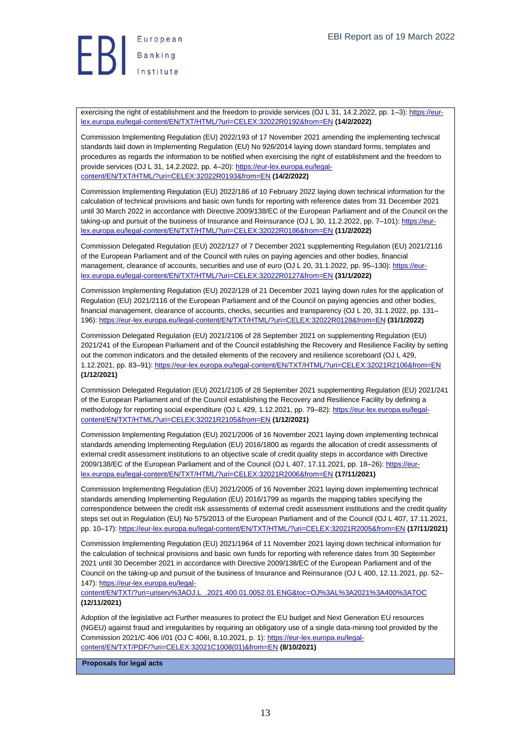

exercising the right of establishment and the freedom to provide services (OJ L 31, 14.2.2022, pp. 1-3): [https://eur](https://eur-lex.europa.eu/legal-content/EN/TXT/HTML/?uri=CELEX:32022R0192&from=EN)[lex.europa.eu/legal-content/EN/TXT/HTML/?uri=CELEX:32022R0192&from=EN](https://eur-lex.europa.eu/legal-content/EN/TXT/HTML/?uri=CELEX:32022R0192&from=EN) **(14/2/2022)**

Commission Implementing Regulation (EU) 2022/193 of 17 November 2021 amending the implementing technical standards laid down in Implementing Regulation (EU) No 926/2014 laying down standard forms, templates and procedures as regards the information to be notified when exercising the right of establishment and the freedom to provide services (OJ L 31, 14.2.2022, pp. 4–20): [https://eur-lex.europa.eu/legal](https://eur-lex.europa.eu/legal-content/EN/TXT/HTML/?uri=CELEX:32022R0193&from=EN)[content/EN/TXT/HTML/?uri=CELEX:32022R0193&from=EN](https://eur-lex.europa.eu/legal-content/EN/TXT/HTML/?uri=CELEX:32022R0193&from=EN) **(14/2/2022)**

Commission Implementing Regulation (EU) 2022/186 of 10 February 2022 laying down technical information for the calculation of technical provisions and basic own funds for reporting with reference dates from 31 December 2021 until 30 March 2022 in accordance with Directive 2009/138/EC of the European Parliament and of the Council on the taking-up and pursuit of the business of Insurance and Reinsurance (OJ L 30, 11.2.2022, pp. 7–101): [https://eur](https://eur-lex.europa.eu/legal-content/EN/TXT/HTML/?uri=CELEX:32022R0186&from=EN)[lex.europa.eu/legal-content/EN/TXT/HTML/?uri=CELEX:32022R0186&from=EN](https://eur-lex.europa.eu/legal-content/EN/TXT/HTML/?uri=CELEX:32022R0186&from=EN) **(11/2/2022)**

Commission Delegated Regulation (EU) 2022/127 of 7 December 2021 supplementing Regulation (EU) 2021/2116 of the European Parliament and of the Council with rules on paying agencies and other bodies, financial management, clearance of accounts, securities and use of euro (OJ L 20, 31.1.2022, pp. 95-130)[: https://eur](https://eur-lex.europa.eu/legal-content/EN/TXT/HTML/?uri=CELEX:32022R0127&from=EN)[lex.europa.eu/legal-content/EN/TXT/HTML/?uri=CELEX:32022R0127&from=EN](https://eur-lex.europa.eu/legal-content/EN/TXT/HTML/?uri=CELEX:32022R0127&from=EN) **(31/1/2022)**

Commission Implementing Regulation (EU) 2022/128 of 21 December 2021 laying down rules for the application of Regulation (EU) 2021/2116 of the European Parliament and of the Council on paying agencies and other bodies, financial management, clearance of accounts, checks, securities and transparency (OJ L 20, 31.1.2022, pp. 131– 196):<https://eur-lex.europa.eu/legal-content/EN/TXT/HTML/?uri=CELEX:32022R0128&from=EN> **(31/1/2022)**

Commission Delegated Regulation (EU) 2021/2106 of 28 September 2021 on supplementing Regulation (EU) 2021/241 of the European Parliament and of the Council establishing the Recovery and Resilience Facility by setting out the common indicators and the detailed elements of the recovery and resilience scoreboard (OJ L 429, 1.12.2021, pp. 83–91)[: https://eur-lex.europa.eu/legal-content/EN/TXT/HTML/?uri=CELEX:32021R2106&from=EN](https://eur-lex.europa.eu/legal-content/EN/TXT/HTML/?uri=CELEX:32021R2106&from=EN) **(1/12/2021)**

Commission Delegated Regulation (EU) 2021/2105 of 28 September 2021 supplementing Regulation (EU) 2021/241 of the European Parliament and of the Council establishing the Recovery and Resilience Facility by defining a methodology for reporting social expenditure (OJ L 429, 1.12.2021, pp. 79–82): [https://eur-lex.europa.eu/legal](https://eur-lex.europa.eu/legal-content/EN/TXT/HTML/?uri=CELEX:32021R2105&from=EN)[content/EN/TXT/HTML/?uri=CELEX:32021R2105&from=EN](https://eur-lex.europa.eu/legal-content/EN/TXT/HTML/?uri=CELEX:32021R2105&from=EN) **(1/12/2021)**

Commission Implementing Regulation (EU) 2021/2006 of 16 November 2021 laying down implementing technical standards amending Implementing Regulation (EU) 2016/1800 as regards the allocation of credit assessments of external credit assessment institutions to an objective scale of credit quality steps in accordance with Directive 2009/138/EC of the European Parliament and of the Council (OJ L 407, 17.11.2021, pp. 18–26)[: https://eur](https://eur-lex.europa.eu/legal-content/EN/TXT/HTML/?uri=CELEX:32021R2006&from=EN)[lex.europa.eu/legal-content/EN/TXT/HTML/?uri=CELEX:32021R2006&from=EN](https://eur-lex.europa.eu/legal-content/EN/TXT/HTML/?uri=CELEX:32021R2006&from=EN) **(17/11/2021)**

Commission Implementing Regulation (EU) 2021/2005 of 16 November 2021 laying down implementing technical standards amending Implementing Regulation (EU) 2016/1799 as regards the mapping tables specifying the correspondence between the credit risk assessments of external credit assessment institutions and the credit quality steps set out in Regulation (EU) No 575/2013 of the European Parliament and of the Council (OJ L 407, 17.11.2021, pp. 10–17)[: https://eur-lex.europa.eu/legal-content/EN/TXT/HTML/?uri=CELEX:32021R2005&from=EN](https://eur-lex.europa.eu/legal-content/EN/TXT/HTML/?uri=CELEX:32021R2005&from=EN) **(17/11/2021)**

Commission Implementing Regulation (EU) 2021/1964 of 11 November 2021 laying down technical information for the calculation of technical provisions and basic own funds for reporting with reference dates from 30 September 2021 until 30 December 2021 in accordance with Directive 2009/138/EC of the European Parliament and of the Council on the taking-up and pursuit of the business of Insurance and Reinsurance (OJ L 400, 12.11.2021, pp. 52– 147): [https://eur-lex.europa.eu/legal-](https://eur-lex.europa.eu/legal-content/EN/TXT/?uri=uriserv%3AOJ.L_.2021.400.01.0052.01.ENG&toc=OJ%3AL%3A2021%3A400%3ATOC)

[content/EN/TXT/?uri=uriserv%3AOJ.L\\_.2021.400.01.0052.01.ENG&toc=OJ%3AL%3A2021%3A400%3ATOC](https://eur-lex.europa.eu/legal-content/EN/TXT/?uri=uriserv%3AOJ.L_.2021.400.01.0052.01.ENG&toc=OJ%3AL%3A2021%3A400%3ATOC) **(12/11/2021)**

Adoption of the legislative act Further measures to protect the EU budget and Next Generation EU resources (NGEU) against fraud and irregularities by requiring an obligatory use of a single data-mining tool provided by the Commission 2021/C 406 I/01 (OJ C 406I, 8.10.2021, p. 1)[: https://eur-lex.europa.eu/legal](https://eur-lex.europa.eu/legal-content/EN/TXT/PDF/?uri=CELEX:32021C1008(01)&from=EN)[content/EN/TXT/PDF/?uri=CELEX:32021C1008\(01\)&from=EN](https://eur-lex.europa.eu/legal-content/EN/TXT/PDF/?uri=CELEX:32021C1008(01)&from=EN) **(8/10/2021)**

<span id="page-12-0"></span>**Proposals for legal acts**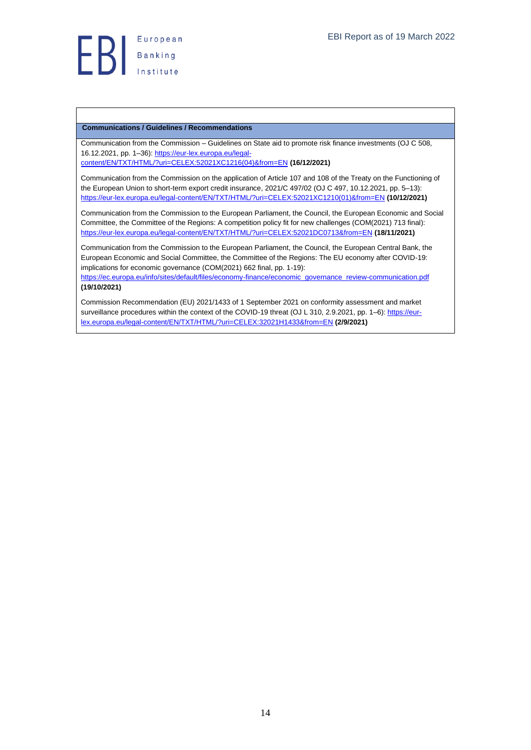## <span id="page-13-0"></span>**Communications / Guidelines / Recommendations**

Communication from the Commission – Guidelines on State aid to promote risk finance investments (OJ C 508, 16.12.2021, pp. 1–36)[: https://eur-lex.europa.eu/legal-](https://eur-lex.europa.eu/legal-content/EN/TXT/HTML/?uri=CELEX:52021XC1216(04)&from=EN)

[content/EN/TXT/HTML/?uri=CELEX:52021XC1216\(04\)&from=EN](https://eur-lex.europa.eu/legal-content/EN/TXT/HTML/?uri=CELEX:52021XC1216(04)&from=EN) **(16/12/2021)**

Communication from the Commission on the application of Article 107 and 108 of the Treaty on the Functioning of the European Union to short-term export credit insurance, 2021/C 497/02 (OJ C 497, 10.12.2021, pp. 5–13): [https://eur-lex.europa.eu/legal-content/EN/TXT/HTML/?uri=CELEX:52021XC1210\(01\)&from=EN](https://eur-lex.europa.eu/legal-content/EN/TXT/HTML/?uri=CELEX:52021XC1210(01)&from=EN) **(10/12/2021)**

Communication from the Commission to the European Parliament, the Council, the European Economic and Social Committee, the Committee of the Regions: A competition policy fit for new challenges (COM(2021) 713 final): <https://eur-lex.europa.eu/legal-content/EN/TXT/HTML/?uri=CELEX:52021DC0713&from=EN> **(18/11/2021)**

Communication from the Commission to the European Parliament, the Council, the European Central Bank, the European Economic and Social Committee, the Committee of the Regions: The EU economy after COVID-19: implications for economic governance (COM(2021) 662 final, pp. 1-19):

[https://ec.europa.eu/info/sites/default/files/economy-finance/economic\\_governance\\_review-communication.pdf](https://ec.europa.eu/info/sites/default/files/economy-finance/economic_governance_review-communication.pdf) **(19/10/2021)**

Commission Recommendation (EU) 2021/1433 of 1 September 2021 on conformity assessment and market surveillance procedures within the context of the COVID-19 threat (OJ L 310, 2.9.2021, pp. 1–6)[: https://eur](https://eur-lex.europa.eu/legal-content/EN/TXT/HTML/?uri=CELEX:32021H1433&from=EN)[lex.europa.eu/legal-content/EN/TXT/HTML/?uri=CELEX:32021H1433&from=EN](https://eur-lex.europa.eu/legal-content/EN/TXT/HTML/?uri=CELEX:32021H1433&from=EN) **(2/9/2021)**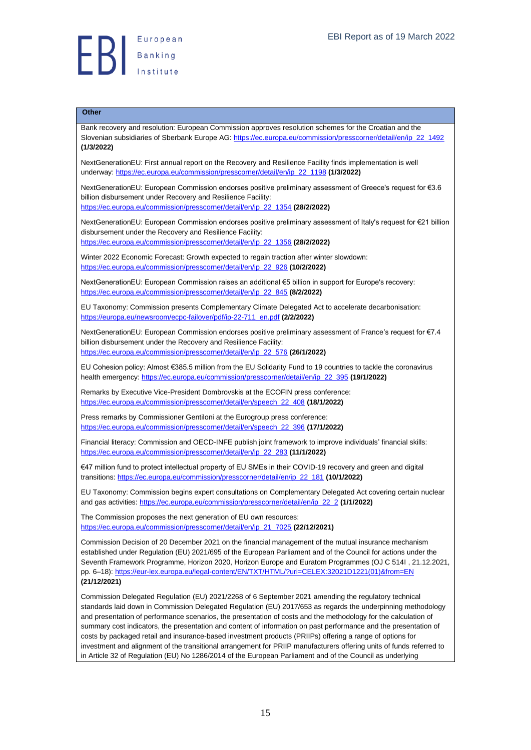## <span id="page-14-0"></span>**Other**

Bank recovery and resolution: European Commission approves resolution schemes for the Croatian and the Slovenian subsidiaries of Sberbank Europe AG: [https://ec.europa.eu/commission/presscorner/detail/en/ip\\_22\\_1492](https://ec.europa.eu/commission/presscorner/detail/en/ip_22_1492) **(1/3/2022)**

NextGenerationEU: First annual report on the Recovery and Resilience Facility finds implementation is well underway: [https://ec.europa.eu/commission/presscorner/detail/en/ip\\_22\\_1198](https://ec.europa.eu/commission/presscorner/detail/en/ip_22_1198) **(1/3/2022)**

NextGenerationEU: European Commission endorses positive preliminary assessment of Greece's request for €3.6 billion disbursement under Recovery and Resilience Facility: [https://ec.europa.eu/commission/presscorner/detail/en/ip\\_22\\_1354](https://ec.europa.eu/commission/presscorner/detail/en/ip_22_1354) **(28/2/2022)**

NextGenerationEU: European Commission endorses positive preliminary assessment of Italy's request for €21 billion disbursement under the Recovery and Resilience Facility: [https://ec.europa.eu/commission/presscorner/detail/en/ip\\_22\\_1356](https://ec.europa.eu/commission/presscorner/detail/en/ip_22_1356) **(28/2/2022)**

Winter 2022 Economic Forecast: Growth expected to regain traction after winter slowdown: [https://ec.europa.eu/commission/presscorner/detail/en/ip\\_22\\_926](https://ec.europa.eu/commission/presscorner/detail/en/ip_22_926) **(10/2/2022)**

NextGenerationEU: European Commission raises an additional €5 billion in support for Europe's recovery: [https://ec.europa.eu/commission/presscorner/detail/en/ip\\_22\\_845](https://ec.europa.eu/commission/presscorner/detail/en/ip_22_845) **(8/2/2022)**

EU Taxonomy: Commission presents Complementary Climate Delegated Act to accelerate decarbonisation: [https://europa.eu/newsroom/ecpc-failover/pdf/ip-22-711\\_en.pdf](https://europa.eu/newsroom/ecpc-failover/pdf/ip-22-711_en.pdf) **(2/2/2022)**

NextGenerationEU: European Commission endorses positive preliminary assessment of France's request for €7.4 billion disbursement under the Recovery and Resilience Facility: [https://ec.europa.eu/commission/presscorner/detail/en/ip\\_22\\_576](https://ec.europa.eu/commission/presscorner/detail/en/ip_22_576) **(26/1/2022)**

EU Cohesion policy: Almost €385.5 million from the EU Solidarity Fund to 19 countries to tackle the coronavirus health emergency[: https://ec.europa.eu/commission/presscorner/detail/en/ip\\_22\\_395](https://ec.europa.eu/commission/presscorner/detail/en/ip_22_395) **(19/1/2022)**

Remarks by Executive Vice-President Dombrovskis at the ECOFIN press conference: [https://ec.europa.eu/commission/presscorner/detail/en/speech\\_22\\_408](https://ec.europa.eu/commission/presscorner/detail/en/speech_22_408) **(18/1/2022)**

Press remarks by Commissioner Gentiloni at the Eurogroup press conference: [https://ec.europa.eu/commission/presscorner/detail/en/speech\\_22\\_396](https://ec.europa.eu/commission/presscorner/detail/en/speech_22_396) **(17/1/2022)**

Financial literacy: Commission and OECD-INFE publish joint framework to improve individuals' financial skills: [https://ec.europa.eu/commission/presscorner/detail/en/ip\\_22\\_283](https://ec.europa.eu/commission/presscorner/detail/en/ip_22_283) **(11/1/2022)**

€47 million fund to protect intellectual property of EU SMEs in their COVID-19 recovery and green and digital transitions: [https://ec.europa.eu/commission/presscorner/detail/en/ip\\_22\\_181](https://ec.europa.eu/commission/presscorner/detail/en/ip_22_181) **(10/1/2022)**

EU Taxonomy: Commission begins expert consultations on Complementary Delegated Act covering certain nuclear and gas activities: [https://ec.europa.eu/commission/presscorner/detail/en/ip\\_22\\_2](https://ec.europa.eu/commission/presscorner/detail/en/ip_22_2) **(1/1/2022)**

The Commission proposes the next generation of EU own resources: [https://ec.europa.eu/commission/presscorner/detail/en/ip\\_21\\_7025](https://ec.europa.eu/commission/presscorner/detail/en/ip_21_7025) **(22/12/2021)**

Commission Decision of 20 December 2021 on the financial management of the mutual insurance mechanism established under Regulation (EU) 2021/695 of the European Parliament and of the Council for actions under the Seventh Framework Programme, Horizon 2020, Horizon Europe and Euratom Programmes (OJ C 514I , 21.12.2021, pp. 6–18): [https://eur-lex.europa.eu/legal-content/EN/TXT/HTML/?uri=CELEX:32021D1221\(01\)&from=EN](https://eur-lex.europa.eu/legal-content/EN/TXT/HTML/?uri=CELEX:32021D1221(01)&from=EN) **(21/12/2021)**

Commission Delegated Regulation (EU) 2021/2268 of 6 September 2021 amending the regulatory technical standards laid down in Commission Delegated Regulation (EU) 2017/653 as regards the underpinning methodology and presentation of performance scenarios, the presentation of costs and the methodology for the calculation of summary cost indicators, the presentation and content of information on past performance and the presentation of costs by packaged retail and insurance-based investment products (PRIIPs) offering a range of options for investment and alignment of the transitional arrangement for PRIIP manufacturers offering units of funds referred to in Article 32 of Regulation (EU) No 1286/2014 of the European Parliament and of the Council as underlying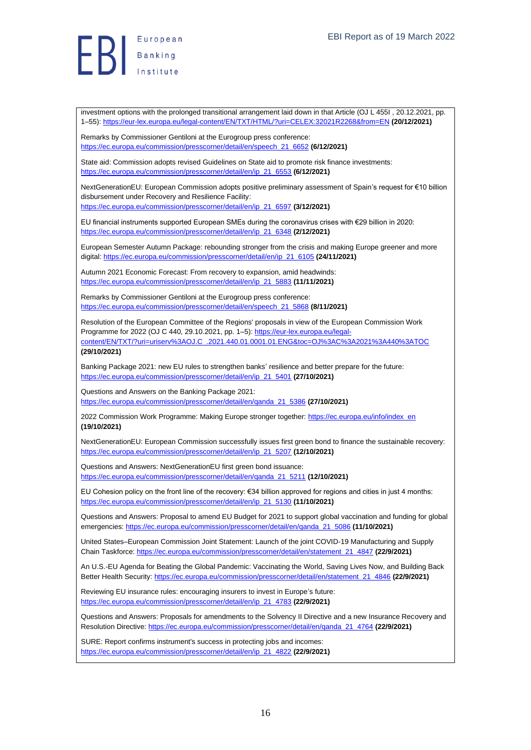investment options with the prolonged transitional arrangement laid down in that Article (OJ L 455I , 20.12.2021, pp. 1–55)[: https://eur-lex.europa.eu/legal-content/EN/TXT/HTML/?uri=CELEX:32021R2268&from=EN](https://eur-lex.europa.eu/legal-content/EN/TXT/HTML/?uri=CELEX:32021R2268&from=EN) **(20/12/2021)**

Remarks by Commissioner Gentiloni at the Eurogroup press conference: [https://ec.europa.eu/commission/presscorner/detail/en/speech\\_21\\_6652](https://ec.europa.eu/commission/presscorner/detail/en/speech_21_6652) **(6/12/2021)**

State aid: Commission adopts revised Guidelines on State aid to promote risk finance investments: [https://ec.europa.eu/commission/presscorner/detail/en/ip\\_21\\_6553](https://ec.europa.eu/commission/presscorner/detail/en/ip_21_6553) **(6/12/2021)**

NextGenerationEU: European Commission adopts positive preliminary assessment of Spain's request for €10 billion disbursement under Recovery and Resilience Facility: [https://ec.europa.eu/commission/presscorner/detail/en/ip\\_21\\_6597](https://ec.europa.eu/commission/presscorner/detail/en/ip_21_6597) **(3/12/2021)**

EU financial instruments supported European SMEs during the coronavirus crises with €29 billion in 2020: [https://ec.europa.eu/commission/presscorner/detail/en/ip\\_21\\_6348](https://ec.europa.eu/commission/presscorner/detail/en/ip_21_6348) **(2/12/2021)**

European Semester Autumn Package: rebounding stronger from the crisis and making Europe greener and more digital: [https://ec.europa.eu/commission/presscorner/detail/en/ip\\_21\\_6105](https://ec.europa.eu/commission/presscorner/detail/en/ip_21_6105) **(24/11/2021)**

Autumn 2021 Economic Forecast: From recovery to expansion, amid headwinds: [https://ec.europa.eu/commission/presscorner/detail/en/ip\\_21\\_5883](https://ec.europa.eu/commission/presscorner/detail/en/ip_21_5883) **(11/11/2021)**

Remarks by Commissioner Gentiloni at the Eurogroup press conference: [https://ec.europa.eu/commission/presscorner/detail/en/speech\\_21\\_5868](https://ec.europa.eu/commission/presscorner/detail/en/speech_21_5868) **(8/11/2021)**

Resolution of the European Committee of the Regions' proposals in view of the European Commission Work Programme for 2022 (OJ C 440, 29.10.2021, pp. 1–5)[: https://eur-lex.europa.eu/legal](https://eur-lex.europa.eu/legal-content/EN/TXT/?uri=uriserv%3AOJ.C_.2021.440.01.0001.01.ENG&toc=OJ%3AC%3A2021%3A440%3ATOC)[content/EN/TXT/?uri=uriserv%3AOJ.C\\_.2021.440.01.0001.01.ENG&toc=OJ%3AC%3A2021%3A440%3ATOC](https://eur-lex.europa.eu/legal-content/EN/TXT/?uri=uriserv%3AOJ.C_.2021.440.01.0001.01.ENG&toc=OJ%3AC%3A2021%3A440%3ATOC) **(29/10/2021)**

Banking Package 2021: new EU rules to strengthen banks' resilience and better prepare for the future: [https://ec.europa.eu/commission/presscorner/detail/en/ip\\_21\\_5401](https://ec.europa.eu/commission/presscorner/detail/en/ip_21_5401) **(27/10/2021)**

Questions and Answers on the Banking Package 2021: [https://ec.europa.eu/commission/presscorner/detail/en/qanda\\_21\\_5386](https://ec.europa.eu/commission/presscorner/detail/en/qanda_21_5386) **(27/10/2021)**

2022 Commission Work Programme: Making Europe stronger together[: https://ec.europa.eu/info/index\\_en](https://ec.europa.eu/info/index_en) **(19/10/2021)**

NextGenerationEU: European Commission successfully issues first green bond to finance the sustainable recovery: [https://ec.europa.eu/commission/presscorner/detail/en/ip\\_21\\_5207](https://ec.europa.eu/commission/presscorner/detail/en/ip_21_5207) **(12/10/2021)**

Questions and Answers: NextGenerationEU first green bond issuance: [https://ec.europa.eu/commission/presscorner/detail/en/qanda\\_21\\_5211](https://ec.europa.eu/commission/presscorner/detail/en/qanda_21_5211) **(12/10/2021)**

EU Cohesion policy on the front line of the recovery: €34 billion approved for regions and cities in just 4 months: [https://ec.europa.eu/commission/presscorner/detail/en/ip\\_21\\_5130](https://ec.europa.eu/commission/presscorner/detail/en/ip_21_5130) **(11/10/2021)**

Questions and Answers: Proposal to amend EU Budget for 2021 to support global vaccination and funding for global emergencies: [https://ec.europa.eu/commission/presscorner/detail/en/qanda\\_21\\_5086](https://ec.europa.eu/commission/presscorner/detail/en/qanda_21_5086) **(11/10/2021)**

United States–European Commission Joint Statement: Launch of the joint COVID-19 Manufacturing and Supply Chain Taskforce[: https://ec.europa.eu/commission/presscorner/detail/en/statement\\_21\\_4847](https://ec.europa.eu/commission/presscorner/detail/en/statement_21_4847) **(22/9/2021)**

An U.S.-EU Agenda for Beating the Global Pandemic: Vaccinating the World, Saving Lives Now, and Building Back Better Health Security: [https://ec.europa.eu/commission/presscorner/detail/en/statement\\_21\\_4846](https://ec.europa.eu/commission/presscorner/detail/en/statement_21_4846) **(22/9/2021)**

Reviewing EU insurance rules: encouraging insurers to invest in Europe's future: [https://ec.europa.eu/commission/presscorner/detail/en/ip\\_21\\_4783](https://ec.europa.eu/commission/presscorner/detail/en/ip_21_4783) **(22/9/2021)**

Questions and Answers: Proposals for amendments to the Solvency II Directive and a new Insurance Recovery and Resolution Directive[: https://ec.europa.eu/commission/presscorner/detail/en/qanda\\_21\\_4764](https://ec.europa.eu/commission/presscorner/detail/en/qanda_21_4764) **(22/9/2021)**

SURE: Report confirms instrument's success in protecting jobs and incomes: [https://ec.europa.eu/commission/presscorner/detail/en/ip\\_21\\_4822](https://ec.europa.eu/commission/presscorner/detail/en/ip_21_4822) **(22/9/2021)**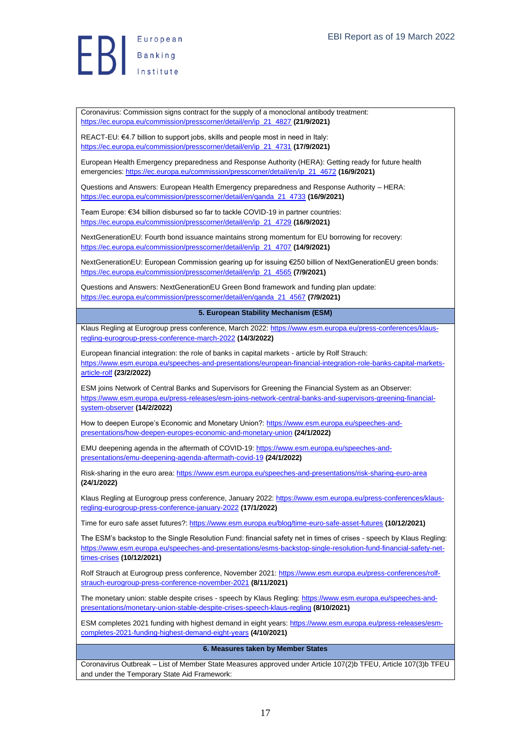Coronavirus: Commission signs contract for the supply of a monoclonal antibody treatment: [https://ec.europa.eu/commission/presscorner/detail/en/ip\\_21\\_4827](https://ec.europa.eu/commission/presscorner/detail/en/ip_21_4827) **(21/9/2021)**

REACT-EU: €4.7 billion to support jobs, skills and people most in need in Italy: [https://ec.europa.eu/commission/presscorner/detail/en/ip\\_21\\_4731](https://ec.europa.eu/commission/presscorner/detail/en/ip_21_4731) **(17/9/2021)**

European Health Emergency preparedness and Response Authority (HERA): Getting ready for future health emergencies: [https://ec.europa.eu/commission/presscorner/detail/en/ip\\_21\\_4672](https://ec.europa.eu/commission/presscorner/detail/en/ip_21_4672) **(16/9/2021)**

Questions and Answers: European Health Emergency preparedness and Response Authority – HERA: [https://ec.europa.eu/commission/presscorner/detail/en/qanda\\_21\\_4733](https://ec.europa.eu/commission/presscorner/detail/en/qanda_21_4733) **(16/9/2021)**

Team Europe: €34 billion disbursed so far to tackle COVID-19 in partner countries: [https://ec.europa.eu/commission/presscorner/detail/en/ip\\_21\\_4729](https://ec.europa.eu/commission/presscorner/detail/en/ip_21_4729) **(16/9/2021)**

NextGenerationEU: Fourth bond issuance maintains strong momentum for EU borrowing for recovery: [https://ec.europa.eu/commission/presscorner/detail/en/ip\\_21\\_4707](https://ec.europa.eu/commission/presscorner/detail/en/ip_21_4707) **(14/9/2021)**

NextGenerationEU: European Commission gearing up for issuing €250 billion of NextGenerationEU green bonds: [https://ec.europa.eu/commission/presscorner/detail/en/ip\\_21\\_4565](https://ec.europa.eu/commission/presscorner/detail/en/ip_21_4565) **(7/9/2021)**

Questions and Answers: NextGenerationEU Green Bond framework and funding plan update: [https://ec.europa.eu/commission/presscorner/detail/en/qanda\\_21\\_4567](https://ec.europa.eu/commission/presscorner/detail/en/qanda_21_4567) **(7/9/2021)**

<span id="page-16-0"></span>**5. European Stability Mechanism (ESM)**

Klaus Regling at Eurogroup press conference, March 2022[: https://www.esm.europa.eu/press-conferences/klaus](https://www.esm.europa.eu/press-conferences/klaus-regling-eurogroup-press-conference-march-2022)[regling-eurogroup-press-conference-march-2022](https://www.esm.europa.eu/press-conferences/klaus-regling-eurogroup-press-conference-march-2022) **(14/3/2022)**

European financial integration: the role of banks in capital markets - article by Rolf Strauch: [https://www.esm.europa.eu/speeches-and-presentations/european-financial-integration-role-banks-capital-markets](https://www.esm.europa.eu/speeches-and-presentations/european-financial-integration-role-banks-capital-markets-article-rolf)[article-rolf](https://www.esm.europa.eu/speeches-and-presentations/european-financial-integration-role-banks-capital-markets-article-rolf) **(23/2/2022)**

ESM joins Network of Central Banks and Supervisors for Greening the Financial System as an Observer: [https://www.esm.europa.eu/press-releases/esm-joins-network-central-banks-and-supervisors-greening-financial](https://www.esm.europa.eu/press-releases/esm-joins-network-central-banks-and-supervisors-greening-financial-system-observer)[system-observer](https://www.esm.europa.eu/press-releases/esm-joins-network-central-banks-and-supervisors-greening-financial-system-observer) **(14/2/2022)**

How to deepen Europe's Economic and Monetary Union?: [https://www.esm.europa.eu/speeches-and](https://www.esm.europa.eu/speeches-and-presentations/how-deepen-europes-economic-and-monetary-union)[presentations/how-deepen-europes-economic-and-monetary-union](https://www.esm.europa.eu/speeches-and-presentations/how-deepen-europes-economic-and-monetary-union) **(24/1/2022)**

EMU deepening agenda in the aftermath of COVID-19[: https://www.esm.europa.eu/speeches-and](https://www.esm.europa.eu/speeches-and-presentations/emu-deepening-agenda-aftermath-covid-19)[presentations/emu-deepening-agenda-aftermath-covid-19](https://www.esm.europa.eu/speeches-and-presentations/emu-deepening-agenda-aftermath-covid-19) **(24/1/2022)**

Risk-sharing in the euro area:<https://www.esm.europa.eu/speeches-and-presentations/risk-sharing-euro-area> **(24/1/2022)**

Klaus Regling at Eurogroup press conference, January 2022[: https://www.esm.europa.eu/press-conferences/klaus](https://www.esm.europa.eu/press-conferences/klaus-regling-eurogroup-press-conference-january-2022)[regling-eurogroup-press-conference-january-2022](https://www.esm.europa.eu/press-conferences/klaus-regling-eurogroup-press-conference-january-2022) **(17/1/2022)**

Time for euro safe asset futures?[: https://www.esm.europa.eu/blog/time-euro-safe-asset-futures](https://www.esm.europa.eu/blog/time-euro-safe-asset-futures) **(10/12/2021)**

The ESM's backstop to the Single Resolution Fund: financial safety net in times of crises - speech by Klaus Regling: [https://www.esm.europa.eu/speeches-and-presentations/esms-backstop-single-resolution-fund-financial-safety-net](https://www.esm.europa.eu/speeches-and-presentations/esms-backstop-single-resolution-fund-financial-safety-net-times-crises)[times-crises](https://www.esm.europa.eu/speeches-and-presentations/esms-backstop-single-resolution-fund-financial-safety-net-times-crises) **(10/12/2021)**

Rolf Strauch at Eurogroup press conference, November 2021[: https://www.esm.europa.eu/press-conferences/rolf](https://www.esm.europa.eu/press-conferences/rolf-strauch-eurogroup-press-conference-november-2021)[strauch-eurogroup-press-conference-november-2021](https://www.esm.europa.eu/press-conferences/rolf-strauch-eurogroup-press-conference-november-2021) **(8/11/2021)**

The monetary union: stable despite crises - speech by Klaus Regling[: https://www.esm.europa.eu/speeches-and](https://www.esm.europa.eu/speeches-and-presentations/monetary-union-stable-despite-crises-speech-klaus-regling)[presentations/monetary-union-stable-despite-crises-speech-klaus-regling](https://www.esm.europa.eu/speeches-and-presentations/monetary-union-stable-despite-crises-speech-klaus-regling) **(8/10/2021)**

ESM completes 2021 funding with highest demand in eight years: [https://www.esm.europa.eu/press-releases/esm](https://www.esm.europa.eu/press-releases/esm-completes-2021-funding-highest-demand-eight-years)[completes-2021-funding-highest-demand-eight-years](https://www.esm.europa.eu/press-releases/esm-completes-2021-funding-highest-demand-eight-years) **(4/10/2021)**

## <span id="page-16-1"></span>**6. Measures taken by Member States**

Coronavirus Outbreak – List of Member State Measures approved under Article 107(2)b TFEU, Article 107(3)b TFEU and under the Temporary State Aid Framework: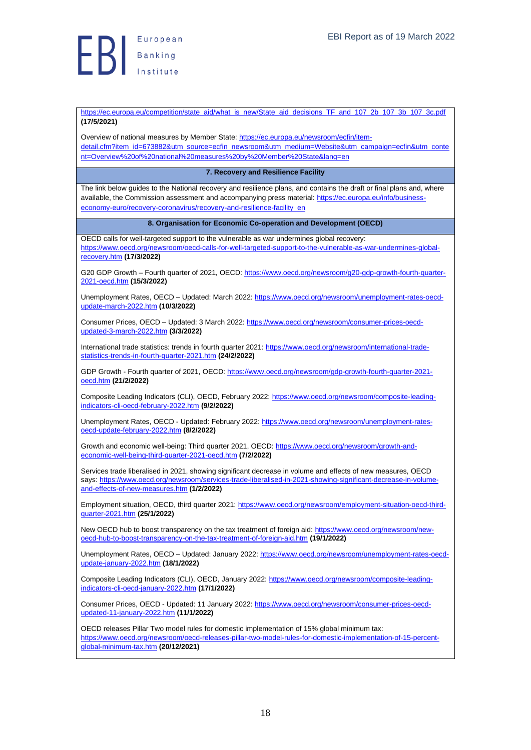

[https://ec.europa.eu/competition/state\\_aid/what\\_is\\_new/State\\_aid\\_decisions\\_TF\\_and\\_107\\_2b\\_107\\_3b\\_107\\_3c.pdf](https://ec.europa.eu/competition/state_aid/what_is_new/State_aid_decisions_TF_and_107_2b_107_3b_107_3c.pdf) **(17/5/2021)**

Overview of national measures by Member State: [https://ec.europa.eu/newsroom/ecfin/item](https://ec.europa.eu/newsroom/ecfin/item-detail.cfm?item_id=673882&utm_source=ecfin_newsroom&utm_medium=Website&utm_campaign=ecfin&utm_content=Overview%20of%20national%20measures%20by%20Member%20State&lang=en)[detail.cfm?item\\_id=673882&utm\\_source=ecfin\\_newsroom&utm\\_medium=Website&utm\\_campaign=ecfin&utm\\_conte](https://ec.europa.eu/newsroom/ecfin/item-detail.cfm?item_id=673882&utm_source=ecfin_newsroom&utm_medium=Website&utm_campaign=ecfin&utm_content=Overview%20of%20national%20measures%20by%20Member%20State&lang=en) [nt=Overview%20of%20national%20measures%20by%20Member%20State&lang=en](https://ec.europa.eu/newsroom/ecfin/item-detail.cfm?item_id=673882&utm_source=ecfin_newsroom&utm_medium=Website&utm_campaign=ecfin&utm_content=Overview%20of%20national%20measures%20by%20Member%20State&lang=en)

**7. Recovery and Resilience Facility**

<span id="page-17-0"></span>The link below guides to the National recovery and resilience plans, and contains the draft or final plans and, where available, the Commission assessment and accompanying press material: [https://ec.europa.eu/info/business](https://ec.europa.eu/info/business-economy-euro/recovery-coronavirus/recovery-and-resilience-facility_en)[economy-euro/recovery-coronavirus/recovery-and-resilience-facility\\_en](https://ec.europa.eu/info/business-economy-euro/recovery-coronavirus/recovery-and-resilience-facility_en)

<span id="page-17-1"></span>**8. Organisation for Economic Co-operation and Development (OECD)**

OECD calls for well-targeted support to the vulnerable as war undermines global recovery: [https://www.oecd.org/newsroom/oecd-calls-for-well-targeted-support-to-the-vulnerable-as-war-undermines-global](https://www.oecd.org/newsroom/oecd-calls-for-well-targeted-support-to-the-vulnerable-as-war-undermines-global-recovery.htm)[recovery.htm](https://www.oecd.org/newsroom/oecd-calls-for-well-targeted-support-to-the-vulnerable-as-war-undermines-global-recovery.htm) **(17/3/2022)**

G20 GDP Growth – Fourth quarter of 2021, OECD: [https://www.oecd.org/newsroom/g20-gdp-growth-fourth-quarter-](https://www.oecd.org/newsroom/g20-gdp-growth-fourth-quarter-2021-oecd.htm)[2021-oecd.htm](https://www.oecd.org/newsroom/g20-gdp-growth-fourth-quarter-2021-oecd.htm) **(15/3/2022)**

Unemployment Rates, OECD - Updated: March 2022[: https://www.oecd.org/newsroom/unemployment-rates-oecd](https://www.oecd.org/newsroom/unemployment-rates-oecd-update-march-2022.htm)[update-march-2022.htm](https://www.oecd.org/newsroom/unemployment-rates-oecd-update-march-2022.htm) **(10/3/2022)**

Consumer Prices, OECD - Updated: 3 March 2022[: https://www.oecd.org/newsroom/consumer-prices-oecd](https://www.oecd.org/newsroom/consumer-prices-oecd-updated-3-march-2022.htm)[updated-3-march-2022.htm](https://www.oecd.org/newsroom/consumer-prices-oecd-updated-3-march-2022.htm) **(3/3/2022)**

International trade statistics: trends in fourth quarter 2021: [https://www.oecd.org/newsroom/international-trade](https://www.oecd.org/newsroom/international-trade-statistics-trends-in-fourth-quarter-2021.htm)[statistics-trends-in-fourth-quarter-2021.htm](https://www.oecd.org/newsroom/international-trade-statistics-trends-in-fourth-quarter-2021.htm) **(24/2/2022)**

GDP Growth - Fourth quarter of 2021, OECD: [https://www.oecd.org/newsroom/gdp-growth-fourth-quarter-2021](https://www.oecd.org/newsroom/gdp-growth-fourth-quarter-2021-oecd.htm) [oecd.htm](https://www.oecd.org/newsroom/gdp-growth-fourth-quarter-2021-oecd.htm) **(21/2/2022)**

Composite Leading Indicators (CLI), OECD, February 2022: [https://www.oecd.org/newsroom/composite-leading](https://www.oecd.org/newsroom/composite-leading-indicators-cli-oecd-february-2022.htm)[indicators-cli-oecd-february-2022.htm](https://www.oecd.org/newsroom/composite-leading-indicators-cli-oecd-february-2022.htm) **(9/2/2022)**

Unemployment Rates, OECD - Updated: February 2022[: https://www.oecd.org/newsroom/unemployment-rates](https://www.oecd.org/newsroom/unemployment-rates-oecd-update-february-2022.htm)[oecd-update-february-2022.htm](https://www.oecd.org/newsroom/unemployment-rates-oecd-update-february-2022.htm) **(8/2/2022)**

Growth and economic well-being: Third quarter 2021, OECD: [https://www.oecd.org/newsroom/growth-and](https://www.oecd.org/newsroom/growth-and-economic-well-being-third-quarter-2021-oecd.htm)[economic-well-being-third-quarter-2021-oecd.htm](https://www.oecd.org/newsroom/growth-and-economic-well-being-third-quarter-2021-oecd.htm) **(7/2/2022)**

Services trade liberalised in 2021, showing significant decrease in volume and effects of new measures, OECD says[: https://www.oecd.org/newsroom/services-trade-liberalised-in-2021-showing-significant-decrease-in-volume](https://www.oecd.org/newsroom/services-trade-liberalised-in-2021-showing-significant-decrease-in-volume-and-effects-of-new-measures.htm)[and-effects-of-new-measures.htm](https://www.oecd.org/newsroom/services-trade-liberalised-in-2021-showing-significant-decrease-in-volume-and-effects-of-new-measures.htm) **(1/2/2022)**

Employment situation, OECD, third quarter 2021: [https://www.oecd.org/newsroom/employment-situation-oecd-third](https://www.oecd.org/newsroom/employment-situation-oecd-third-quarter-2021.htm)[quarter-2021.htm](https://www.oecd.org/newsroom/employment-situation-oecd-third-quarter-2021.htm) **(25/1/2022)**

New OECD hub to boost transparency on the tax treatment of foreign aid: [https://www.oecd.org/newsroom/new](https://www.oecd.org/newsroom/new-oecd-hub-to-boost-transparency-on-the-tax-treatment-of-foreign-aid.htm)[oecd-hub-to-boost-transparency-on-the-tax-treatment-of-foreign-aid.htm](https://www.oecd.org/newsroom/new-oecd-hub-to-boost-transparency-on-the-tax-treatment-of-foreign-aid.htm) **(19/1/2022)**

Unemployment Rates, OECD – Updated: January 2022[: https://www.oecd.org/newsroom/unemployment-rates-oecd](https://www.oecd.org/newsroom/unemployment-rates-oecd-update-january-2022.htm)[update-january-2022.htm](https://www.oecd.org/newsroom/unemployment-rates-oecd-update-january-2022.htm) **(18/1/2022)**

Composite Leading Indicators (CLI), OECD, January 2022[: https://www.oecd.org/newsroom/composite-leading](https://www.oecd.org/newsroom/composite-leading-indicators-cli-oecd-january-2022.htm)[indicators-cli-oecd-january-2022.htm](https://www.oecd.org/newsroom/composite-leading-indicators-cli-oecd-january-2022.htm) **(17/1/2022)**

Consumer Prices, OECD - Updated: 11 January 2022: [https://www.oecd.org/newsroom/consumer-prices-oecd](https://www.oecd.org/newsroom/consumer-prices-oecd-updated-11-january-2022.htm)[updated-11-january-2022.htm](https://www.oecd.org/newsroom/consumer-prices-oecd-updated-11-january-2022.htm) **(11/1/2022)**

OECD releases Pillar Two model rules for domestic implementation of 15% global minimum tax: [https://www.oecd.org/newsroom/oecd-releases-pillar-two-model-rules-for-domestic-implementation-of-15-percent](https://www.oecd.org/newsroom/oecd-releases-pillar-two-model-rules-for-domestic-implementation-of-15-percent-global-minimum-tax.htm)[global-minimum-tax.htm](https://www.oecd.org/newsroom/oecd-releases-pillar-two-model-rules-for-domestic-implementation-of-15-percent-global-minimum-tax.htm) **(20/12/2021)**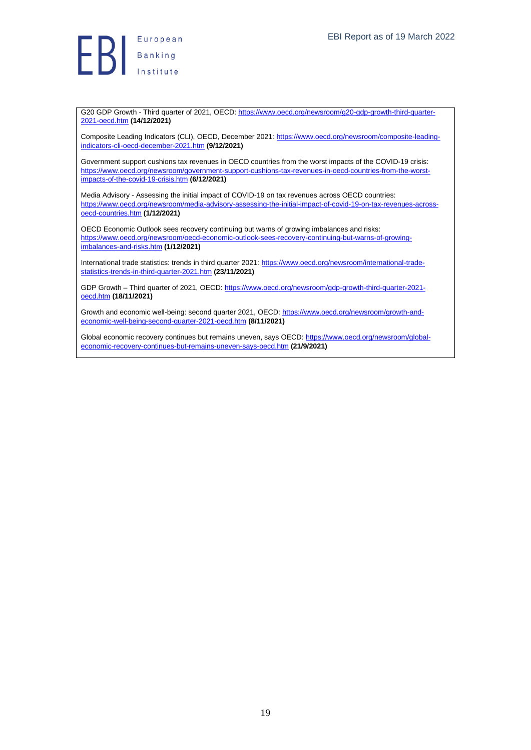

G20 GDP Growth - Third quarter of 2021, OECD[: https://www.oecd.org/newsroom/g20-gdp-growth-third-quarter-](https://www.oecd.org/newsroom/g20-gdp-growth-third-quarter-2021-oecd.htm)[2021-oecd.htm](https://www.oecd.org/newsroom/g20-gdp-growth-third-quarter-2021-oecd.htm) **(14/12/2021)**

Composite Leading Indicators (CLI), OECD, December 2021: [https://www.oecd.org/newsroom/composite-leading](https://www.oecd.org/newsroom/composite-leading-indicators-cli-oecd-december-2021.htm)[indicators-cli-oecd-december-2021.htm](https://www.oecd.org/newsroom/composite-leading-indicators-cli-oecd-december-2021.htm) **(9/12/2021)**

Government support cushions tax revenues in OECD countries from the worst impacts of the COVID-19 crisis: [https://www.oecd.org/newsroom/government-support-cushions-tax-revenues-in-oecd-countries-from-the-worst](https://www.oecd.org/newsroom/government-support-cushions-tax-revenues-in-oecd-countries-from-the-worst-impacts-of-the-covid-19-crisis.htm)[impacts-of-the-covid-19-crisis.htm](https://www.oecd.org/newsroom/government-support-cushions-tax-revenues-in-oecd-countries-from-the-worst-impacts-of-the-covid-19-crisis.htm) **(6/12/2021)**

Media Advisory - Assessing the initial impact of COVID-19 on tax revenues across OECD countries: [https://www.oecd.org/newsroom/media-advisory-assessing-the-initial-impact-of-covid-19-on-tax-revenues-across](https://www.oecd.org/newsroom/media-advisory-assessing-the-initial-impact-of-covid-19-on-tax-revenues-across-oecd-countries.htm)[oecd-countries.htm](https://www.oecd.org/newsroom/media-advisory-assessing-the-initial-impact-of-covid-19-on-tax-revenues-across-oecd-countries.htm) **(1/12/2021)**

OECD Economic Outlook sees recovery continuing but warns of growing imbalances and risks: [https://www.oecd.org/newsroom/oecd-economic-outlook-sees-recovery-continuing-but-warns-of-growing](https://www.oecd.org/newsroom/oecd-economic-outlook-sees-recovery-continuing-but-warns-of-growing-imbalances-and-risks.htm)[imbalances-and-risks.htm](https://www.oecd.org/newsroom/oecd-economic-outlook-sees-recovery-continuing-but-warns-of-growing-imbalances-and-risks.htm) **(1/12/2021)**

International trade statistics: trends in third quarter 2021: [https://www.oecd.org/newsroom/international-trade](https://www.oecd.org/newsroom/international-trade-statistics-trends-in-third-quarter-2021.htm)[statistics-trends-in-third-quarter-2021.htm](https://www.oecd.org/newsroom/international-trade-statistics-trends-in-third-quarter-2021.htm) **(23/11/2021)**

GDP Growth – Third quarter of 2021, OECD[: https://www.oecd.org/newsroom/gdp-growth-third-quarter-2021](https://www.oecd.org/newsroom/gdp-growth-third-quarter-2021-oecd.htm) [oecd.htm](https://www.oecd.org/newsroom/gdp-growth-third-quarter-2021-oecd.htm) **(18/11/2021)**

Growth and economic well-being: second quarter 2021, OECD[: https://www.oecd.org/newsroom/growth-and](https://www.oecd.org/newsroom/growth-and-economic-well-being-second-quarter-2021-oecd.htm)[economic-well-being-second-quarter-2021-oecd.htm](https://www.oecd.org/newsroom/growth-and-economic-well-being-second-quarter-2021-oecd.htm) **(8/11/2021)**

Global economic recovery continues but remains uneven, says OECD: [https://www.oecd.org/newsroom/global](https://www.oecd.org/newsroom/global-economic-recovery-continues-but-remains-uneven-says-oecd.htm)[economic-recovery-continues-but-remains-uneven-says-oecd.htm](https://www.oecd.org/newsroom/global-economic-recovery-continues-but-remains-uneven-says-oecd.htm) **(21/9/2021)**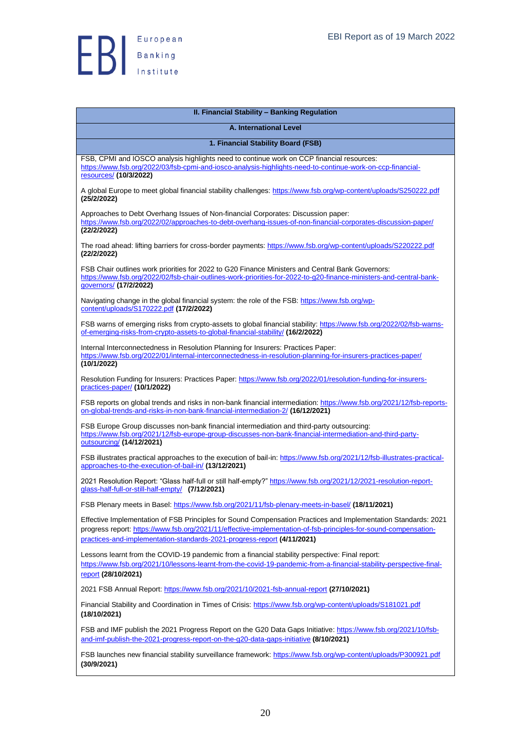

<span id="page-19-2"></span><span id="page-19-1"></span><span id="page-19-0"></span>

| II. Financial Stability - Banking Regulation                                                                                                                                                                                                                                                                 |
|--------------------------------------------------------------------------------------------------------------------------------------------------------------------------------------------------------------------------------------------------------------------------------------------------------------|
| <b>A. International Level</b>                                                                                                                                                                                                                                                                                |
| 1. Financial Stability Board (FSB)                                                                                                                                                                                                                                                                           |
| FSB, CPMI and IOSCO analysis highlights need to continue work on CCP financial resources:<br>https://www.fsb.org/2022/03/fsb-cpmi-and-iosco-analysis-highlights-need-to-continue-work-on-ccp-financial-<br>resources/ (10/3/2022)                                                                            |
| A global Europe to meet global financial stability challenges: https://www.fsb.org/wp-content/uploads/S250222.pdf<br>(25/2/2022)                                                                                                                                                                             |
| Approaches to Debt Overhang Issues of Non-financial Corporates: Discussion paper:<br>https://www.fsb.org/2022/02/approaches-to-debt-overhang-issues-of-non-financial-corporates-discussion-paper/                                                                                                            |
| (22/2/2022)<br>The road ahead: lifting barriers for cross-border payments: https://www.fsb.org/wp-content/uploads/S220222.pdf<br>(22/2/2022)                                                                                                                                                                 |
| FSB Chair outlines work priorities for 2022 to G20 Finance Ministers and Central Bank Governors:<br>https://www.fsb.org/2022/02/fsb-chair-outlines-work-priorities-for-2022-to-g20-finance-ministers-and-central-bank-<br>governors/ (17/2/2022)                                                             |
| Navigating change in the global financial system: the role of the FSB: https://www.fsb.org/wp-<br>content/uploads/S170222.pdf (17/2/2022)                                                                                                                                                                    |
| FSB warns of emerging risks from crypto-assets to global financial stability: https://www.fsb.org/2022/02/fsb-warns-<br>of-emerging-risks-from-crypto-assets-to-global-financial-stability/ (16/2/2022)                                                                                                      |
| Internal Interconnectedness in Resolution Planning for Insurers: Practices Paper:<br>https://www.fsb.org/2022/01/internal-interconnectedness-in-resolution-planning-for-insurers-practices-paper/<br>(10/1/2022)                                                                                             |
| Resolution Funding for Insurers: Practices Paper: https://www.fsb.org/2022/01/resolution-funding-for-insurers-<br>practices-paper/ (10/1/2022)                                                                                                                                                               |
| FSB reports on global trends and risks in non-bank financial intermediation: https://www.fsb.org/2021/12/fsb-reports-<br>on-global-trends-and-risks-in-non-bank-financial-intermediation-2/ (16/12/2021)                                                                                                     |
| FSB Europe Group discusses non-bank financial intermediation and third-party outsourcing:<br>https://www.fsb.org/2021/12/fsb-europe-group-discusses-non-bank-financial-intermediation-and-third-party-<br>outsourcing/ (14/12/2021)                                                                          |
| FSB illustrates practical approaches to the execution of bail-in: https://www.fsb.org/2021/12/fsb-illustrates-practical-<br>approaches-to-the-execution-of-bail-in/ (13/12/2021)                                                                                                                             |
| 2021 Resolution Report: "Glass half-full or still half-empty?" https://www.fsb.org/2021/12/2021-resolution-report-<br>qlass-half-full-or-still-half-empty/ (7/12/2021)                                                                                                                                       |
| FSB Plenary meets in Basel: https://www.fsb.org/2021/11/fsb-plenary-meets-in-basel/ (18/11/2021)                                                                                                                                                                                                             |
| Effective Implementation of FSB Principles for Sound Compensation Practices and Implementation Standards: 2021<br>progress report: https://www.fsb.org/2021/11/effective-implementation-of-fsb-principles-for-sound-compensation-<br>practices-and-implementation-standards-2021-progress-report (4/11/2021) |
| Lessons learnt from the COVID-19 pandemic from a financial stability perspective: Final report:<br>https://www.fsb.org/2021/10/lessons-learnt-from-the-covid-19-pandemic-from-a-financial-stability-perspective-final-<br>report (28/10/2021)                                                                |
| 2021 FSB Annual Report: https://www.fsb.org/2021/10/2021-fsb-annual-report (27/10/2021)                                                                                                                                                                                                                      |
| Financial Stability and Coordination in Times of Crisis: https://www.fsb.org/wp-content/uploads/S181021.pdf<br>(18/10/2021)                                                                                                                                                                                  |
| FSB and IMF publish the 2021 Progress Report on the G20 Data Gaps Initiative: https://www.fsb.org/2021/10/fsb-<br>and-imf-publish-the-2021-progress-report-on-the-g20-data-gaps-initiative (8/10/2021)                                                                                                       |
| FSB launches new financial stability surveillance framework: https://www.fsb.org/wp-content/uploads/P300921.pdf<br>(30/9/2021)                                                                                                                                                                               |
|                                                                                                                                                                                                                                                                                                              |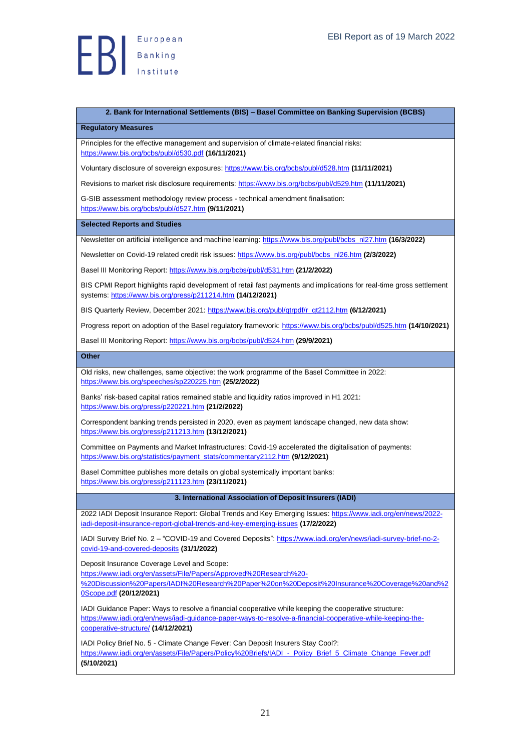

### <span id="page-20-0"></span>**2. Bank for International Settlements (BIS) – Basel Committee on Banking Supervision (BCBS)**

<span id="page-20-1"></span>**Regulatory Measures**

Principles for the effective management and supervision of climate-related financial risks: <https://www.bis.org/bcbs/publ/d530.pdf> **(16/11/2021)**

Voluntary disclosure of sovereign exposures[: https://www.bis.org/bcbs/publ/d528.htm](https://www.bis.org/bcbs/publ/d528.htm) **(11/11/2021)**

Revisions to market risk disclosure requirements:<https://www.bis.org/bcbs/publ/d529.htm> **(11/11/2021)**

G-SIB assessment methodology review process - technical amendment finalisation: <https://www.bis.org/bcbs/publ/d527.htm> **(9/11/2021)**

<span id="page-20-2"></span>**Selected Reports and Studies**

Newsletter on artificial intelligence and machine learning[: https://www.bis.org/publ/bcbs\\_nl27.htm](https://www.bis.org/publ/bcbs_nl27.htm) **(16/3/2022)**

Newsletter on Covid-19 related credit risk issues[: https://www.bis.org/publ/bcbs\\_nl26.htm](https://www.bis.org/publ/bcbs_nl26.htm) **(2/3/2022)**

Basel III Monitoring Report:<https://www.bis.org/bcbs/publ/d531.htm> **(21/2/2022)**

BIS CPMI Report highlights rapid development of retail fast payments and implications for real-time gross settlement systems[: https://www.bis.org/press/p211214.htm](https://www.bis.org/press/p211214.htm) **(14/12/2021)**

BIS Quarterly Review, December 2021: [https://www.bis.org/publ/qtrpdf/r\\_qt2112.htm](https://www.bis.org/publ/qtrpdf/r_qt2112.htm) **(6/12/2021)**

Progress report on adoption of the Basel regulatory framework:<https://www.bis.org/bcbs/publ/d525.htm> **(14/10/2021)**

Basel III Monitoring Report:<https://www.bis.org/bcbs/publ/d524.htm> **(29/9/2021)**

<span id="page-20-3"></span>**Other**

Old risks, new challenges, same objective: the work programme of the Basel Committee in 2022: <https://www.bis.org/speeches/sp220225.htm> **(25/2/2022)**

Banks' risk-based capital ratios remained stable and liquidity ratios improved in H1 2021: <https://www.bis.org/press/p220221.htm> **(21/2/2022)**

Correspondent banking trends persisted in 2020, even as payment landscape changed, new data show: <https://www.bis.org/press/p211213.htm> **(13/12/2021)**

Committee on Payments and Market Infrastructures: Covid-19 accelerated the digitalisation of payments: [https://www.bis.org/statistics/payment\\_stats/commentary2112.htm](https://www.bis.org/statistics/payment_stats/commentary2112.htm) **(9/12/2021)**

Basel Committee publishes more details on global systemically important banks: <https://www.bis.org/press/p211123.htm> **(23/11/2021)**

<span id="page-20-4"></span>**3. International Association of Deposit Insurers (IADI)**

2022 IADI Deposit Insurance Report: Global Trends and Key Emerging Issues[: https://www.iadi.org/en/news/2022](https://www.iadi.org/en/news/2022-iadi-deposit-insurance-report-global-trends-and-key-emerging-issues) [iadi-deposit-insurance-report-global-trends-and-key-emerging-issues](https://www.iadi.org/en/news/2022-iadi-deposit-insurance-report-global-trends-and-key-emerging-issues) **(17/2/2022)**

IADI Survey Brief No. 2 - "COVID-19 and Covered Deposits"[: https://www.iadi.org/en/news/iadi-survey-brief-no-2](https://www.iadi.org/en/news/iadi-survey-brief-no-2-covid-19-and-covered-deposits) [covid-19-and-covered-deposits](https://www.iadi.org/en/news/iadi-survey-brief-no-2-covid-19-and-covered-deposits) **(31/1/2022)**

Deposit Insurance Coverage Level and Scope:

[https://www.iadi.org/en/assets/File/Papers/Approved%20Research%20-](https://www.iadi.org/en/assets/File/Papers/Approved%20Research%20-%20Discussion%20Papers/IADI%20Research%20Paper%20on%20Deposit%20Insurance%20Coverage%20and%20Scope.pdf)

[%20Discussion%20Papers/IADI%20Research%20Paper%20on%20Deposit%20Insurance%20Coverage%20and%2](https://www.iadi.org/en/assets/File/Papers/Approved%20Research%20-%20Discussion%20Papers/IADI%20Research%20Paper%20on%20Deposit%20Insurance%20Coverage%20and%20Scope.pdf) [0Scope.pdf](https://www.iadi.org/en/assets/File/Papers/Approved%20Research%20-%20Discussion%20Papers/IADI%20Research%20Paper%20on%20Deposit%20Insurance%20Coverage%20and%20Scope.pdf) **(20/12/2021)**

IADI Guidance Paper: Ways to resolve a financial cooperative while keeping the cooperative structure: [https://www.iadi.org/en/news/iadi-guidance-paper-ways-to-resolve-a-financial-cooperative-while-keeping-the](https://www.iadi.org/en/news/iadi-guidance-paper-ways-to-resolve-a-financial-cooperative-while-keeping-the-cooperative-structure/)[cooperative-structure/](https://www.iadi.org/en/news/iadi-guidance-paper-ways-to-resolve-a-financial-cooperative-while-keeping-the-cooperative-structure/) **(14/12/2021)**

IADI Policy Brief No. 5 - Climate Change Fever: Can Deposit Insurers Stay Cool?: https://www.iadi.org/en/assets/File/Papers/Policy%20Briefs/IADI - Policy\_Brief\_5\_Climate\_Change\_Fever.pdf **(5/10/2021)**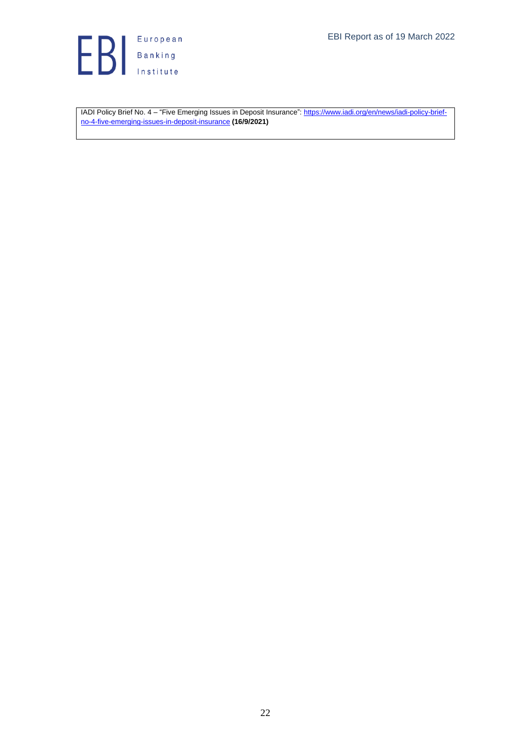

IADI Policy Brief No. 4 – "Five Emerging Issues in Deposit Insurance"[: https://www.iadi.org/en/news/iadi-policy-brief](https://www.iadi.org/en/news/iadi-policy-brief-no-4-five-emerging-issues-in-deposit-insurance)[no-4-five-emerging-issues-in-deposit-insurance](https://www.iadi.org/en/news/iadi-policy-brief-no-4-five-emerging-issues-in-deposit-insurance) **(16/9/2021)**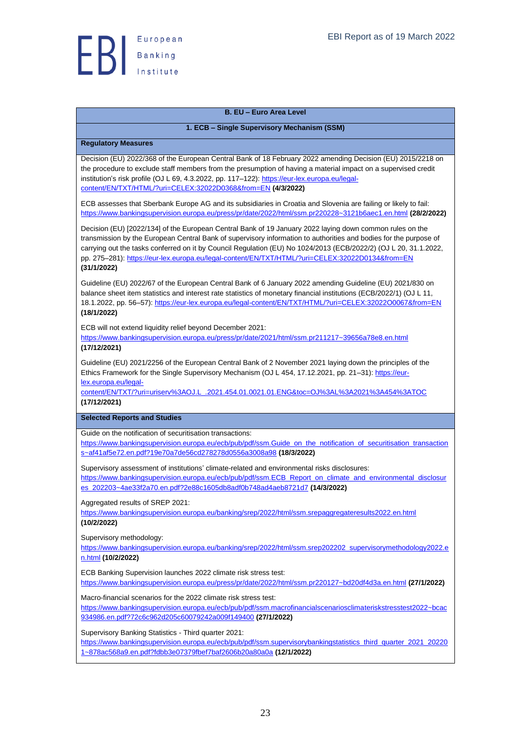

## <span id="page-22-0"></span>**B. EU – Euro Area Level**

## **1. ECB – Single Supervisory Mechanism (SSM)**

#### <span id="page-22-2"></span><span id="page-22-1"></span>**Regulatory Measures**

Decision (EU) 2022/368 of the European Central Bank of 18 February 2022 amending Decision (EU) 2015/2218 on the procedure to exclude staff members from the presumption of having a material impact on a supervised credit institution's risk profile (OJ L 69, 4.3.2022, pp. 117-122)[: https://eur-lex.europa.eu/legal](https://eur-lex.europa.eu/legal-content/EN/TXT/HTML/?uri=CELEX:32022D0368&from=EN)[content/EN/TXT/HTML/?uri=CELEX:32022D0368&from=EN](https://eur-lex.europa.eu/legal-content/EN/TXT/HTML/?uri=CELEX:32022D0368&from=EN) **(4/3/2022)**

ECB assesses that Sberbank Europe AG and its subsidiaries in Croatia and Slovenia are failing or likely to fail: <https://www.bankingsupervision.europa.eu/press/pr/date/2022/html/ssm.pr220228~3121b6aec1.en.html> **(28/2/2022)**

Decision (EU) [2022/134] of the European Central Bank of 19 January 2022 laying down common rules on the transmission by the European Central Bank of supervisory information to authorities and bodies for the purpose of carrying out the tasks conferred on it by Council Regulation (EU) No 1024/2013 (ECB/2022/2) (OJ L 20, 31.1.2022, pp. 275–281)[: https://eur-lex.europa.eu/legal-content/EN/TXT/HTML/?uri=CELEX:32022D0134&from=EN](https://eur-lex.europa.eu/legal-content/EN/TXT/HTML/?uri=CELEX:32022D0134&from=EN) **(31/1/2022)**

Guideline (EU) 2022/67 of the European Central Bank of 6 January 2022 amending Guideline (EU) 2021/830 on balance sheet item statistics and interest rate statistics of monetary financial institutions (ECB/2022/1) (OJ L 11, 18.1.2022, pp. 56–57): <https://eur-lex.europa.eu/legal-content/EN/TXT/HTML/?uri=CELEX:32022O0067&from=EN> **(18/1/2022)**

ECB will not extend liquidity relief beyond December 2021:

<https://www.bankingsupervision.europa.eu/press/pr/date/2021/html/ssm.pr211217~39656a78e8.en.html> **(17/12/2021)**

Guideline (EU) 2021/2256 of the European Central Bank of 2 November 2021 laying down the principles of the Ethics Framework for the Single Supervisory Mechanism (OJ L 454, 17.12.2021, pp. 21–31)[: https://eur](https://eur-lex.europa.eu/legal-content/EN/TXT/?uri=uriserv%3AOJ.L_.2021.454.01.0021.01.ENG&toc=OJ%3AL%3A2021%3A454%3ATOC%20)[lex.europa.eu/legal-](https://eur-lex.europa.eu/legal-content/EN/TXT/?uri=uriserv%3AOJ.L_.2021.454.01.0021.01.ENG&toc=OJ%3AL%3A2021%3A454%3ATOC%20)

[content/EN/TXT/?uri=uriserv%3AOJ.L\\_.2021.454.01.0021.01.ENG&toc=OJ%3AL%3A2021%3A454%3ATOC](https://eur-lex.europa.eu/legal-content/EN/TXT/?uri=uriserv%3AOJ.L_.2021.454.01.0021.01.ENG&toc=OJ%3AL%3A2021%3A454%3ATOC%20)  **(17/12/2021)**

<span id="page-22-3"></span>**Selected Reports and Studies**

Guide on the notification of securitisation transactions:

[https://www.bankingsupervision.europa.eu/ecb/pub/pdf/ssm.Guide\\_on\\_the\\_notification\\_of\\_securitisation\\_transaction](https://www.bankingsupervision.europa.eu/ecb/pub/pdf/ssm.Guide_on_the_notification_of_securitisation_transactions~af41af5e72.en.pdf?19e70a7de56cd278278d0556a3008a98) [s~af41af5e72.en.pdf?19e70a7de56cd278278d0556a3008a98](https://www.bankingsupervision.europa.eu/ecb/pub/pdf/ssm.Guide_on_the_notification_of_securitisation_transactions~af41af5e72.en.pdf?19e70a7de56cd278278d0556a3008a98) **(18/3/2022)**

Supervisory assessment of institutions' climate-related and environmental risks disclosures: [https://www.bankingsupervision.europa.eu/ecb/pub/pdf/ssm.ECB\\_Report\\_on\\_climate\\_and\\_environmental\\_disclosur](https://www.bankingsupervision.europa.eu/ecb/pub/pdf/ssm.ECB_Report_on_climate_and_environmental_disclosures_202203~4ae33f2a70.en.pdf?2e88c1605db8adf0b748ad4aeb8721d7) [es\\_202203~4ae33f2a70.en.pdf?2e88c1605db8adf0b748ad4aeb8721d7](https://www.bankingsupervision.europa.eu/ecb/pub/pdf/ssm.ECB_Report_on_climate_and_environmental_disclosures_202203~4ae33f2a70.en.pdf?2e88c1605db8adf0b748ad4aeb8721d7) **(14/3/2022)**

Aggregated results of SREP 2021:

<https://www.bankingsupervision.europa.eu/banking/srep/2022/html/ssm.srepaggregateresults2022.en.html> **(10/2/2022)**

Supervisory methodology:

[https://www.bankingsupervision.europa.eu/banking/srep/2022/html/ssm.srep202202\\_supervisorymethodology2022.e](https://www.bankingsupervision.europa.eu/banking/srep/2022/html/ssm.srep202202_supervisorymethodology2022.en.html) [n.html](https://www.bankingsupervision.europa.eu/banking/srep/2022/html/ssm.srep202202_supervisorymethodology2022.en.html) **(10/2/2022)**

ECB Banking Supervision launches 2022 climate risk stress test: <https://www.bankingsupervision.europa.eu/press/pr/date/2022/html/ssm.pr220127~bd20df4d3a.en.html> **(27/1/2022)**

Macro-financial scenarios for the 2022 climate risk stress test:

[https://www.bankingsupervision.europa.eu/ecb/pub/pdf/ssm.macrofinancialscenariosclimateriskstresstest2022~bcac](https://www.bankingsupervision.europa.eu/ecb/pub/pdf/ssm.macrofinancialscenariosclimateriskstresstest2022~bcac934986.en.pdf?72c6c962d205c60079242a009f149400) [934986.en.pdf?72c6c962d205c60079242a009f149400](https://www.bankingsupervision.europa.eu/ecb/pub/pdf/ssm.macrofinancialscenariosclimateriskstresstest2022~bcac934986.en.pdf?72c6c962d205c60079242a009f149400) **(27/1/2022)**

Supervisory Banking Statistics - Third quarter 2021:

[https://www.bankingsupervision.europa.eu/ecb/pub/pdf/ssm.supervisorybankingstatistics\\_third\\_quarter\\_2021\\_20220](https://www.bankingsupervision.europa.eu/ecb/pub/pdf/ssm.supervisorybankingstatistics_third_quarter_2021_202201~878ac568a9.en.pdf?fdbb3e07379fbef7baf2606b20a80a0a) [1~878ac568a9.en.pdf?fdbb3e07379fbef7baf2606b20a80a0a](https://www.bankingsupervision.europa.eu/ecb/pub/pdf/ssm.supervisorybankingstatistics_third_quarter_2021_202201~878ac568a9.en.pdf?fdbb3e07379fbef7baf2606b20a80a0a) **(12/1/2022)**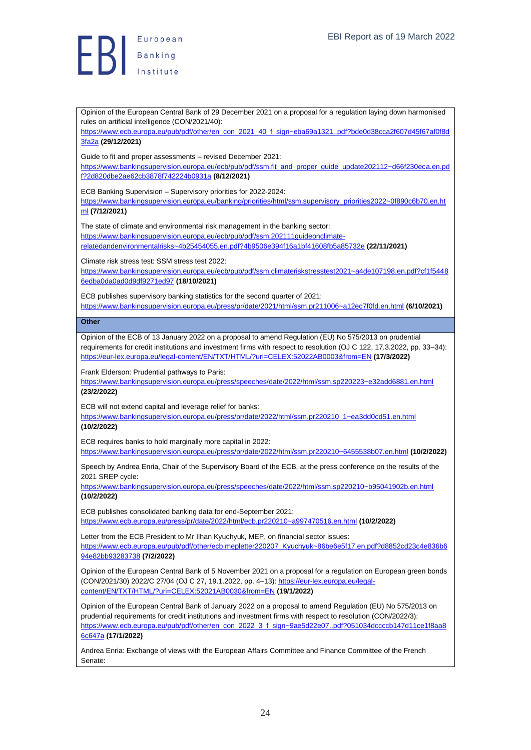

<span id="page-23-0"></span>Opinion of the European Central Bank of 29 December 2021 on a proposal for a regulation laying down harmonised rules on artificial intelligence (CON/2021/40): [https://www.ecb.europa.eu/pub/pdf/other/en\\_con\\_2021\\_40\\_f\\_sign~eba69a1321..pdf?bde0d38cca2f607d45f67af0f8d](https://www.ecb.europa.eu/pub/pdf/other/en_con_2021_40_f_sign~eba69a1321..pdf?bde0d38cca2f607d45f67af0f8d3fa2a) [3fa2a](https://www.ecb.europa.eu/pub/pdf/other/en_con_2021_40_f_sign~eba69a1321..pdf?bde0d38cca2f607d45f67af0f8d3fa2a) **(29/12/2021)** Guide to fit and proper assessments – revised December 2021: [https://www.bankingsupervision.europa.eu/ecb/pub/pdf/ssm.fit\\_and\\_proper\\_guide\\_update202112~d66f230eca.en.pd](https://www.bankingsupervision.europa.eu/ecb/pub/pdf/ssm.fit_and_proper_guide_update202112~d66f230eca.en.pdf?2d820dbe2ae62cb3878f742224b0931a) [f?2d820dbe2ae62cb3878f742224b0931a](https://www.bankingsupervision.europa.eu/ecb/pub/pdf/ssm.fit_and_proper_guide_update202112~d66f230eca.en.pdf?2d820dbe2ae62cb3878f742224b0931a) **(8/12/2021)** ECB Banking Supervision – Supervisory priorities for 2022-2024: [https://www.bankingsupervision.europa.eu/banking/priorities/html/ssm.supervisory\\_priorities2022~0f890c6b70.en.ht](https://www.bankingsupervision.europa.eu/banking/priorities/html/ssm.supervisory_priorities2022~0f890c6b70.en.html) [ml](https://www.bankingsupervision.europa.eu/banking/priorities/html/ssm.supervisory_priorities2022~0f890c6b70.en.html) **(7/12/2021)** The state of climate and environmental risk management in the banking sector: [https://www.bankingsupervision.europa.eu/ecb/pub/pdf/ssm.202111guideonclimate](https://www.bankingsupervision.europa.eu/ecb/pub/pdf/ssm.202111guideonclimate-relatedandenvironmentalrisks~4b25454055.en.pdf?4b9506e394f16a1bf41608fb5a85732e)[relatedandenvironmentalrisks~4b25454055.en.pdf?4b9506e394f16a1bf41608fb5a85732e](https://www.bankingsupervision.europa.eu/ecb/pub/pdf/ssm.202111guideonclimate-relatedandenvironmentalrisks~4b25454055.en.pdf?4b9506e394f16a1bf41608fb5a85732e) **(22/11/2021)** Climate risk stress test: SSM stress test 2022: [https://www.bankingsupervision.europa.eu/ecb/pub/pdf/ssm.climateriskstresstest2021~a4de107198.en.pdf?cf1f5448](https://www.bankingsupervision.europa.eu/ecb/pub/pdf/ssm.climateriskstresstest2021~a4de107198.en.pdf?cf1f54486edba0da0ad0d9df9271ed97) [6edba0da0ad0d9df9271ed97](https://www.bankingsupervision.europa.eu/ecb/pub/pdf/ssm.climateriskstresstest2021~a4de107198.en.pdf?cf1f54486edba0da0ad0d9df9271ed97) **(18/10/2021)** ECB publishes supervisory banking statistics for the second quarter of 2021: <https://www.bankingsupervision.europa.eu/press/pr/date/2021/html/ssm.pr211006~a12ec7f0fd.en.html> **(6/10/2021) Other** Opinion of the ECB of 13 January 2022 on a proposal to amend Regulation (EU) No 575/2013 on prudential requirements for credit institutions and investment firms with respect to resolution (OJ C 122, 17.3.2022, pp. 33–34): <https://eur-lex.europa.eu/legal-content/EN/TXT/HTML/?uri=CELEX:52022AB0003&from=EN> **(17/3/2022)** Frank Elderson: Prudential pathways to Paris: <https://www.bankingsupervision.europa.eu/press/speeches/date/2022/html/ssm.sp220223~e32add6881.en.html> **(23/2/2022)** ECB will not extend capital and leverage relief for banks: [https://www.bankingsupervision.europa.eu/press/pr/date/2022/html/ssm.pr220210\\_1~ea3dd0cd51.en.html](https://www.bankingsupervision.europa.eu/press/pr/date/2022/html/ssm.pr220210_1~ea3dd0cd51.en.html) **(10/2/2022)** ECB requires banks to hold marginally more capital in 2022: <https://www.bankingsupervision.europa.eu/press/pr/date/2022/html/ssm.pr220210~6455538b07.en.html> **(10/2/2022)** Speech by Andrea Enria, Chair of the Supervisory Board of the ECB, at the press conference on the results of the 2021 SREP cycle: <https://www.bankingsupervision.europa.eu/press/speeches/date/2022/html/ssm.sp220210~b95041902b.en.html> **(10/2/2022)** ECB publishes consolidated banking data for end-September 2021: <https://www.ecb.europa.eu/press/pr/date/2022/html/ecb.pr220210~a997470516.en.html> **(10/2/2022)** Letter from the ECB President to Mr Ilhan Kyuchyuk, MEP, on financial sector issues: [https://www.ecb.europa.eu/pub/pdf/other/ecb.mepletter220207\\_Kyuchyuk~86be6e5f17.en.pdf?d8852cd23c4e836b6](https://www.ecb.europa.eu/pub/pdf/other/ecb.mepletter220207_Kyuchyuk~86be6e5f17.en.pdf?d8852cd23c4e836b694e82bb93283738) [94e82bb93283738](https://www.ecb.europa.eu/pub/pdf/other/ecb.mepletter220207_Kyuchyuk~86be6e5f17.en.pdf?d8852cd23c4e836b694e82bb93283738) **(7/2/2022)** Opinion of the European Central Bank of 5 November 2021 on a proposal for a regulation on European green bonds (CON/2021/30) 2022/C 27/04 (OJ C 27, 19.1.2022, pp. 4–13)[: https://eur-lex.europa.eu/legal](https://eur-lex.europa.eu/legal-content/EN/TXT/HTML/?uri=CELEX:52021AB0030&from=EN)[content/EN/TXT/HTML/?uri=CELEX:52021AB0030&from=EN](https://eur-lex.europa.eu/legal-content/EN/TXT/HTML/?uri=CELEX:52021AB0030&from=EN) **(19/1/2022)** Opinion of the European Central Bank of January 2022 on a proposal to amend Regulation (EU) No 575/2013 on prudential requirements for credit institutions and investment firms with respect to resolution (CON/2022/3): [https://www.ecb.europa.eu/pub/pdf/other/en\\_con\\_2022\\_3\\_f\\_sign~9ae5d22e07..pdf?051034dccccb147d11ce1f8aa8](https://www.ecb.europa.eu/pub/pdf/other/en_con_2022_3_f_sign~9ae5d22e07..pdf?051034dccccb147d11ce1f8aa86c647a) [6c647a](https://www.ecb.europa.eu/pub/pdf/other/en_con_2022_3_f_sign~9ae5d22e07..pdf?051034dccccb147d11ce1f8aa86c647a) **(17/1/2022)**

Andrea Enria: Exchange of views with the European Affairs Committee and Finance Committee of the French Senate: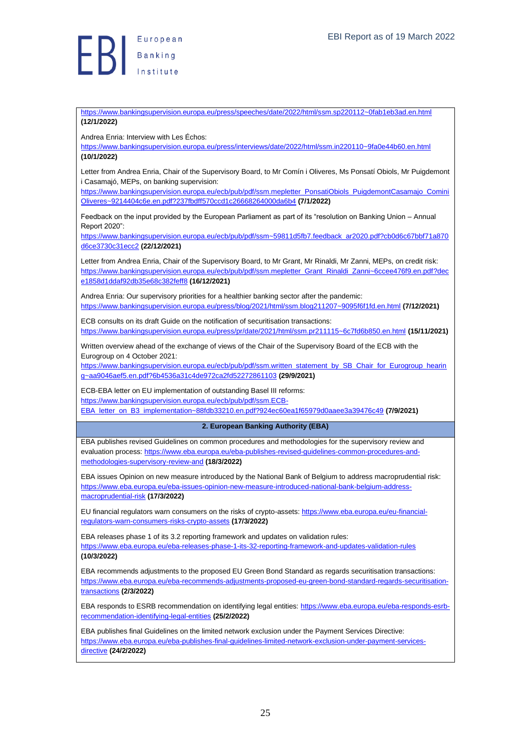

## <https://www.bankingsupervision.europa.eu/press/speeches/date/2022/html/ssm.sp220112~0fab1eb3ad.en.html> **(12/1/2022)**

Andrea Enria: Interview with Les Échos:

<https://www.bankingsupervision.europa.eu/press/interviews/date/2022/html/ssm.in220110~9fa0e44b60.en.html> **(10/1/2022)**

Letter from Andrea Enria, Chair of the Supervisory Board, to Mr Comín i Oliveres, Ms Ponsatí Obiols, Mr Puigdemont i Casamajó, MEPs, on banking supervision:

[https://www.bankingsupervision.europa.eu/ecb/pub/pdf/ssm.mepletter\\_PonsatiObiols\\_PuigdemontCasamajo\\_Comini](https://www.bankingsupervision.europa.eu/ecb/pub/pdf/ssm.mepletter_PonsatiObiols_PuigdemontCasamajo_CominiOliveres~9214404c6e.en.pdf?237fbdff570ccd1c26668264000da6b4) [Oliveres~9214404c6e.en.pdf?237fbdff570ccd1c26668264000da6b4](https://www.bankingsupervision.europa.eu/ecb/pub/pdf/ssm.mepletter_PonsatiObiols_PuigdemontCasamajo_CominiOliveres~9214404c6e.en.pdf?237fbdff570ccd1c26668264000da6b4) **(7/1/2022)**

Feedback on the input provided by the European Parliament as part of its "resolution on Banking Union – Annual Report 2020":

[https://www.bankingsupervision.europa.eu/ecb/pub/pdf/ssm~59811d5fb7.feedback\\_ar2020.pdf?cb0d6c67bbf71a870](https://www.bankingsupervision.europa.eu/ecb/pub/pdf/ssm~59811d5fb7.feedback_ar2020.pdf?cb0d6c67bbf71a870d6ce3730c31ecc2) [d6ce3730c31ecc2](https://www.bankingsupervision.europa.eu/ecb/pub/pdf/ssm~59811d5fb7.feedback_ar2020.pdf?cb0d6c67bbf71a870d6ce3730c31ecc2) **(22/12/2021)**

Letter from Andrea Enria, Chair of the Supervisory Board, to Mr Grant, Mr Rinaldi, Mr Zanni, MEPs, on credit risk: [https://www.bankingsupervision.europa.eu/ecb/pub/pdf/ssm.mepletter\\_Grant\\_Rinaldi\\_Zanni~6ccee476f9.en.pdf?dec](https://www.bankingsupervision.europa.eu/ecb/pub/pdf/ssm.mepletter_Grant_Rinaldi_Zanni~6ccee476f9.en.pdf?dece1858d1ddaf92db35e68c382feff8) [e1858d1ddaf92db35e68c382feff8](https://www.bankingsupervision.europa.eu/ecb/pub/pdf/ssm.mepletter_Grant_Rinaldi_Zanni~6ccee476f9.en.pdf?dece1858d1ddaf92db35e68c382feff8) **(16/12/2021)**

Andrea Enria: Our supervisory priorities for a healthier banking sector after the pandemic: <https://www.bankingsupervision.europa.eu/press/blog/2021/html/ssm.blog211207~9095f6f1fd.en.html> **(7/12/2021)**

ECB consults on its draft Guide on the notification of securitisation transactions: <https://www.bankingsupervision.europa.eu/press/pr/date/2021/html/ssm.pr211115~6c7fd6b850.en.html> **(15/11/2021)**

Written overview ahead of the exchange of views of the Chair of the Supervisory Board of the ECB with the Eurogroup on 4 October 2021:

[https://www.bankingsupervision.europa.eu/ecb/pub/pdf/ssm.written\\_statement\\_by\\_SB\\_Chair\\_for\\_Eurogroup\\_hearin](https://www.bankingsupervision.europa.eu/ecb/pub/pdf/ssm.written_statement_by_SB_Chair_for_Eurogroup_hearing~aa9046aef5.en.pdf?6b4536a31c4de972ca2fd52272861103) [g~aa9046aef5.en.pdf?6b4536a31c4de972ca2fd52272861103](https://www.bankingsupervision.europa.eu/ecb/pub/pdf/ssm.written_statement_by_SB_Chair_for_Eurogroup_hearing~aa9046aef5.en.pdf?6b4536a31c4de972ca2fd52272861103) **(29/9/2021)**

ECB-EBA letter on EU implementation of outstanding Basel III reforms:

[https://www.bankingsupervision.europa.eu/ecb/pub/pdf/ssm.ECB-](https://www.bankingsupervision.europa.eu/ecb/pub/pdf/ssm.ECB-EBA_letter_on_B3_implementation~88fdb33210.en.pdf?924ec60ea1f65979d0aaee3a39476c49)

[EBA\\_letter\\_on\\_B3\\_implementation~88fdb33210.en.pdf?924ec60ea1f65979d0aaee3a39476c49](https://www.bankingsupervision.europa.eu/ecb/pub/pdf/ssm.ECB-EBA_letter_on_B3_implementation~88fdb33210.en.pdf?924ec60ea1f65979d0aaee3a39476c49) **(7/9/2021)**

## <span id="page-24-0"></span>**2. European Banking Authority (EBA)**

EBA publishes revised Guidelines on common procedures and methodologies for the supervisory review and evaluation process: [https://www.eba.europa.eu/eba-publishes-revised-guidelines-common-procedures-and](https://www.eba.europa.eu/eba-publishes-revised-guidelines-common-procedures-and-methodologies-supervisory-review-and)[methodologies-supervisory-review-and](https://www.eba.europa.eu/eba-publishes-revised-guidelines-common-procedures-and-methodologies-supervisory-review-and) **(18/3/2022)**

EBA issues Opinion on new measure introduced by the National Bank of Belgium to address macroprudential risk: [https://www.eba.europa.eu/eba-issues-opinion-new-measure-introduced-national-bank-belgium-address](https://www.eba.europa.eu/eba-issues-opinion-new-measure-introduced-national-bank-belgium-address-macroprudential-risk)[macroprudential-risk](https://www.eba.europa.eu/eba-issues-opinion-new-measure-introduced-national-bank-belgium-address-macroprudential-risk) **(17/3/2022)**

EU financial regulators warn consumers on the risks of crypto-assets[: https://www.eba.europa.eu/eu-financial](https://www.eba.europa.eu/eu-financial-regulators-warn-consumers-risks-crypto-assets)[regulators-warn-consumers-risks-crypto-assets](https://www.eba.europa.eu/eu-financial-regulators-warn-consumers-risks-crypto-assets) **(17/3/2022)**

EBA releases phase 1 of its 3.2 reporting framework and updates on validation rules: <https://www.eba.europa.eu/eba-releases-phase-1-its-32-reporting-framework-and-updates-validation-rules> **(10/3/2022)**

EBA recommends adjustments to the proposed EU Green Bond Standard as regards securitisation transactions: [https://www.eba.europa.eu/eba-recommends-adjustments-proposed-eu-green-bond-standard-regards-securitisation](https://www.eba.europa.eu/eba-recommends-adjustments-proposed-eu-green-bond-standard-regards-securitisation-transactions)[transactions](https://www.eba.europa.eu/eba-recommends-adjustments-proposed-eu-green-bond-standard-regards-securitisation-transactions) **(2/3/2022)**

EBA responds to ESRB recommendation on identifying legal entities: [https://www.eba.europa.eu/eba-responds-esrb](https://www.eba.europa.eu/eba-responds-esrb-recommendation-identifying-legal-entities)[recommendation-identifying-legal-entities](https://www.eba.europa.eu/eba-responds-esrb-recommendation-identifying-legal-entities) **(25/2/2022)**

EBA publishes final Guidelines on the limited network exclusion under the Payment Services Directive: [https://www.eba.europa.eu/eba-publishes-final-guidelines-limited-network-exclusion-under-payment-services](https://www.eba.europa.eu/eba-publishes-final-guidelines-limited-network-exclusion-under-payment-services-directive)[directive](https://www.eba.europa.eu/eba-publishes-final-guidelines-limited-network-exclusion-under-payment-services-directive) **(24/2/2022)**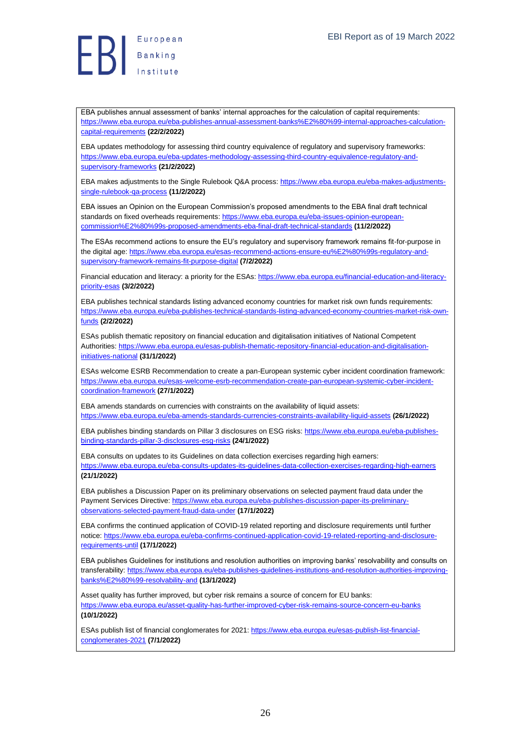

EBA publishes annual assessment of banks' internal approaches for the calculation of capital requirements: [https://www.eba.europa.eu/eba-publishes-annual-assessment-banks%E2%80%99-internal-approaches-calculation](https://www.eba.europa.eu/eba-publishes-annual-assessment-banks%E2%80%99-internal-approaches-calculation-capital-requirements)[capital-requirements](https://www.eba.europa.eu/eba-publishes-annual-assessment-banks%E2%80%99-internal-approaches-calculation-capital-requirements) **(22/2/2022)**

EBA updates methodology for assessing third country equivalence of regulatory and supervisory frameworks: [https://www.eba.europa.eu/eba-updates-methodology-assessing-third-country-equivalence-regulatory-and](https://www.eba.europa.eu/eba-updates-methodology-assessing-third-country-equivalence-regulatory-and-supervisory-frameworks)[supervisory-frameworks](https://www.eba.europa.eu/eba-updates-methodology-assessing-third-country-equivalence-regulatory-and-supervisory-frameworks) **(21/2/2022)**

EBA makes adjustments to the Single Rulebook Q&A process[: https://www.eba.europa.eu/eba-makes-adjustments](https://www.eba.europa.eu/eba-makes-adjustments-single-rulebook-qa-process)[single-rulebook-qa-process](https://www.eba.europa.eu/eba-makes-adjustments-single-rulebook-qa-process) **(11/2/2022)**

EBA issues an Opinion on the European Commission's proposed amendments to the EBA final draft technical standards on fixed overheads requirements: [https://www.eba.europa.eu/eba-issues-opinion-european](https://www.eba.europa.eu/eba-issues-opinion-european-commission%E2%80%99s-proposed-amendments-eba-final-draft-technical-standards)[commission%E2%80%99s-proposed-amendments-eba-final-draft-technical-standards](https://www.eba.europa.eu/eba-issues-opinion-european-commission%E2%80%99s-proposed-amendments-eba-final-draft-technical-standards) **(11/2/2022)**

The ESAs recommend actions to ensure the EU's regulatory and supervisory framework remains fit-for-purpose in the digital age: [https://www.eba.europa.eu/esas-recommend-actions-ensure-eu%E2%80%99s-regulatory-and](https://www.eba.europa.eu/esas-recommend-actions-ensure-eu%E2%80%99s-regulatory-and-supervisory-framework-remains-fit-purpose-digital)[supervisory-framework-remains-fit-purpose-digital](https://www.eba.europa.eu/esas-recommend-actions-ensure-eu%E2%80%99s-regulatory-and-supervisory-framework-remains-fit-purpose-digital) **(7/2/2022)**

Financial education and literacy: a priority for the ESAs: [https://www.eba.europa.eu/financial-education-and-literacy](https://www.eba.europa.eu/financial-education-and-literacy-priority-esas)[priority-esas](https://www.eba.europa.eu/financial-education-and-literacy-priority-esas) **(3/2/2022)**

EBA publishes technical standards listing advanced economy countries for market risk own funds requirements: [https://www.eba.europa.eu/eba-publishes-technical-standards-listing-advanced-economy-countries-market-risk-own](https://www.eba.europa.eu/eba-publishes-technical-standards-listing-advanced-economy-countries-market-risk-own-funds)[funds](https://www.eba.europa.eu/eba-publishes-technical-standards-listing-advanced-economy-countries-market-risk-own-funds) **(2/2/2022)**

ESAs publish thematic repository on financial education and digitalisation initiatives of National Competent Authorities: [https://www.eba.europa.eu/esas-publish-thematic-repository-financial-education-and-digitalisation](https://www.eba.europa.eu/esas-publish-thematic-repository-financial-education-and-digitalisation-initiatives-national)[initiatives-national](https://www.eba.europa.eu/esas-publish-thematic-repository-financial-education-and-digitalisation-initiatives-national) **(31/1/2022)**

ESAs welcome ESRB Recommendation to create a pan-European systemic cyber incident coordination framework: [https://www.eba.europa.eu/esas-welcome-esrb-recommendation-create-pan-european-systemic-cyber-incident](https://www.eba.europa.eu/esas-welcome-esrb-recommendation-create-pan-european-systemic-cyber-incident-coordination-framework)[coordination-framework](https://www.eba.europa.eu/esas-welcome-esrb-recommendation-create-pan-european-systemic-cyber-incident-coordination-framework) **(27/1/2022)**

EBA amends standards on currencies with constraints on the availability of liquid assets: <https://www.eba.europa.eu/eba-amends-standards-currencies-constraints-availability-liquid-assets> **(26/1/2022)**

EBA publishes binding standards on Pillar 3 disclosures on ESG risks[: https://www.eba.europa.eu/eba-publishes](https://www.eba.europa.eu/eba-publishes-binding-standards-pillar-3-disclosures-esg-risks)[binding-standards-pillar-3-disclosures-esg-risks](https://www.eba.europa.eu/eba-publishes-binding-standards-pillar-3-disclosures-esg-risks) **(24/1/2022)**

EBA consults on updates to its Guidelines on data collection exercises regarding high earners: <https://www.eba.europa.eu/eba-consults-updates-its-guidelines-data-collection-exercises-regarding-high-earners> **(21/1/2022)**

EBA publishes a Discussion Paper on its preliminary observations on selected payment fraud data under the Payment Services Directive: [https://www.eba.europa.eu/eba-publishes-discussion-paper-its-preliminary](https://www.eba.europa.eu/eba-publishes-discussion-paper-its-preliminary-observations-selected-payment-fraud-data-under)[observations-selected-payment-fraud-data-under](https://www.eba.europa.eu/eba-publishes-discussion-paper-its-preliminary-observations-selected-payment-fraud-data-under) **(17/1/2022)**

EBA confirms the continued application of COVID-19 related reporting and disclosure requirements until further notice[: https://www.eba.europa.eu/eba-confirms-continued-application-covid-19-related-reporting-and-disclosure](https://www.eba.europa.eu/eba-confirms-continued-application-covid-19-related-reporting-and-disclosure-requirements-until)[requirements-until](https://www.eba.europa.eu/eba-confirms-continued-application-covid-19-related-reporting-and-disclosure-requirements-until) **(17/1/2022)**

EBA publishes Guidelines for institutions and resolution authorities on improving banks' resolvability and consults on transferability[: https://www.eba.europa.eu/eba-publishes-guidelines-institutions-and-resolution-authorities-improving](https://www.eba.europa.eu/eba-publishes-guidelines-institutions-and-resolution-authorities-improving-banks%E2%80%99-resolvability-and)[banks%E2%80%99-resolvability-and](https://www.eba.europa.eu/eba-publishes-guidelines-institutions-and-resolution-authorities-improving-banks%E2%80%99-resolvability-and) **(13/1/2022)**

Asset quality has further improved, but cyber risk remains a source of concern for EU banks: <https://www.eba.europa.eu/asset-quality-has-further-improved-cyber-risk-remains-source-concern-eu-banks> **(10/1/2022)**

ESAs publish list of financial conglomerates for 2021[: https://www.eba.europa.eu/esas-publish-list-financial](https://www.eba.europa.eu/esas-publish-list-financial-conglomerates-2021)[conglomerates-2021](https://www.eba.europa.eu/esas-publish-list-financial-conglomerates-2021) **(7/1/2022)**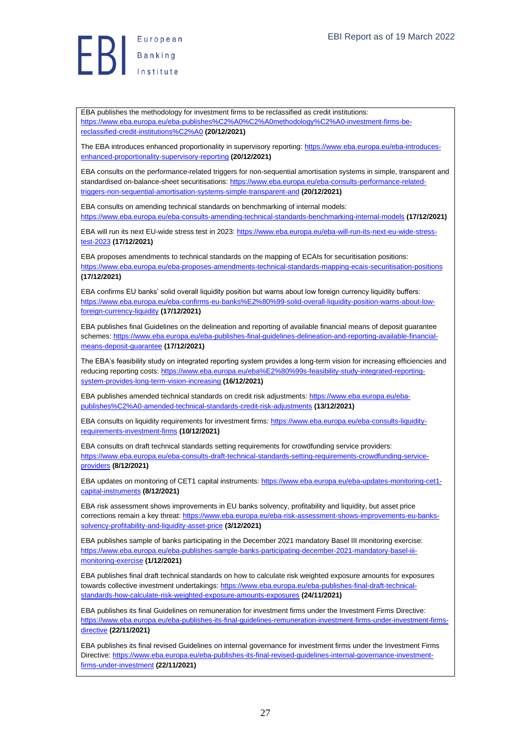**B**<br>B<br>B<br>Institute

EBA publishes the methodology for investment firms to be reclassified as credit institutions: [https://www.eba.europa.eu/eba-publishes%C2%A0%C2%A0methodology%C2%A0-investment-firms-be](https://www.eba.europa.eu/eba-publishes%C2%A0%C2%A0methodology%C2%A0-investment-firms-be-reclassified-credit-institutions%C2%A0)[reclassified-credit-institutions%C2%A0](https://www.eba.europa.eu/eba-publishes%C2%A0%C2%A0methodology%C2%A0-investment-firms-be-reclassified-credit-institutions%C2%A0) **(20/12/2021)**

The EBA introduces enhanced proportionality in supervisory reporting[: https://www.eba.europa.eu/eba-introduces](https://www.eba.europa.eu/eba-introduces-enhanced-proportionality-supervisory-reporting)[enhanced-proportionality-supervisory-reporting](https://www.eba.europa.eu/eba-introduces-enhanced-proportionality-supervisory-reporting) **(20/12/2021)**

EBA consults on the performance-related triggers for non-sequential amortisation systems in simple, transparent and standardised on-balance-sheet securitisations: [https://www.eba.europa.eu/eba-consults-performance-related](https://www.eba.europa.eu/eba-consults-performance-related-triggers-non-sequential-amortisation-systems-simple-transparent-and)[triggers-non-sequential-amortisation-systems-simple-transparent-and](https://www.eba.europa.eu/eba-consults-performance-related-triggers-non-sequential-amortisation-systems-simple-transparent-and) **(20/12/2021)**

EBA consults on amending technical standards on benchmarking of internal models: <https://www.eba.europa.eu/eba-consults-amending-technical-standards-benchmarking-internal-models> **(17/12/2021)**

EBA will run its next EU-wide stress test in 2023[: https://www.eba.europa.eu/eba-will-run-its-next-eu-wide-stress](https://www.eba.europa.eu/eba-will-run-its-next-eu-wide-stress-test-2023)[test-2023](https://www.eba.europa.eu/eba-will-run-its-next-eu-wide-stress-test-2023) **(17/12/2021)**

EBA proposes amendments to technical standards on the mapping of ECAIs for securitisation positions: <https://www.eba.europa.eu/eba-proposes-amendments-technical-standards-mapping-ecais-securitisation-positions> **(17/12/2021)**

EBA confirms EU banks' solid overall liquidity position but warns about low foreign currency liquidity buffers: [https://www.eba.europa.eu/eba-confirms-eu-banks%E2%80%99-solid-overall-liquidity-position-warns-about-low](https://www.eba.europa.eu/eba-confirms-eu-banks%E2%80%99-solid-overall-liquidity-position-warns-about-low-foreign-currency-liquidity)[foreign-currency-liquidity](https://www.eba.europa.eu/eba-confirms-eu-banks%E2%80%99-solid-overall-liquidity-position-warns-about-low-foreign-currency-liquidity) **(17/12/2021)**

EBA publishes final Guidelines on the delineation and reporting of available financial means of deposit guarantee schemes[: https://www.eba.europa.eu/eba-publishes-final-guidelines-delineation-and-reporting-available-financial](https://www.eba.europa.eu/eba-publishes-final-guidelines-delineation-and-reporting-available-financial-means-deposit-guarantee)[means-deposit-guarantee](https://www.eba.europa.eu/eba-publishes-final-guidelines-delineation-and-reporting-available-financial-means-deposit-guarantee) **(17/12/2021)**

The EBA's feasibility study on integrated reporting system provides a long-term vision for increasing efficiencies and reducing reporting costs[: https://www.eba.europa.eu/eba%E2%80%99s-feasibility-study-integrated-reporting](https://www.eba.europa.eu/eba%E2%80%99s-feasibility-study-integrated-reporting-system-provides-long-term-vision-increasing)[system-provides-long-term-vision-increasing](https://www.eba.europa.eu/eba%E2%80%99s-feasibility-study-integrated-reporting-system-provides-long-term-vision-increasing) **(16/12/2021)**

EBA publishes amended technical standards on credit risk adjustments: [https://www.eba.europa.eu/eba](https://www.eba.europa.eu/eba-publishes%C2%A0-amended-technical-standards-credit-risk-adjustments)[publishes%C2%A0-amended-technical-standards-credit-risk-adjustments](https://www.eba.europa.eu/eba-publishes%C2%A0-amended-technical-standards-credit-risk-adjustments) **(13/12/2021)**

EBA consults on liquidity requirements for investment firms[: https://www.eba.europa.eu/eba-consults-liquidity](https://www.eba.europa.eu/eba-consults-liquidity-requirements-investment-firms)[requirements-investment-firms](https://www.eba.europa.eu/eba-consults-liquidity-requirements-investment-firms) **(10/12/2021)**

EBA consults on draft technical standards setting requirements for crowdfunding service providers: [https://www.eba.europa.eu/eba-consults-draft-technical-standards-setting-requirements-crowdfunding-service](https://www.eba.europa.eu/eba-consults-draft-technical-standards-setting-requirements-crowdfunding-service-providers)[providers](https://www.eba.europa.eu/eba-consults-draft-technical-standards-setting-requirements-crowdfunding-service-providers) **(8/12/2021)**

EBA updates on monitoring of CET1 capital instruments: [https://www.eba.europa.eu/eba-updates-monitoring-cet1](https://www.eba.europa.eu/eba-updates-monitoring-cet1-capital-instruments) [capital-instruments](https://www.eba.europa.eu/eba-updates-monitoring-cet1-capital-instruments) **(8/12/2021)**

EBA risk assessment shows improvements in EU banks solvency, profitability and liquidity, but asset price corrections remain a key threat: [https://www.eba.europa.eu/eba-risk-assessment-shows-improvements-eu-banks](https://www.eba.europa.eu/eba-risk-assessment-shows-improvements-eu-banks-solvency-profitability-and-liquidity-asset-price)[solvency-profitability-and-liquidity-asset-price](https://www.eba.europa.eu/eba-risk-assessment-shows-improvements-eu-banks-solvency-profitability-and-liquidity-asset-price) **(3/12/2021)**

EBA publishes sample of banks participating in the December 2021 mandatory Basel III monitoring exercise: [https://www.eba.europa.eu/eba-publishes-sample-banks-participating-december-2021-mandatory-basel-iii](https://www.eba.europa.eu/eba-publishes-sample-banks-participating-december-2021-mandatory-basel-iii-monitoring-exercise)[monitoring-exercise](https://www.eba.europa.eu/eba-publishes-sample-banks-participating-december-2021-mandatory-basel-iii-monitoring-exercise) **(1/12/2021)**

EBA publishes final draft technical standards on how to calculate risk weighted exposure amounts for exposures towards collective investment undertakings[: https://www.eba.europa.eu/eba-publishes-final-draft-technical](https://www.eba.europa.eu/eba-publishes-final-draft-technical-standards-how-calculate-risk-weighted-exposure-amounts-exposures)[standards-how-calculate-risk-weighted-exposure-amounts-exposures](https://www.eba.europa.eu/eba-publishes-final-draft-technical-standards-how-calculate-risk-weighted-exposure-amounts-exposures) **(24/11/2021)**

EBA publishes its final Guidelines on remuneration for investment firms under the Investment Firms Directive: [https://www.eba.europa.eu/eba-publishes-its-final-guidelines-remuneration-investment-firms-under-investment-firms](https://www.eba.europa.eu/eba-publishes-its-final-guidelines-remuneration-investment-firms-under-investment-firms-directive)[directive](https://www.eba.europa.eu/eba-publishes-its-final-guidelines-remuneration-investment-firms-under-investment-firms-directive) **(22/11/2021)**

EBA publishes its final revised Guidelines on internal governance for investment firms under the Investment Firms Directive[: https://www.eba.europa.eu/eba-publishes-its-final-revised-guidelines-internal-governance-investment](https://www.eba.europa.eu/eba-publishes-its-final-revised-guidelines-internal-governance-investment-firms-under-investment)[firms-under-investment](https://www.eba.europa.eu/eba-publishes-its-final-revised-guidelines-internal-governance-investment-firms-under-investment) **(22/11/2021)**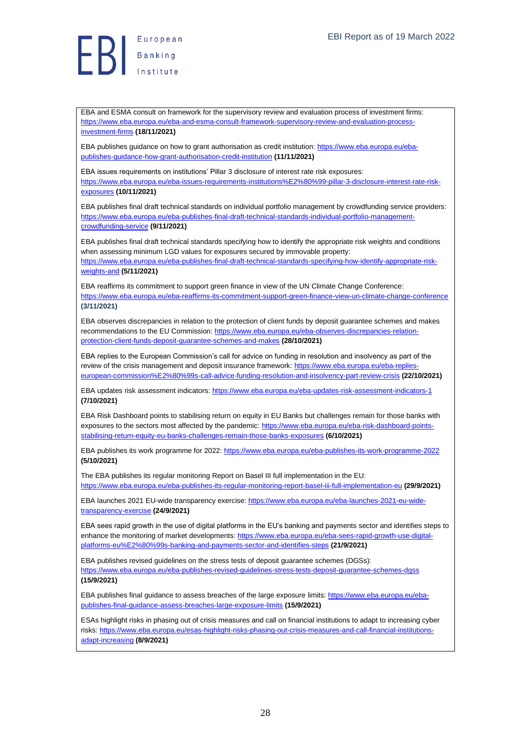**ED** European

EBA and ESMA consult on framework for the supervisory review and evaluation process of investment firms: [https://www.eba.europa.eu/eba-and-esma-consult-framework-supervisory-review-and-evaluation-process](https://www.eba.europa.eu/eba-and-esma-consult-framework-supervisory-review-and-evaluation-process-investment-firms)[investment-firms](https://www.eba.europa.eu/eba-and-esma-consult-framework-supervisory-review-and-evaluation-process-investment-firms) **(18/11/2021)**

EBA publishes guidance on how to grant authorisation as credit institution: [https://www.eba.europa.eu/eba](https://www.eba.europa.eu/eba-publishes-guidance-how-grant-authorisation-credit-institution)[publishes-guidance-how-grant-authorisation-credit-institution](https://www.eba.europa.eu/eba-publishes-guidance-how-grant-authorisation-credit-institution) **(11/11/2021)**

EBA issues requirements on institutions' Pillar 3 disclosure of interest rate risk exposures: [https://www.eba.europa.eu/eba-issues-requirements-institutions%E2%80%99-pillar-3-disclosure-interest-rate-risk](https://www.eba.europa.eu/eba-issues-requirements-institutions%E2%80%99-pillar-3-disclosure-interest-rate-risk-exposures)[exposures](https://www.eba.europa.eu/eba-issues-requirements-institutions%E2%80%99-pillar-3-disclosure-interest-rate-risk-exposures) **(10/11/2021)**

EBA publishes final draft technical standards on individual portfolio management by crowdfunding service providers: [https://www.eba.europa.eu/eba-publishes-final-draft-technical-standards-individual-portfolio-management](https://www.eba.europa.eu/eba-publishes-final-draft-technical-standards-individual-portfolio-management-crowdfunding-service)[crowdfunding-service](https://www.eba.europa.eu/eba-publishes-final-draft-technical-standards-individual-portfolio-management-crowdfunding-service) **(9/11/2021)**

EBA publishes final draft technical standards specifying how to identify the appropriate risk weights and conditions when assessing minimum LGD values for exposures secured by immovable property: [https://www.eba.europa.eu/eba-publishes-final-draft-technical-standards-specifying-how-identify-appropriate-risk](https://www.eba.europa.eu/eba-publishes-final-draft-technical-standards-specifying-how-identify-appropriate-risk-weights-and)[weights-and](https://www.eba.europa.eu/eba-publishes-final-draft-technical-standards-specifying-how-identify-appropriate-risk-weights-and) **(5/11/2021)**

EBA reaffirms its commitment to support green finance in view of the UN Climate Change Conference: <https://www.eba.europa.eu/eba-reaffirms-its-commitment-support-green-finance-view-un-climate-change-conference> **(3/11/2021)**

EBA observes discrepancies in relation to the protection of client funds by deposit guarantee schemes and makes recommendations to the EU Commission[: https://www.eba.europa.eu/eba-observes-discrepancies-relation](https://www.eba.europa.eu/eba-observes-discrepancies-relation-protection-client-funds-deposit-guarantee-schemes-and-makes)[protection-client-funds-deposit-guarantee-schemes-and-makes](https://www.eba.europa.eu/eba-observes-discrepancies-relation-protection-client-funds-deposit-guarantee-schemes-and-makes) **(28/10/2021)**

EBA replies to the European Commission's call for advice on funding in resolution and insolvency as part of the review of the crisis management and deposit insurance framework: [https://www.eba.europa.eu/eba-replies](https://www.eba.europa.eu/eba-replies-european-commission%E2%80%99s-call-advice-funding-resolution-and-insolvency-part-review-crisis)[european-commission%E2%80%99s-call-advice-funding-resolution-and-insolvency-part-review-crisis](https://www.eba.europa.eu/eba-replies-european-commission%E2%80%99s-call-advice-funding-resolution-and-insolvency-part-review-crisis) **(22/10/2021)**

EBA updates risk assessment indicators:<https://www.eba.europa.eu/eba-updates-risk-assessment-indicators-1> **(7/10/2021)**

EBA Risk Dashboard points to stabilising return on equity in EU Banks but challenges remain for those banks with exposures to the sectors most affected by the pandemic[: https://www.eba.europa.eu/eba-risk-dashboard-points](https://www.eba.europa.eu/eba-risk-dashboard-points-stabilising-return-equity-eu-banks-challenges-remain-those-banks-exposures)[stabilising-return-equity-eu-banks-challenges-remain-those-banks-exposures](https://www.eba.europa.eu/eba-risk-dashboard-points-stabilising-return-equity-eu-banks-challenges-remain-those-banks-exposures) **(6/10/2021)**

EBA publishes its work programme for 2022:<https://www.eba.europa.eu/eba-publishes-its-work-programme-2022> **(5/10/2021)**

The EBA publishes its regular monitoring Report on Basel III full implementation in the EU: <https://www.eba.europa.eu/eba-publishes-its-regular-monitoring-report-basel-iii-full-implementation-eu> **(29/9/2021)**

EBA launches 2021 EU-wide transparency exercise[: https://www.eba.europa.eu/eba-launches-2021-eu-wide](https://www.eba.europa.eu/eba-launches-2021-eu-wide-transparency-exercise)[transparency-exercise](https://www.eba.europa.eu/eba-launches-2021-eu-wide-transparency-exercise) **(24/9/2021)**

EBA sees rapid growth in the use of digital platforms in the EU's banking and payments sector and identifies steps to enhance the monitoring of market developments[: https://www.eba.europa.eu/eba-sees-rapid-growth-use-digital](https://www.eba.europa.eu/eba-sees-rapid-growth-use-digital-platforms-eu%E2%80%99s-banking-and-payments-sector-and-identifies-steps)[platforms-eu%E2%80%99s-banking-and-payments-sector-and-identifies-steps](https://www.eba.europa.eu/eba-sees-rapid-growth-use-digital-platforms-eu%E2%80%99s-banking-and-payments-sector-and-identifies-steps) **(21/9/2021)**

EBA publishes revised guidelines on the stress tests of deposit guarantee schemes (DGSs): <https://www.eba.europa.eu/eba-publishes-revised-guidelines-stress-tests-deposit-guarantee-schemes-dgss> **(15/9/2021)**

EBA publishes final guidance to assess breaches of the large exposure limits[: https://www.eba.europa.eu/eba](https://www.eba.europa.eu/eba-publishes-final-guidance-assess-breaches-large-exposure-limits)[publishes-final-guidance-assess-breaches-large-exposure-limits](https://www.eba.europa.eu/eba-publishes-final-guidance-assess-breaches-large-exposure-limits) **(15/9/2021)**

ESAs highlight risks in phasing out of crisis measures and call on financial institutions to adapt to increasing cyber risks[: https://www.eba.europa.eu/esas-highlight-risks-phasing-out-crisis-measures-and-call-financial-institutions](https://www.eba.europa.eu/esas-highlight-risks-phasing-out-crisis-measures-and-call-financial-institutions-adapt-increasing)[adapt-increasing](https://www.eba.europa.eu/esas-highlight-risks-phasing-out-crisis-measures-and-call-financial-institutions-adapt-increasing) **(8/9/2021)**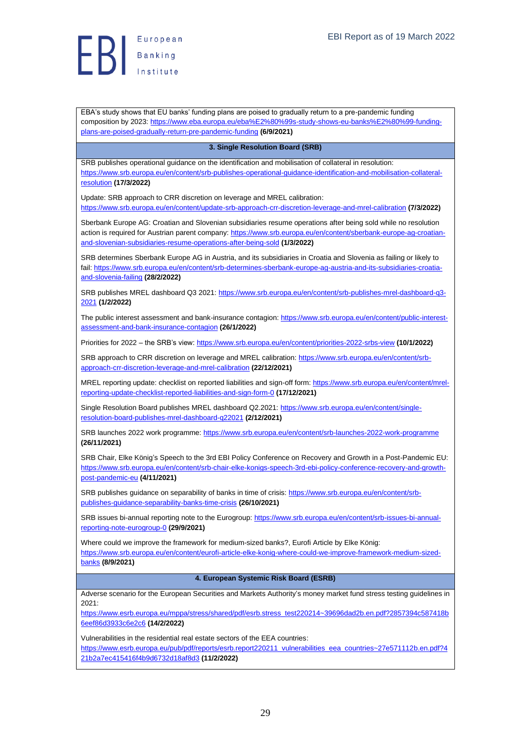EBA's study shows that EU banks' funding plans are poised to gradually return to a pre-pandemic funding composition by 2023[: https://www.eba.europa.eu/eba%E2%80%99s-study-shows-eu-banks%E2%80%99-funding](https://www.eba.europa.eu/eba%E2%80%99s-study-shows-eu-banks%E2%80%99-funding-plans-are-poised-gradually-return-pre-pandemic-funding)[plans-are-poised-gradually-return-pre-pandemic-funding](https://www.eba.europa.eu/eba%E2%80%99s-study-shows-eu-banks%E2%80%99-funding-plans-are-poised-gradually-return-pre-pandemic-funding) **(6/9/2021)**

#### <span id="page-28-0"></span>**3. Single Resolution Board (SRB)**

SRB publishes operational guidance on the identification and mobilisation of collateral in resolution: [https://www.srb.europa.eu/en/content/srb-publishes-operational-guidance-identification-and-mobilisation-collateral](https://www.srb.europa.eu/en/content/srb-publishes-operational-guidance-identification-and-mobilisation-collateral-resolution)[resolution](https://www.srb.europa.eu/en/content/srb-publishes-operational-guidance-identification-and-mobilisation-collateral-resolution) **(17/3/2022)**

Update: SRB approach to CRR discretion on leverage and MREL calibration: <https://www.srb.europa.eu/en/content/update-srb-approach-crr-discretion-leverage-and-mrel-calibration> **(7/3/2022)**

Sberbank Europe AG: Croatian and Slovenian subsidiaries resume operations after being sold while no resolution action is required for Austrian parent company: [https://www.srb.europa.eu/en/content/sberbank-europe-ag-croatian](https://www.srb.europa.eu/en/content/sberbank-europe-ag-croatian-and-slovenian-subsidiaries-resume-operations-after-being-sold)[and-slovenian-subsidiaries-resume-operations-after-being-sold](https://www.srb.europa.eu/en/content/sberbank-europe-ag-croatian-and-slovenian-subsidiaries-resume-operations-after-being-sold) **(1/3/2022)**

SRB determines Sberbank Europe AG in Austria, and its subsidiaries in Croatia and Slovenia as failing or likely to fail[: https://www.srb.europa.eu/en/content/srb-determines-sberbank-europe-ag-austria-and-its-subsidiaries-croatia](https://www.srb.europa.eu/en/content/srb-determines-sberbank-europe-ag-austria-and-its-subsidiaries-croatia-and-slovenia-failing)[and-slovenia-failing](https://www.srb.europa.eu/en/content/srb-determines-sberbank-europe-ag-austria-and-its-subsidiaries-croatia-and-slovenia-failing) **(28/2/2022)**

SRB publishes MREL dashboard Q3 2021: [https://www.srb.europa.eu/en/content/srb-publishes-mrel-dashboard-q3-](https://www.srb.europa.eu/en/content/srb-publishes-mrel-dashboard-q3-2021) [2021](https://www.srb.europa.eu/en/content/srb-publishes-mrel-dashboard-q3-2021) **(1/2/2022)**

The public interest assessment and bank-insurance contagion: [https://www.srb.europa.eu/en/content/public-interest](https://www.srb.europa.eu/en/content/public-interest-assessment-and-bank-insurance-contagion)[assessment-and-bank-insurance-contagion](https://www.srb.europa.eu/en/content/public-interest-assessment-and-bank-insurance-contagion) **(26/1/2022)**

Priorities for 2022 – the SRB's view[: https://www.srb.europa.eu/en/content/priorities-2022-srbs-view](https://www.srb.europa.eu/en/content/priorities-2022-srbs-view) **(10/1/2022)**

SRB approach to CRR discretion on leverage and MREL calibration: [https://www.srb.europa.eu/en/content/srb](https://www.srb.europa.eu/en/content/srb-approach-crr-discretion-leverage-and-mrel-calibration)[approach-crr-discretion-leverage-and-mrel-calibration](https://www.srb.europa.eu/en/content/srb-approach-crr-discretion-leverage-and-mrel-calibration) **(22/12/2021)**

MREL reporting update: checklist on reported liabilities and sign-off form: [https://www.srb.europa.eu/en/content/mrel](https://www.srb.europa.eu/en/content/mrel-reporting-update-checklist-reported-liabilities-and-sign-form-0)[reporting-update-checklist-reported-liabilities-and-sign-form-0](https://www.srb.europa.eu/en/content/mrel-reporting-update-checklist-reported-liabilities-and-sign-form-0) **(17/12/2021)**

Single Resolution Board publishes MREL dashboard Q2.2021[: https://www.srb.europa.eu/en/content/single](https://www.srb.europa.eu/en/content/single-resolution-board-publishes-mrel-dashboard-q22021)[resolution-board-publishes-mrel-dashboard-q22021](https://www.srb.europa.eu/en/content/single-resolution-board-publishes-mrel-dashboard-q22021) **(2/12/2021)**

SRB launches 2022 work programme:<https://www.srb.europa.eu/en/content/srb-launches-2022-work-programme> **(26/11/2021)**

SRB Chair, Elke König's Speech to the 3rd EBI Policy Conference on Recovery and Growth in a Post-Pandemic EU: [https://www.srb.europa.eu/en/content/srb-chair-elke-konigs-speech-3rd-ebi-policy-conference-recovery-and-growth](https://www.srb.europa.eu/en/content/srb-chair-elke-konigs-speech-3rd-ebi-policy-conference-recovery-and-growth-post-pandemic-eu)[post-pandemic-eu](https://www.srb.europa.eu/en/content/srb-chair-elke-konigs-speech-3rd-ebi-policy-conference-recovery-and-growth-post-pandemic-eu) **(4/11/2021)**

SRB publishes guidance on separability of banks in time of crisis[: https://www.srb.europa.eu/en/content/srb](https://www.srb.europa.eu/en/content/srb-publishes-guidance-separability-banks-time-crisis)[publishes-guidance-separability-banks-time-crisis](https://www.srb.europa.eu/en/content/srb-publishes-guidance-separability-banks-time-crisis) **(26/10/2021)**

SRB issues bi-annual reporting note to the Eurogroup: [https://www.srb.europa.eu/en/content/srb-issues-bi-annual](https://www.srb.europa.eu/en/content/srb-issues-bi-annual-reporting-note-eurogroup-0)[reporting-note-eurogroup-0](https://www.srb.europa.eu/en/content/srb-issues-bi-annual-reporting-note-eurogroup-0) **(29/9/2021)**

Where could we improve the framework for medium-sized banks?, Eurofi Article by Elke König: [https://www.srb.europa.eu/en/content/eurofi-article-elke-konig-where-could-we-improve-framework-medium-sized](https://www.srb.europa.eu/en/content/eurofi-article-elke-konig-where-could-we-improve-framework-medium-sized-banks)[banks](https://www.srb.europa.eu/en/content/eurofi-article-elke-konig-where-could-we-improve-framework-medium-sized-banks) **(8/9/2021)**

<span id="page-28-1"></span>**4. European Systemic Risk Board (ESRB)**

Adverse scenario for the European Securities and Markets Authority's money market fund stress testing guidelines in 2021:

[https://www.esrb.europa.eu/mppa/stress/shared/pdf/esrb.stress\\_test220214~39696dad2b.en.pdf?2857394c587418b](https://www.esrb.europa.eu/mppa/stress/shared/pdf/esrb.stress_test220214~39696dad2b.en.pdf?2857394c587418b6eef86d3933c6e2c6) [6eef86d3933c6e2c6](https://www.esrb.europa.eu/mppa/stress/shared/pdf/esrb.stress_test220214~39696dad2b.en.pdf?2857394c587418b6eef86d3933c6e2c6) **(14/2/2022)**

Vulnerabilities in the residential real estate sectors of the EEA countries: [https://www.esrb.europa.eu/pub/pdf/reports/esrb.report220211\\_vulnerabilities\\_eea\\_countries~27e571112b.en.pdf?4](https://www.esrb.europa.eu/pub/pdf/reports/esrb.report220211_vulnerabilities_eea_countries~27e571112b.en.pdf?421b2a7ec415416f4b9d6732d18af8d3) [21b2a7ec415416f4b9d6732d18af8d3](https://www.esrb.europa.eu/pub/pdf/reports/esrb.report220211_vulnerabilities_eea_countries~27e571112b.en.pdf?421b2a7ec415416f4b9d6732d18af8d3) **(11/2/2022)**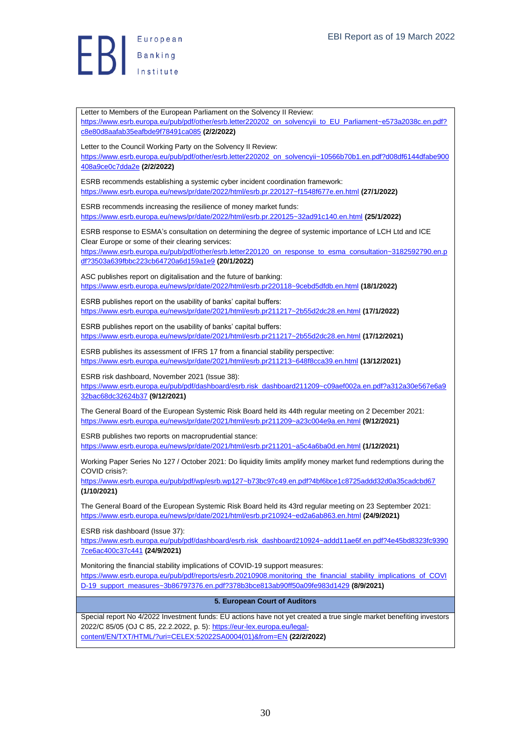$\begin{array}{c} \begin{array}{c} \end{array} \end{array}$ 

<span id="page-29-0"></span>Letter to Members of the European Parliament on the Solvency II Review: [https://www.esrb.europa.eu/pub/pdf/other/esrb.letter220202\\_on\\_solvencyii\\_to\\_EU\\_Parliament~e573a2038c.en.pdf?](https://www.esrb.europa.eu/pub/pdf/other/esrb.letter220202_on_solvencyii_to_EU_Parliament~e573a2038c.en.pdf?c8e80d8aafab35eafbde9f78491ca085) [c8e80d8aafab35eafbde9f78491ca085](https://www.esrb.europa.eu/pub/pdf/other/esrb.letter220202_on_solvencyii_to_EU_Parliament~e573a2038c.en.pdf?c8e80d8aafab35eafbde9f78491ca085) **(2/2/2022)** Letter to the Council Working Party on the Solvency II Review: [https://www.esrb.europa.eu/pub/pdf/other/esrb.letter220202\\_on\\_solvencyii~10566b70b1.en.pdf?d08df6144dfabe900](https://www.esrb.europa.eu/pub/pdf/other/esrb.letter220202_on_solvencyii~10566b70b1.en.pdf?d08df6144dfabe900408a9ce0c7dda2e) [408a9ce0c7dda2e](https://www.esrb.europa.eu/pub/pdf/other/esrb.letter220202_on_solvencyii~10566b70b1.en.pdf?d08df6144dfabe900408a9ce0c7dda2e) **(2/2/2022)** ESRB recommends establishing a systemic cyber incident coordination framework: <https://www.esrb.europa.eu/news/pr/date/2022/html/esrb.pr.220127~f1548f677e.en.html> **(27/1/2022)** ESRB recommends increasing the resilience of money market funds: <https://www.esrb.europa.eu/news/pr/date/2022/html/esrb.pr.220125~32ad91c140.en.html> **(25/1/2022)** ESRB response to ESMA's consultation on determining the degree of systemic importance of LCH Ltd and ICE Clear Europe or some of their clearing services: [https://www.esrb.europa.eu/pub/pdf/other/esrb.letter220120\\_on\\_response\\_to\\_esma\\_consultation~3182592790.en.p](https://www.esrb.europa.eu/pub/pdf/other/esrb.letter220120_on_response_to_esma_consultation~3182592790.en.pdf?3503a639fbbc223cb64720a6d159a1e9) [df?3503a639fbbc223cb64720a6d159a1e9](https://www.esrb.europa.eu/pub/pdf/other/esrb.letter220120_on_response_to_esma_consultation~3182592790.en.pdf?3503a639fbbc223cb64720a6d159a1e9) **(20/1/2022)** ASC publishes report on digitalisation and the future of banking: <https://www.esrb.europa.eu/news/pr/date/2022/html/esrb.pr220118~9cebd5dfdb.en.html> **(18/1/2022)** ESRB publishes report on the usability of banks' capital buffers: <https://www.esrb.europa.eu/news/pr/date/2021/html/esrb.pr211217~2b55d2dc28.en.html> **(17/1/2022)** ESRB publishes report on the usability of banks' capital buffers: <https://www.esrb.europa.eu/news/pr/date/2021/html/esrb.pr211217~2b55d2dc28.en.html> **(17/12/2021)** ESRB publishes its assessment of IFRS 17 from a financial stability perspective: <https://www.esrb.europa.eu/news/pr/date/2021/html/esrb.pr211213~648f8cca39.en.html> **(13/12/2021)** ESRB risk dashboard, November 2021 (Issue 38): [https://www.esrb.europa.eu/pub/pdf/dashboard/esrb.risk\\_dashboard211209~c09aef002a.en.pdf?a312a30e567e6a9](https://www.esrb.europa.eu/pub/pdf/dashboard/esrb.risk_dashboard211209~c09aef002a.en.pdf?a312a30e567e6a932bac68dc32624b37) [32bac68dc32624b37](https://www.esrb.europa.eu/pub/pdf/dashboard/esrb.risk_dashboard211209~c09aef002a.en.pdf?a312a30e567e6a932bac68dc32624b37) **(9/12/2021)** The General Board of the European Systemic Risk Board held its 44th regular meeting on 2 December 2021: <https://www.esrb.europa.eu/news/pr/date/2021/html/esrb.pr211209~a23c004e9a.en.html> **(9/12/2021)** ESRB publishes two reports on macroprudential stance: <https://www.esrb.europa.eu/news/pr/date/2021/html/esrb.pr211201~a5c4a6ba0d.en.html> **(1/12/2021)** Working Paper Series No 127 / October 2021: Do liquidity limits amplify money market fund redemptions during the COVID crisis?: <https://www.esrb.europa.eu/pub/pdf/wp/esrb.wp127~b73bc97c49.en.pdf?4bf6bce1c8725addd32d0a35cadcbd67> **(1/10/2021)** The General Board of the European Systemic Risk Board held its 43rd regular meeting on 23 September 2021: <https://www.esrb.europa.eu/news/pr/date/2021/html/esrb.pr210924~ed2a6ab863.en.html> **(24/9/2021)** ESRB risk dashboard (Issue 37): [https://www.esrb.europa.eu/pub/pdf/dashboard/esrb.risk\\_dashboard210924~addd11ae6f.en.pdf?4e45bd8323fc9390](https://www.esrb.europa.eu/pub/pdf/dashboard/esrb.risk_dashboard210924~addd11ae6f.en.pdf?4e45bd8323fc93907ce6ac400c37c441) [7ce6ac400c37c441](https://www.esrb.europa.eu/pub/pdf/dashboard/esrb.risk_dashboard210924~addd11ae6f.en.pdf?4e45bd8323fc93907ce6ac400c37c441) **(24/9/2021)** Monitoring the financial stability implications of COVID-19 support measures: [https://www.esrb.europa.eu/pub/pdf/reports/esrb.20210908.monitoring\\_the\\_financial\\_stability\\_implications\\_of\\_COVI](https://www.esrb.europa.eu/pub/pdf/reports/esrb.20210908.monitoring_the_financial_stability_implications_of_COVID-19_support_measures~3b86797376.en.pdf?378b3bce813ab90ff50a09fe983d1429) [D-19\\_support\\_measures~3b86797376.en.pdf?378b3bce813ab90ff50a09fe983d1429](https://www.esrb.europa.eu/pub/pdf/reports/esrb.20210908.monitoring_the_financial_stability_implications_of_COVID-19_support_measures~3b86797376.en.pdf?378b3bce813ab90ff50a09fe983d1429) **(8/9/2021) 5. European Court of Auditors** Special report No 4/2022 Investment funds: EU actions have not yet created a true single market benefiting investors 2022/C 85/05 (OJ C 85, 22.2.2022, p. 5): [https://eur-lex.europa.eu/legal](https://eur-lex.europa.eu/legal-content/EN/TXT/HTML/?uri=CELEX:52022SA0004(01)&from=EN)[content/EN/TXT/HTML/?uri=CELEX:52022SA0004\(01\)&from=EN](https://eur-lex.europa.eu/legal-content/EN/TXT/HTML/?uri=CELEX:52022SA0004(01)&from=EN) **(22/2/2022)**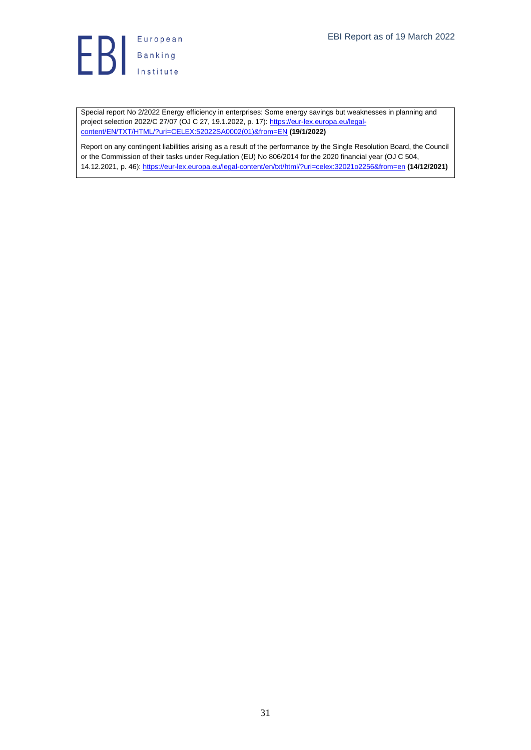

Special report No 2/2022 Energy efficiency in enterprises: Some energy savings but weaknesses in planning and project selection 2022/C 27/07 (OJ C 27, 19.1.2022, p. 17)[: https://eur-lex.europa.eu/legal](https://eur-lex.europa.eu/legal-content/EN/TXT/HTML/?uri=CELEX:52022SA0002(01)&from=EN)[content/EN/TXT/HTML/?uri=CELEX:52022SA0002\(01\)&from=EN](https://eur-lex.europa.eu/legal-content/EN/TXT/HTML/?uri=CELEX:52022SA0002(01)&from=EN) **(19/1/2022)**

Report on any contingent liabilities arising as a result of the performance by the Single Resolution Board, the Council or the Commission of their tasks under Regulation (EU) No 806/2014 for the 2020 financial year (OJ C 504, 14.12.2021, p. 46):<https://eur-lex.europa.eu/legal-content/en/txt/html/?uri=celex:32021o2256&from=en> **(14/12/2021)**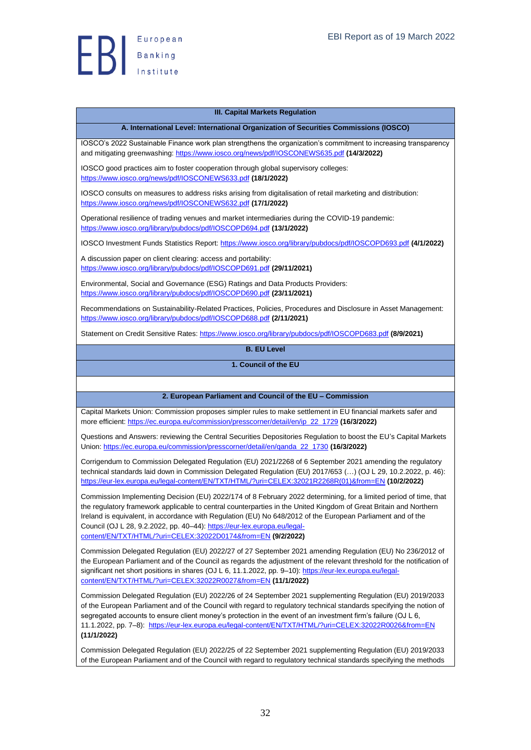

#### **III. Capital Markets Regulation**

**A. International Level: International Organization of Securities Commissions (IOSCO)**

<span id="page-31-1"></span><span id="page-31-0"></span>IOSCO's 2022 Sustainable Finance work plan strengthens the organization's commitment to increasing transparency and mitigating greenwashing:<https://www.iosco.org/news/pdf/IOSCONEWS635.pdf> **(14/3/2022)**

IOSCO good practices aim to foster cooperation through global supervisory colleges: <https://www.iosco.org/news/pdf/IOSCONEWS633.pdf> **(18/1/2022)**

IOSCO consults on measures to address risks arising from digitalisation of retail marketing and distribution: <https://www.iosco.org/news/pdf/IOSCONEWS632.pdf> **(17/1/2022)**

Operational resilience of trading venues and market intermediaries during the COVID-19 pandemic: <https://www.iosco.org/library/pubdocs/pdf/IOSCOPD694.pdf> **(13/1/2022)**

IOSCO Investment Funds Statistics Report: <https://www.iosco.org/library/pubdocs/pdf/IOSCOPD693.pdf> **(4/1/2022)**

A discussion paper on client clearing: access and portability: <https://www.iosco.org/library/pubdocs/pdf/IOSCOPD691.pdf> **(29/11/2021)**

Environmental, Social and Governance (ESG) Ratings and Data Products Providers: <https://www.iosco.org/library/pubdocs/pdf/IOSCOPD690.pdf> **(23/11/2021)**

Recommendations on Sustainability-Related Practices, Policies, Procedures and Disclosure in Asset Management: <https://www.iosco.org/library/pubdocs/pdf/IOSCOPD688.pdf> **(2/11/2021)**

<span id="page-31-3"></span><span id="page-31-2"></span>Statement on Credit Sensitive Rates:<https://www.iosco.org/library/pubdocs/pdf/IOSCOPD683.pdf> **(8/9/2021)**

## **B. EU Level**

#### **1. Council of the EU**

#### <span id="page-31-4"></span>**2. European Parliament and Council of the EU – Commission**

Capital Markets Union: Commission proposes simpler rules to make settlement in EU financial markets safer and more efficient[: https://ec.europa.eu/commission/presscorner/detail/en/ip\\_22\\_1729](https://ec.europa.eu/commission/presscorner/detail/en/ip_22_1729) **(16/3/2022)**

Questions and Answers: reviewing the Central Securities Depositories Regulation to boost the EU's Capital Markets Union: [https://ec.europa.eu/commission/presscorner/detail/en/qanda\\_22\\_1730](https://ec.europa.eu/commission/presscorner/detail/en/qanda_22_1730) **(16/3/2022)**

Corrigendum to Commission Delegated Regulation (EU) 2021/2268 of 6 September 2021 amending the regulatory technical standards laid down in Commission Delegated Regulation (EU) 2017/653 (…) (OJ L 29, 10.2.2022, p. 46): [https://eur-lex.europa.eu/legal-content/EN/TXT/HTML/?uri=CELEX:32021R2268R\(01\)&from=EN](https://eur-lex.europa.eu/legal-content/EN/TXT/HTML/?uri=CELEX:32021R2268R(01)&from=EN) **(10/2/2022)**

Commission Implementing Decision (EU) 2022/174 of 8 February 2022 determining, for a limited period of time, that the regulatory framework applicable to central counterparties in the United Kingdom of Great Britain and Northern Ireland is equivalent, in accordance with Regulation (EU) No 648/2012 of the European Parliament and of the Council (OJ L 28, 9.2.2022, pp. 40–44): [https://eur-lex.europa.eu/legal](https://eur-lex.europa.eu/legal-content/EN/TXT/HTML/?uri=CELEX:32022D0174&from=EN)[content/EN/TXT/HTML/?uri=CELEX:32022D0174&from=EN](https://eur-lex.europa.eu/legal-content/EN/TXT/HTML/?uri=CELEX:32022D0174&from=EN) **(9/2/2022)**

Commission Delegated Regulation (EU) 2022/27 of 27 September 2021 amending Regulation (EU) No 236/2012 of the European Parliament and of the Council as regards the adjustment of the relevant threshold for the notification of significant net short positions in shares (OJ L 6, 11.1.2022, pp. 9-10)[: https://eur-lex.europa.eu/legal](https://eur-lex.europa.eu/legal-content/EN/TXT/HTML/?uri=CELEX:32022R0027&from=EN)[content/EN/TXT/HTML/?uri=CELEX:32022R0027&from=EN](https://eur-lex.europa.eu/legal-content/EN/TXT/HTML/?uri=CELEX:32022R0027&from=EN) **(11/1/2022)**

Commission Delegated Regulation (EU) 2022/26 of 24 September 2021 supplementing Regulation (EU) 2019/2033 of the European Parliament and of the Council with regard to regulatory technical standards specifying the notion of segregated accounts to ensure client money's protection in the event of an investment firm's failure (OJ L 6, 11.1.2022, pp. 7–8): <https://eur-lex.europa.eu/legal-content/EN/TXT/HTML/?uri=CELEX:32022R0026&from=EN> **(11/1/2022)**

Commission Delegated Regulation (EU) 2022/25 of 22 September 2021 supplementing Regulation (EU) 2019/2033 of the European Parliament and of the Council with regard to regulatory technical standards specifying the methods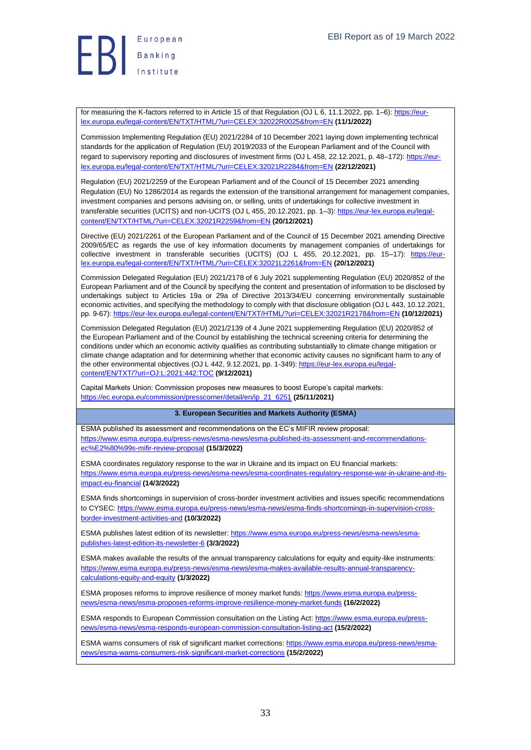

for measuring the K-factors referred to in Article 15 of that Regulation (OJ L 6, 11.1.2022, pp. 1-6): [https://eur](https://eur-lex.europa.eu/legal-content/EN/TXT/HTML/?uri=CELEX:32022R0025&from=EN)[lex.europa.eu/legal-content/EN/TXT/HTML/?uri=CELEX:32022R0025&from=EN](https://eur-lex.europa.eu/legal-content/EN/TXT/HTML/?uri=CELEX:32022R0025&from=EN) **(11/1/2022)**

Commission Implementing Regulation (EU) 2021/2284 of 10 December 2021 laying down implementing technical standards for the application of Regulation (EU) 2019/2033 of the European Parliament and of the Council with regard to supervisory reporting and disclosures of investment firms (OJ L 458, 22.12.2021, p. 48-172): [https://eur](https://eur-lex.europa.eu/legal-content/EN/TXT/HTML/?uri=CELEX:32021R2284&from=EN)[lex.europa.eu/legal-content/EN/TXT/HTML/?uri=CELEX:32021R2284&from=EN](https://eur-lex.europa.eu/legal-content/EN/TXT/HTML/?uri=CELEX:32021R2284&from=EN) **(22/12/2021)**

Regulation (EU) 2021/2259 of the European Parliament and of the Council of 15 December 2021 amending Regulation (EU) No 1286/2014 as regards the extension of the transitional arrangement for management companies, investment companies and persons advising on, or selling, units of undertakings for collective investment in transferable securities (UCITS) and non-UCITS (OJ L 455, 20.12.2021, pp. 1–3)[: https://eur-lex.europa.eu/legal](https://eur-lex.europa.eu/legal-content/EN/TXT/HTML/?uri=CELEX:32021R2259&from=EN)[content/EN/TXT/HTML/?uri=CELEX:32021R2259&from=EN](https://eur-lex.europa.eu/legal-content/EN/TXT/HTML/?uri=CELEX:32021R2259&from=EN) **(20/12/2021)**

Directive (EU) 2021/2261 of the European Parliament and of the Council of 15 December 2021 amending Directive 2009/65/EC as regards the use of key information documents by management companies of undertakings for collective investment in transferable securities (UCITS) (OJ L 455, 20.12.2021, pp. 15-17): [https://eur](https://eur-lex.europa.eu/legal-content/EN/TXT/HTML/?uri=CELEX:32021L2261&from=EN)[lex.europa.eu/legal-content/EN/TXT/HTML/?uri=CELEX:32021L2261&from=EN](https://eur-lex.europa.eu/legal-content/EN/TXT/HTML/?uri=CELEX:32021L2261&from=EN) **(20/12/2021)**

Commission Delegated Regulation (EU) 2021/2178 of 6 July 2021 supplementing Regulation (EU) 2020/852 of the European Parliament and of the Council by specifying the content and presentation of information to be disclosed by undertakings subject to Articles 19a or 29a of Directive 2013/34/EU concerning environmentally sustainable economic activities, and specifying the methodology to comply with that disclosure obligation (OJ L 443, 10.12.2021, pp. 9-67)[: https://eur-lex.europa.eu/legal-content/EN/TXT/HTML/?uri=CELEX:32021R2178&from=EN](https://eur-lex.europa.eu/legal-content/EN/TXT/HTML/?uri=CELEX:32021R2178&from=EN) **(10/12/2021)**

Commission Delegated Regulation (EU) 2021/2139 of 4 June 2021 supplementing Regulation (EU) 2020/852 of the European Parliament and of the Council by establishing the technical screening criteria for determining the conditions under which an economic activity qualifies as contributing substantially to climate change mitigation or climate change adaptation and for determining whether that economic activity causes no significant harm to any of the other environmental objectives (OJ L 442, 9.12.2021, pp. 1-349)[: https://eur-lex.europa.eu/legal](https://eur-lex.europa.eu/legal-content/EN/TXT/?uri=OJ:L:2021:442:TOC)[content/EN/TXT/?uri=OJ:L:2021:442:TOC](https://eur-lex.europa.eu/legal-content/EN/TXT/?uri=OJ:L:2021:442:TOC) **(9/12/2021)**

Capital Markets Union: Commission proposes new measures to boost Europe's capital markets: [https://ec.europa.eu/commission/presscorner/detail/en/ip\\_21\\_6251](https://ec.europa.eu/commission/presscorner/detail/en/ip_21_6251) **(25/11/2021)**

#### **3. European Securities and Markets Authority (ESMA)**

<span id="page-32-0"></span>ESMA published its assessment and recommendations on the EC's MIFIR review proposal: [https://www.esma.europa.eu/press-news/esma-news/esma-published-its-assessment-and-recommendations](https://www.esma.europa.eu/press-news/esma-news/esma-published-its-assessment-and-recommendations-ec%E2%80%99s-mifir-review-proposal)[ec%E2%80%99s-mifir-review-proposal](https://www.esma.europa.eu/press-news/esma-news/esma-published-its-assessment-and-recommendations-ec%E2%80%99s-mifir-review-proposal) **(15/3/2022)**

ESMA coordinates regulatory response to the war in Ukraine and its impact on EU financial markets: [https://www.esma.europa.eu/press-news/esma-news/esma-coordinates-regulatory-response-war-in-ukraine-and-its](https://www.esma.europa.eu/press-news/esma-news/esma-coordinates-regulatory-response-war-in-ukraine-and-its-impact-eu-financial)[impact-eu-financial](https://www.esma.europa.eu/press-news/esma-news/esma-coordinates-regulatory-response-war-in-ukraine-and-its-impact-eu-financial) **(14/3/2022)**

ESMA finds shortcomings in supervision of cross-border investment activities and issues specific recommendations to CYSEC: [https://www.esma.europa.eu/press-news/esma-news/esma-finds-shortcomings-in-supervision-cross](https://www.esma.europa.eu/press-news/esma-news/esma-finds-shortcomings-in-supervision-cross-border-investment-activities-and)[border-investment-activities-and](https://www.esma.europa.eu/press-news/esma-news/esma-finds-shortcomings-in-supervision-cross-border-investment-activities-and) **(10/3/2022)**

ESMA publishes latest edition of its newsletter: [https://www.esma.europa.eu/press-news/esma-news/esma](https://www.esma.europa.eu/press-news/esma-news/esma-publishes-latest-edition-its-newsletter-6)[publishes-latest-edition-its-newsletter-6](https://www.esma.europa.eu/press-news/esma-news/esma-publishes-latest-edition-its-newsletter-6) **(3/3/2022)**

ESMA makes available the results of the annual transparency calculations for equity and equity-like instruments: [https://www.esma.europa.eu/press-news/esma-news/esma-makes-available-results-annual-transparency](https://www.esma.europa.eu/press-news/esma-news/esma-makes-available-results-annual-transparency-calculations-equity-and-equity)[calculations-equity-and-equity](https://www.esma.europa.eu/press-news/esma-news/esma-makes-available-results-annual-transparency-calculations-equity-and-equity) **(1/3/2022)**

ESMA proposes reforms to improve resilience of money market funds[: https://www.esma.europa.eu/press](https://www.esma.europa.eu/press-news/esma-news/esma-proposes-reforms-improve-resilience-money-market-funds)[news/esma-news/esma-proposes-reforms-improve-resilience-money-market-funds](https://www.esma.europa.eu/press-news/esma-news/esma-proposes-reforms-improve-resilience-money-market-funds) **(16/2/2022)**

ESMA responds to European Commission consultation on the Listing Act[: https://www.esma.europa.eu/press](https://www.esma.europa.eu/press-news/esma-news/esma-responds-european-commission-consultation-listing-act)[news/esma-news/esma-responds-european-commission-consultation-listing-act](https://www.esma.europa.eu/press-news/esma-news/esma-responds-european-commission-consultation-listing-act) **(15/2/2022)**

ESMA warns consumers of risk of significant market corrections: [https://www.esma.europa.eu/press-news/esma](https://www.esma.europa.eu/press-news/esma-news/esma-warns-consumers-risk-significant-market-corrections)[news/esma-warns-consumers-risk-significant-market-corrections](https://www.esma.europa.eu/press-news/esma-news/esma-warns-consumers-risk-significant-market-corrections) **(15/2/2022)**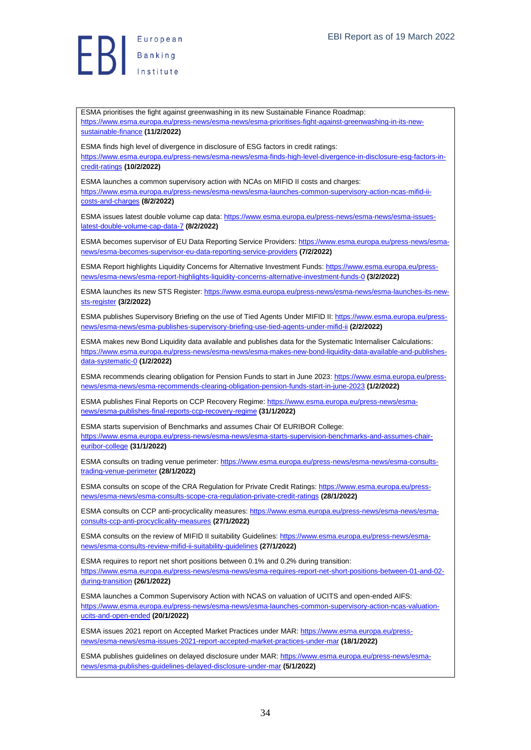**B**<br>B<br>B<br>Institute

[sustainable-finance](https://www.esma.europa.eu/press-news/esma-news/esma-prioritises-fight-against-greenwashing-in-its-new-sustainable-finance) **(11/2/2022)**

ESMA finds high level of divergence in disclosure of ESG factors in credit ratings: [https://www.esma.europa.eu/press-news/esma-news/esma-finds-high-level-divergence-in-disclosure-esg-factors-in](https://www.esma.europa.eu/press-news/esma-news/esma-finds-high-level-divergence-in-disclosure-esg-factors-in-credit-ratings)[credit-ratings](https://www.esma.europa.eu/press-news/esma-news/esma-finds-high-level-divergence-in-disclosure-esg-factors-in-credit-ratings) **(10/2/2022)** ESMA launches a common supervisory action with NCAs on MIFID II costs and charges: [https://www.esma.europa.eu/press-news/esma-news/esma-launches-common-supervisory-action-ncas-mifid-ii](https://www.esma.europa.eu/press-news/esma-news/esma-launches-common-supervisory-action-ncas-mifid-ii-costs-and-charges)[costs-and-charges](https://www.esma.europa.eu/press-news/esma-news/esma-launches-common-supervisory-action-ncas-mifid-ii-costs-and-charges) **(8/2/2022)** ESMA issues latest double volume cap data[: https://www.esma.europa.eu/press-news/esma-news/esma-issues](https://www.esma.europa.eu/press-news/esma-news/esma-issues-latest-double-volume-cap-data-7)[latest-double-volume-cap-data-7](https://www.esma.europa.eu/press-news/esma-news/esma-issues-latest-double-volume-cap-data-7) **(8/2/2022)** ESMA becomes supervisor of EU Data Reporting Service Providers: [https://www.esma.europa.eu/press-news/esma](https://www.esma.europa.eu/press-news/esma-news/esma-becomes-supervisor-eu-data-reporting-service-providers)[news/esma-becomes-supervisor-eu-data-reporting-service-providers](https://www.esma.europa.eu/press-news/esma-news/esma-becomes-supervisor-eu-data-reporting-service-providers) **(7/2/2022)** ESMA Report highlights Liquidity Concerns for Alternative Investment Funds[: https://www.esma.europa.eu/press](https://www.esma.europa.eu/press-news/esma-news/esma-report-highlights-liquidity-concerns-alternative-investment-funds-0)[news/esma-news/esma-report-highlights-liquidity-concerns-alternative-investment-funds-0](https://www.esma.europa.eu/press-news/esma-news/esma-report-highlights-liquidity-concerns-alternative-investment-funds-0) **(3/2/2022)** ESMA launches its new STS Register: [https://www.esma.europa.eu/press-news/esma-news/esma-launches-its-new](https://www.esma.europa.eu/press-news/esma-news/esma-launches-its-new-sts-register)[sts-register](https://www.esma.europa.eu/press-news/esma-news/esma-launches-its-new-sts-register) **(3/2/2022)** ESMA publishes Supervisory Briefing on the use of Tied Agents Under MIFID II[: https://www.esma.europa.eu/press](https://www.esma.europa.eu/press-news/esma-news/esma-publishes-supervisory-briefing-use-tied-agents-under-mifid-ii)[news/esma-news/esma-publishes-supervisory-briefing-use-tied-agents-under-mifid-ii](https://www.esma.europa.eu/press-news/esma-news/esma-publishes-supervisory-briefing-use-tied-agents-under-mifid-ii) **(2/2/2022)** ESMA makes new Bond Liquidity data available and publishes data for the Systematic Internaliser Calculations: [https://www.esma.europa.eu/press-news/esma-news/esma-makes-new-bond-liquidity-data-available-and-publishes](https://www.esma.europa.eu/press-news/esma-news/esma-makes-new-bond-liquidity-data-available-and-publishes-data-systematic-0)[data-systematic-0](https://www.esma.europa.eu/press-news/esma-news/esma-makes-new-bond-liquidity-data-available-and-publishes-data-systematic-0) **(1/2/2022)** ESMA recommends clearing obligation for Pension Funds to start in June 2023: [https://www.esma.europa.eu/press](https://www.esma.europa.eu/press-news/esma-news/esma-recommends-clearing-obligation-pension-funds-start-in-june-2023)[news/esma-news/esma-recommends-clearing-obligation-pension-funds-start-in-june-2023](https://www.esma.europa.eu/press-news/esma-news/esma-recommends-clearing-obligation-pension-funds-start-in-june-2023) **(1/2/2022)** ESMA publishes Final Reports on CCP Recovery Regime[: https://www.esma.europa.eu/press-news/esma](https://www.esma.europa.eu/press-news/esma-news/esma-publishes-final-reports-ccp-recovery-regime)[news/esma-publishes-final-reports-ccp-recovery-regime](https://www.esma.europa.eu/press-news/esma-news/esma-publishes-final-reports-ccp-recovery-regime) **(31/1/2022)** ESMA starts supervision of Benchmarks and assumes Chair Of EURIBOR College: [https://www.esma.europa.eu/press-news/esma-news/esma-starts-supervision-benchmarks-and-assumes-chair](https://www.esma.europa.eu/press-news/esma-news/esma-starts-supervision-benchmarks-and-assumes-chair-euribor-college)[euribor-college](https://www.esma.europa.eu/press-news/esma-news/esma-starts-supervision-benchmarks-and-assumes-chair-euribor-college) **(31/1/2022)** ESMA consults on trading venue perimeter[: https://www.esma.europa.eu/press-news/esma-news/esma-consults](https://www.esma.europa.eu/press-news/esma-news/esma-consults-trading-venue-perimeter)[trading-venue-perimeter](https://www.esma.europa.eu/press-news/esma-news/esma-consults-trading-venue-perimeter) **(28/1/2022)** ESMA consults on scope of the CRA Regulation for Private Credit Ratings[: https://www.esma.europa.eu/press](https://www.esma.europa.eu/press-news/esma-news/esma-consults-scope-cra-regulation-private-credit-ratings)[news/esma-news/esma-consults-scope-cra-regulation-private-credit-ratings](https://www.esma.europa.eu/press-news/esma-news/esma-consults-scope-cra-regulation-private-credit-ratings) **(28/1/2022)** ESMA consults on CCP anti-procyclicality measures[: https://www.esma.europa.eu/press-news/esma-news/esma](https://www.esma.europa.eu/press-news/esma-news/esma-consults-ccp-anti-procyclicality-measures)[consults-ccp-anti-procyclicality-measures](https://www.esma.europa.eu/press-news/esma-news/esma-consults-ccp-anti-procyclicality-measures) **(27/1/2022)**

ESMA prioritises the fight against greenwashing in its new Sustainable Finance Roadmap:

[https://www.esma.europa.eu/press-news/esma-news/esma-prioritises-fight-against-greenwashing-in-its-new-](https://www.esma.europa.eu/press-news/esma-news/esma-prioritises-fight-against-greenwashing-in-its-new-sustainable-finance)

ESMA consults on the review of MIFID II suitability Guidelines: [https://www.esma.europa.eu/press-news/esma](https://www.esma.europa.eu/press-news/esma-news/esma-consults-review-mifid-ii-suitability-guidelines)[news/esma-consults-review-mifid-ii-suitability-guidelines](https://www.esma.europa.eu/press-news/esma-news/esma-consults-review-mifid-ii-suitability-guidelines) **(27/1/2022)**

ESMA requires to report net short positions between 0.1% and 0.2% during transition: [https://www.esma.europa.eu/press-news/esma-news/esma-requires-report-net-short-positions-between-01-and-02](https://www.esma.europa.eu/press-news/esma-news/esma-requires-report-net-short-positions-between-01-and-02-during-transition) [during-transition](https://www.esma.europa.eu/press-news/esma-news/esma-requires-report-net-short-positions-between-01-and-02-during-transition) **(26/1/2022)**

ESMA launches a Common Supervisory Action with NCAS on valuation of UCITS and open-ended AIFS: [https://www.esma.europa.eu/press-news/esma-news/esma-launches-common-supervisory-action-ncas-valuation](https://www.esma.europa.eu/press-news/esma-news/esma-launches-common-supervisory-action-ncas-valuation-ucits-and-open-ended)[ucits-and-open-ended](https://www.esma.europa.eu/press-news/esma-news/esma-launches-common-supervisory-action-ncas-valuation-ucits-and-open-ended) **(20/1/2022)**

ESMA issues 2021 report on Accepted Market Practices under MAR: [https://www.esma.europa.eu/press](https://www.esma.europa.eu/press-news/esma-news/esma-issues-2021-report-accepted-market-practices-under-mar)[news/esma-news/esma-issues-2021-report-accepted-market-practices-under-mar](https://www.esma.europa.eu/press-news/esma-news/esma-issues-2021-report-accepted-market-practices-under-mar) **(18/1/2022)**

ESMA publishes guidelines on delayed disclosure under MAR: [https://www.esma.europa.eu/press-news/esma](https://www.esma.europa.eu/press-news/esma-news/esma-publishes-guidelines-delayed-disclosure-under-mar)[news/esma-publishes-guidelines-delayed-disclosure-under-mar](https://www.esma.europa.eu/press-news/esma-news/esma-publishes-guidelines-delayed-disclosure-under-mar) **(5/1/2022)**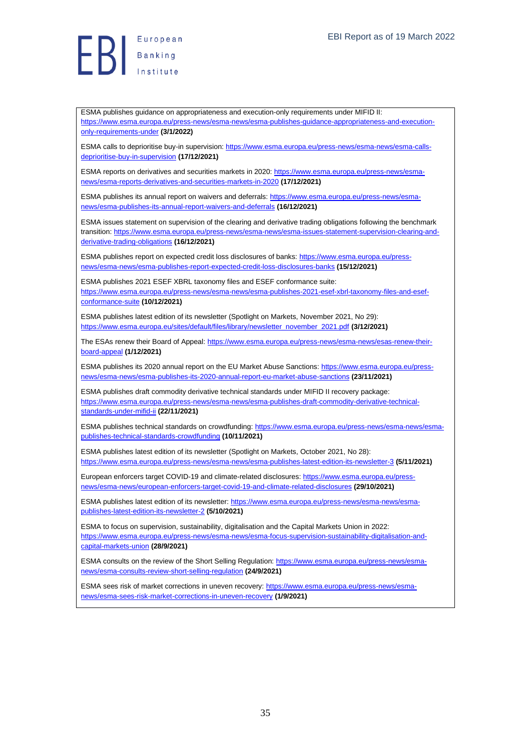**Exerche Stanking**<br>Institute

ESMA publishes guidance on appropriateness and execution-only requirements under MIFID II: [https://www.esma.europa.eu/press-news/esma-news/esma-publishes-guidance-appropriateness-and-execution](https://www.esma.europa.eu/press-news/esma-news/esma-publishes-guidance-appropriateness-and-execution-only-requirements-under)[only-requirements-under](https://www.esma.europa.eu/press-news/esma-news/esma-publishes-guidance-appropriateness-and-execution-only-requirements-under) **(3/1/2022)**

ESMA calls to deprioritise buy-in supervision: [https://www.esma.europa.eu/press-news/esma-news/esma-calls](https://www.esma.europa.eu/press-news/esma-news/esma-calls-deprioritise-buy-in-supervision)[deprioritise-buy-in-supervision](https://www.esma.europa.eu/press-news/esma-news/esma-calls-deprioritise-buy-in-supervision) **(17/12/2021)**

ESMA reports on derivatives and securities markets in 2020[: https://www.esma.europa.eu/press-news/esma](https://www.esma.europa.eu/press-news/esma-news/esma-reports-derivatives-and-securities-markets-in-2020)[news/esma-reports-derivatives-and-securities-markets-in-2020](https://www.esma.europa.eu/press-news/esma-news/esma-reports-derivatives-and-securities-markets-in-2020) **(17/12/2021)**

ESMA publishes its annual report on waivers and deferrals: [https://www.esma.europa.eu/press-news/esma](https://www.esma.europa.eu/press-news/esma-news/esma-publishes-its-annual-report-waivers-and-deferrals)[news/esma-publishes-its-annual-report-waivers-and-deferrals](https://www.esma.europa.eu/press-news/esma-news/esma-publishes-its-annual-report-waivers-and-deferrals) **(16/12/2021)**

ESMA issues statement on supervision of the clearing and derivative trading obligations following the benchmark transition[: https://www.esma.europa.eu/press-news/esma-news/esma-issues-statement-supervision-clearing-and](https://www.esma.europa.eu/press-news/esma-news/esma-issues-statement-supervision-clearing-and-derivative-trading-obligations)[derivative-trading-obligations](https://www.esma.europa.eu/press-news/esma-news/esma-issues-statement-supervision-clearing-and-derivative-trading-obligations) **(16/12/2021)**

ESMA publishes report on expected credit loss disclosures of banks[: https://www.esma.europa.eu/press](https://www.esma.europa.eu/press-news/esma-news/esma-publishes-report-expected-credit-loss-disclosures-banks)[news/esma-news/esma-publishes-report-expected-credit-loss-disclosures-banks](https://www.esma.europa.eu/press-news/esma-news/esma-publishes-report-expected-credit-loss-disclosures-banks) **(15/12/2021)**

ESMA publishes 2021 ESEF XBRL taxonomy files and ESEF conformance suite: [https://www.esma.europa.eu/press-news/esma-news/esma-publishes-2021-esef-xbrl-taxonomy-files-and-esef](https://www.esma.europa.eu/press-news/esma-news/esma-publishes-2021-esef-xbrl-taxonomy-files-and-esef-conformance-suite)[conformance-suite](https://www.esma.europa.eu/press-news/esma-news/esma-publishes-2021-esef-xbrl-taxonomy-files-and-esef-conformance-suite) **(10/12/2021)**

ESMA publishes latest edition of its newsletter (Spotlight on Markets, November 2021, No 29): [https://www.esma.europa.eu/sites/default/files/library/newsletter\\_november\\_2021.pdf](https://www.esma.europa.eu/sites/default/files/library/newsletter_november_2021.pdf) **(3/12/2021)**

The ESAs renew their Board of Appeal[: https://www.esma.europa.eu/press-news/esma-news/esas-renew-their](https://www.esma.europa.eu/press-news/esma-news/esas-renew-their-board-appeal)[board-appeal](https://www.esma.europa.eu/press-news/esma-news/esas-renew-their-board-appeal) **(1/12/2021)**

ESMA publishes its 2020 annual report on the EU Market Abuse Sanctions: [https://www.esma.europa.eu/press](https://www.esma.europa.eu/press-news/esma-news/esma-publishes-its-2020-annual-report-eu-market-abuse-sanctions)[news/esma-news/esma-publishes-its-2020-annual-report-eu-market-abuse-sanctions](https://www.esma.europa.eu/press-news/esma-news/esma-publishes-its-2020-annual-report-eu-market-abuse-sanctions) **(23/11/2021)**

ESMA publishes draft commodity derivative technical standards under MIFID II recovery package: [https://www.esma.europa.eu/press-news/esma-news/esma-publishes-draft-commodity-derivative-technical](https://www.esma.europa.eu/press-news/esma-news/esma-publishes-draft-commodity-derivative-technical-standards-under-mifid-ii)[standards-under-mifid-ii](https://www.esma.europa.eu/press-news/esma-news/esma-publishes-draft-commodity-derivative-technical-standards-under-mifid-ii) **(22/11/2021)**

ESMA publishes technical standards on crowdfunding: [https://www.esma.europa.eu/press-news/esma-news/esma](https://www.esma.europa.eu/press-news/esma-news/esma-publishes-technical-standards-crowdfunding)[publishes-technical-standards-crowdfunding](https://www.esma.europa.eu/press-news/esma-news/esma-publishes-technical-standards-crowdfunding) **(10/11/2021)**

ESMA publishes latest edition of its newsletter (Spotlight on Markets, October 2021, No 28): <https://www.esma.europa.eu/press-news/esma-news/esma-publishes-latest-edition-its-newsletter-3> **(5/11/2021)**

European enforcers target COVID-19 and climate-related disclosures[: https://www.esma.europa.eu/press](https://www.esma.europa.eu/press-news/esma-news/european-enforcers-target-covid-19-and-climate-related-disclosures)[news/esma-news/european-enforcers-target-covid-19-and-climate-related-disclosures](https://www.esma.europa.eu/press-news/esma-news/european-enforcers-target-covid-19-and-climate-related-disclosures) **(29/10/2021)**

ESMA publishes latest edition of its newsletter: [https://www.esma.europa.eu/press-news/esma-news/esma](https://www.esma.europa.eu/press-news/esma-news/esma-publishes-latest-edition-its-newsletter-2)[publishes-latest-edition-its-newsletter-2](https://www.esma.europa.eu/press-news/esma-news/esma-publishes-latest-edition-its-newsletter-2) **(5/10/2021)**

ESMA to focus on supervision, sustainability, digitalisation and the Capital Markets Union in 2022: [https://www.esma.europa.eu/press-news/esma-news/esma-focus-supervision-sustainability-digitalisation-and](https://www.esma.europa.eu/press-news/esma-news/esma-focus-supervision-sustainability-digitalisation-and-capital-markets-union)[capital-markets-union](https://www.esma.europa.eu/press-news/esma-news/esma-focus-supervision-sustainability-digitalisation-and-capital-markets-union) **(28/9/2021)**

ESMA consults on the review of the Short Selling Regulation[: https://www.esma.europa.eu/press-news/esma](https://www.esma.europa.eu/press-news/esma-news/esma-consults-review-short-selling-regulation)[news/esma-consults-review-short-selling-regulation](https://www.esma.europa.eu/press-news/esma-news/esma-consults-review-short-selling-regulation) **(24/9/2021)**

ESMA sees risk of market corrections in uneven recovery[: https://www.esma.europa.eu/press-news/esma](https://www.esma.europa.eu/press-news/esma-news/esma-sees-risk-market-corrections-in-uneven-recovery)[news/esma-sees-risk-market-corrections-in-uneven-recovery](https://www.esma.europa.eu/press-news/esma-news/esma-sees-risk-market-corrections-in-uneven-recovery) **(1/9/2021)**